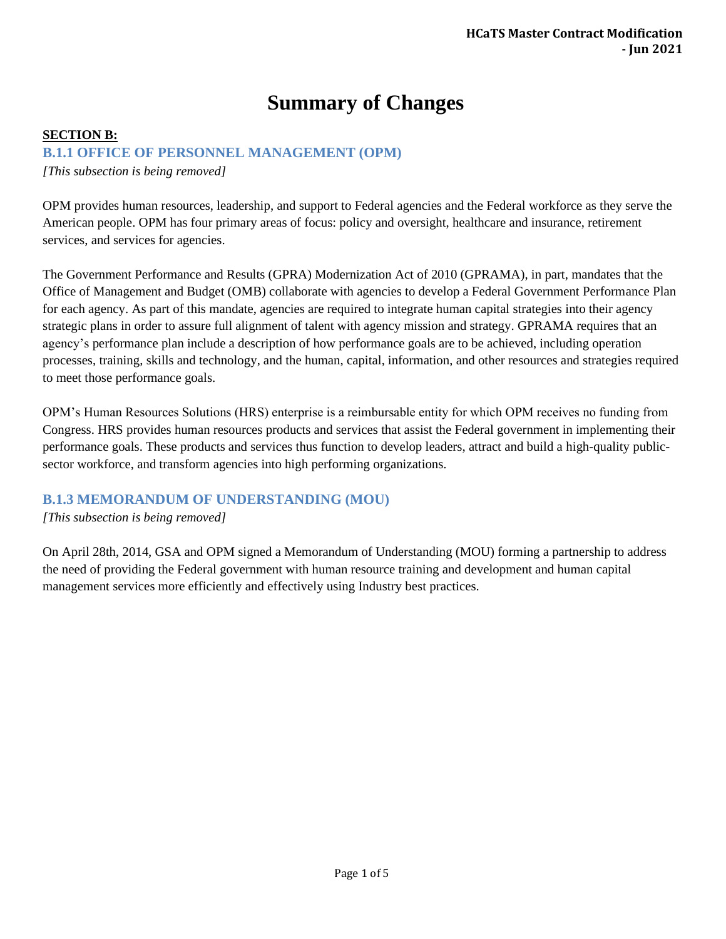# **Summary of Changes**

## **SECTION B:**

## **B.1.1 OFFIC[E OF PERS](https://docs.google.com/forms/d/e/1FAIpQLSehmys8fw4wNIOXz41NSpPwJrCDMBAVbUfgLjnVfEhdObnMiw/viewform)ONNEL MANAGEMENT (OPM)**

*[This subsection is being removed]*

OPM [provides human resources, leadership, and support to Federal agencies and the Federal workforce as they serve the](https://docs.google.com/forms/d/e/1FAIpQLSehmys8fw4wNIOXz41NSpPwJrCDMBAVbUfgLjnVfEhdObnMiw/viewform)  [American people. OPM has f](https://docs.google.com/forms/d/e/1FAIpQLSehmys8fw4wNIOXz41NSpPwJrCDMBAVbUfgLjnVfEhdObnMiw/viewform)our primary areas of focus: policy and oversight, healthcare and insurance, retirement services, and services for agencies.

The Government Performance and Results (GPRA) Modernization Act of 2010 (GPRAMA), in part, mandates that the Office of Management and Budget (OMB) collaborate with agencies to develop a Federal Government Performance Plan for each agency. As part of this mandate, agencies are required to integrate human capital strategies into their agency strategic plans in order to assure full alignment of talent with agency mission and strategy. GPRAMA requires that an agency's performance plan include a description of how performance goals are to be achieved, including operation processes, training, skills and technology, and the human, capital, information, and other resources and strategies required to meet those performance goals.

OPM's Human Resources Solutions (HRS) enterprise is a reimbursable entity for which OPM receives no funding from Congress. HRS provides human resources products and services that assist the Federal government in implementing their performance goals. These products and services thus function to develop leaders, attract and build a high-quality publicsector workforce, and transform agencies into high performing organizations.

# **B.1.3 MEMORANDUM OF UNDERSTANDING (MOU)**

#### *[This subsection is being removed]*

On April 28th, 2014, GSA and OPM signed a Memorandum of Understanding (MOU) forming a partnership to address the need of providing the Federal government with human resource training and development and human capital management services more efficiently and effectively using Industry best practices.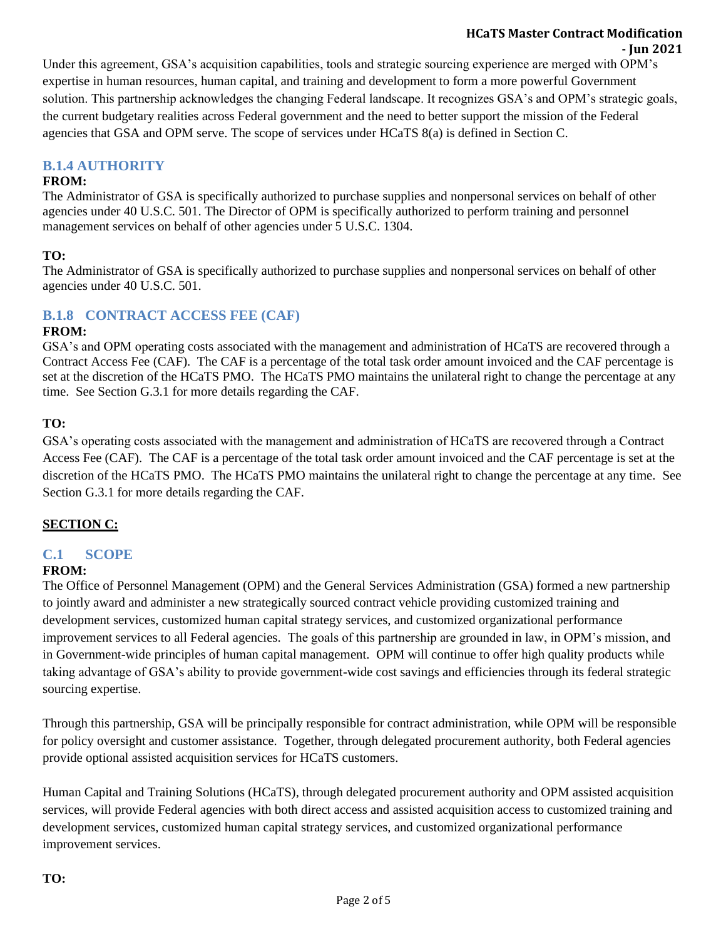### **HCaTS Master Contract Modification - Jun 2021**

Under this agreement, GSA's acquisition capabilities, tools and strategic sourcing experience are merged with OPM's expertise in human resources, human capital, and training and development to form a more powerful Government solution. This partnership acknowledges the changing Federal landscape. It recognizes GSA's and OPM's strategic goals, the current budgetary realities across Federal government and the need to better support the mission of the Federal agencies that GSA and OPM serve. The scope of services under HCaTS 8(a) is defined in Section C.

# **B.1.4 AUTHORITY**

## **FROM:**

The Administrator of GSA is specifically authorized to purchase supplies and nonpersonal services on behalf of other agencies under 40 U.S.C. 501. The Director of OPM is specifically authorized to perform training and personnel management services on behalf of other agencies under 5 U.S.C. 1304.

### **TO:**

The Administrator of GSA is specifically authorized to purchase supplies and nonpersonal services on behalf of other agencies under 40 U.S.C. 501.

## **B.1.8 CONTRACT ACCESS FEE (CAF)**

#### **FROM:**

GSA's and OPM operating costs associated with the management and administration of HCaTS are recovered through a Contract Access Fee (CAF). The CAF is a percentage of the total task order amount invoiced and the CAF percentage is set at the discretion of the HCaTS PMO. The HCaTS PMO maintains the unilateral right to change the percentage at any time. See Section G.3.1 for more details regarding the CAF.

## **TO:**

GSA's operating costs associated with the management and administration of HCaTS are recovered through a Contract Access Fee (CAF). The CAF is a percentage of the total task order amount invoiced and the CAF percentage is set at the discretion of the HCaTS PMO. The HCaTS PMO maintains the unilateral right to change the percentage at any time. See Section G.3.1 for more details regarding the CAF.

## **SECTION C:**

## **C.1 SCOPE**

#### **FROM:**

The Office of Personnel Management (OPM) and the General Services Administration (GSA) formed a new partnership to jointly award and administer a new strategically sourced contract vehicle providing customized training and development services, customized human capital strategy services, and customized organizational performance improvement services to all Federal agencies. The goals of this partnership are grounded in law, in OPM's mission, and in Government-wide principles of human capital management. OPM will continue to offer high quality products while taking advantage of GSA's ability to provide government-wide cost savings and efficiencies through its federal strategic sourcing expertise.

Through this partnership, GSA will be principally responsible for contract administration, while OPM will be responsible for policy oversight and customer assistance. Together, through delegated procurement authority, both Federal agencies provide optional assisted acquisition services for HCaTS customers.

Human Capital and Training Solutions (HCaTS), through delegated procurement authority and OPM assisted acquisition services, will provide Federal agencies with both direct access and assisted acquisition access to customized training and development services, customized human capital strategy services, and customized organizational performance improvement services.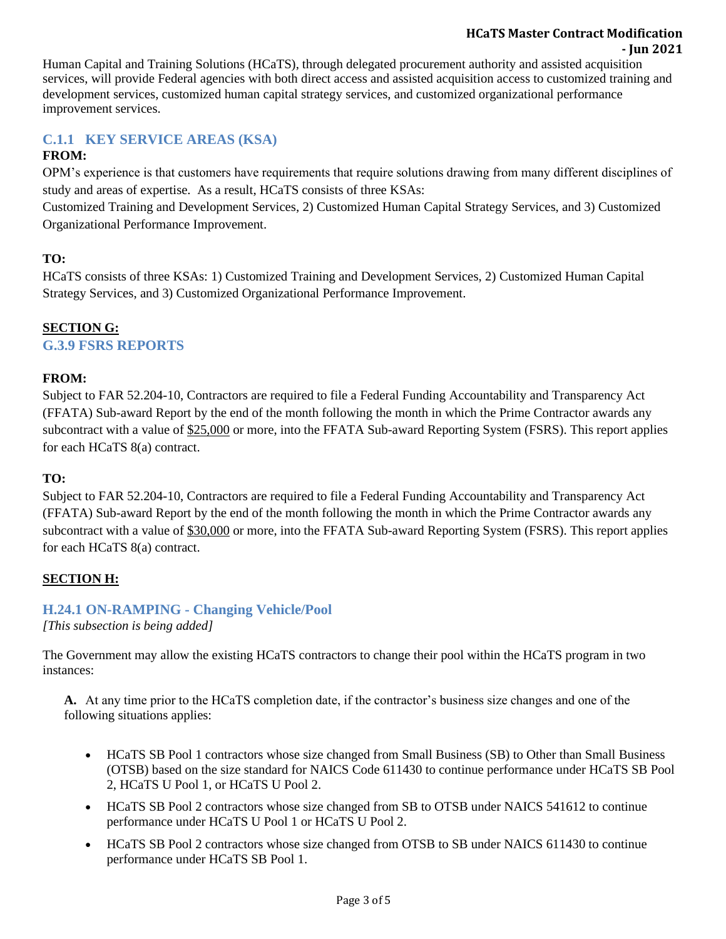#### **HCaTS Master Contract Modification - Jun 2021**

Human Capital and Training Solutions (HCaTS), through delegated procurement authority and assisted acquisition services, will provide Federal agencies with both direct access and assisted acquisition access to customized training and development services, customized human capital strategy services, and customized organizational performance improvement services.

# **C.1.1 KEY SERVICE AREAS (KSA)**

# **FROM:**

OPM's experience is that customers have requirements that require solutions drawing from many different disciplines of study and areas of expertise. As a result, HCaTS consists of three KSAs:

Customized Training and Development Services, 2) Customized Human Capital Strategy Services, and 3) Customized Organizational Performance Improvement.

## **TO:**

HCaTS consists of three KSAs: 1) Customized Training and Development Services, 2) Customized Human Capital Strategy Services, and 3) Customized Organizational Performance Improvement.

# **SECTION G:**

# **G.3.9 FSRS REPORTS**

## **FROM:**

Subject to FAR 52.204-10, Contractors are required to file a Federal Funding Accountability and Transparency Act (FFATA) Sub-award Report by the end of the month following the month in which the Prime Contractor awards any subcontract with a value of \$25,000 or more, into the FFATA Sub-award Reporting System (FSRS). This report applies for each HCaTS 8(a) contract.

## **TO:**

Subject to FAR 52.204-10, Contractors are required to file a Federal Funding Accountability and Transparency Act (FFATA) Sub-award Report by the end of the month following the month in which the Prime Contractor awards any subcontract with a value of \$30,000 or more, into the FFATA Sub-award Reporting System (FSRS). This report applies for each HCaTS 8(a) contract.

## **SECTION H:**

# **H.24.1 ON-RAMPING - Changing Vehicle/Pool**

*[This subsection is being added]*

The Government may allow the existing HCaTS contractors to change their pool within the HCaTS program in two instances:

**A.** At any time prior to the HCaTS completion date, if the contractor's business size changes and one of the following situations applies:

- HCaTS SB Pool 1 contractors whose size changed from Small Business (SB) to Other than Small Business (OTSB) based on the size standard for NAICS Code 611430 to continue performance under HCaTS SB Pool 2, HCaTS U Pool 1, or HCaTS U Pool 2.
- HCaTS SB Pool 2 contractors whose size changed from SB to OTSB under NAICS 541612 to continue performance under HCaTS U Pool 1 or HCaTS U Pool 2.
- HCaTS SB Pool 2 contractors whose size changed from OTSB to SB under NAICS 611430 to continue performance under HCaTS SB Pool 1.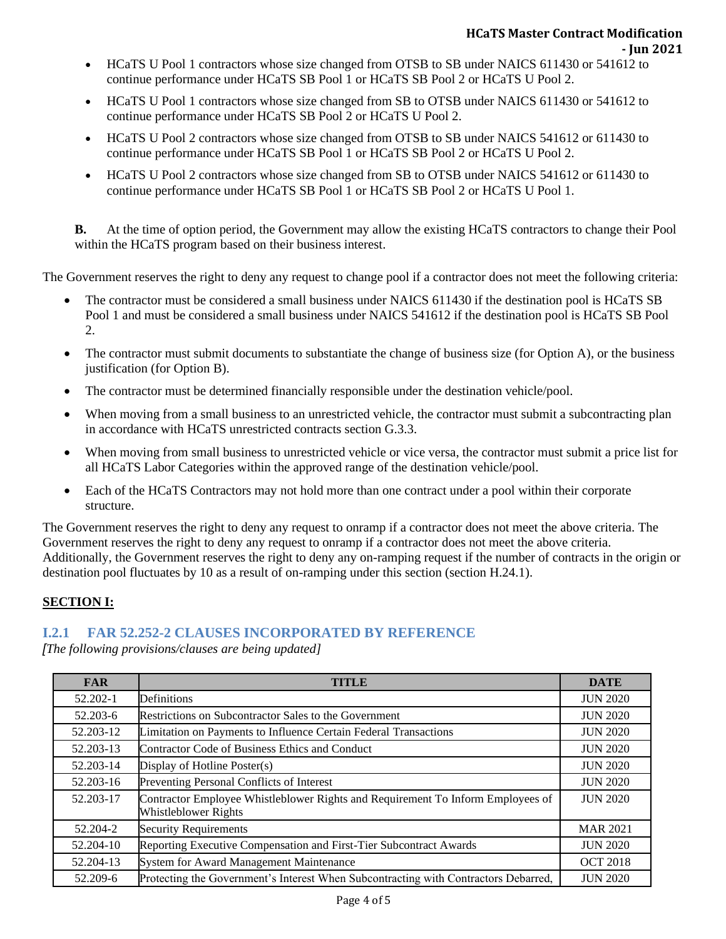- HCaTS U Pool 1 contractors whose size changed from OTSB to SB under NAICS 611430 or 541612 to continue performance under HCaTS SB Pool 1 or HCaTS SB Pool 2 or HCaTS U Pool 2.
- HCaTS U Pool 1 contractors whose size changed from SB to OTSB under NAICS 611430 or 541612 to continue performance under HCaTS SB Pool 2 or HCaTS U Pool 2.
- HCaTS U Pool 2 contractors whose size changed from OTSB to SB under NAICS 541612 or 611430 to continue performance under HCaTS SB Pool 1 or HCaTS SB Pool 2 or HCaTS U Pool 2.
- HCaTS U Pool 2 contractors whose size changed from SB to OTSB under NAICS 541612 or 611430 to continue performance under HCaTS SB Pool 1 or HCaTS SB Pool 2 or HCaTS U Pool 1.

**B.** At the time of option period, the Government may allow the existing HCaTS contractors to change their Pool within the HCaTS program based on their business interest.

The Government reserves the right to deny any request to change pool if a contractor does not meet the following criteria:

- The contractor must be considered a small business under NAICS 611430 if the destination pool is HCaTS SB Pool 1 and must be considered a small business under NAICS 541612 if the destination pool is HCaTS SB Pool 2.
- The contractor must submit documents to substantiate the change of business size (for Option A), or the business justification (for Option B).
- The contractor must be determined financially responsible under the destination vehicle/pool.
- When moving from a small business to an unrestricted vehicle, the contractor must submit a subcontracting plan in accordance with HCaTS unrestricted contracts section G.3.3.
- When moving from small business to unrestricted vehicle or vice versa, the contractor must submit a price list for all HCaTS Labor Categories within the approved range of the destination vehicle/pool.
- Each of the HCaTS Contractors may not hold more than one contract under a pool within their corporate structure.

The Government reserves the right to deny any request to onramp if a contractor does not meet the above criteria. The Government reserves the right to deny any request to onramp if a contractor does not meet the above criteria. Additionally, the Government reserves the right to deny any on-ramping request if the number of contracts in the origin or destination pool fluctuates by 10 as a result of on-ramping under this section (section H.24.1).

## **SECTION I:**

# **I.2.1 FAR 52.252-2 CLAUSES INCORPORATED BY REFERENCE**

*[The following provisions/clauses are being updated]*

| <b>FAR</b> | <b>TITLE</b>                                                                                                   | <b>DATE</b>     |
|------------|----------------------------------------------------------------------------------------------------------------|-----------------|
| 52.202-1   | Definitions                                                                                                    | <b>JUN 2020</b> |
| 52.203-6   | Restrictions on Subcontractor Sales to the Government                                                          | <b>JUN 2020</b> |
| 52.203-12  | Limitation on Payments to Influence Certain Federal Transactions                                               | <b>JUN 2020</b> |
| 52.203-13  | Contractor Code of Business Ethics and Conduct                                                                 | <b>JUN 2020</b> |
| 52.203-14  | Display of Hotline Poster(s)                                                                                   | <b>JUN 2020</b> |
| 52.203-16  | Preventing Personal Conflicts of Interest                                                                      | <b>JUN 2020</b> |
| 52.203-17  | Contractor Employee Whistleblower Rights and Requirement To Inform Employees of<br><b>Whistleblower Rights</b> | <b>JUN 2020</b> |
| 52.204-2   | <b>Security Requirements</b>                                                                                   | <b>MAR 2021</b> |
| 52.204-10  | Reporting Executive Compensation and First-Tier Subcontract Awards                                             | <b>JUN 2020</b> |
| 52.204-13  | System for Award Management Maintenance                                                                        | <b>OCT 2018</b> |
| 52.209-6   | Protecting the Government's Interest When Subcontracting with Contractors Debarred,                            | <b>JUN 2020</b> |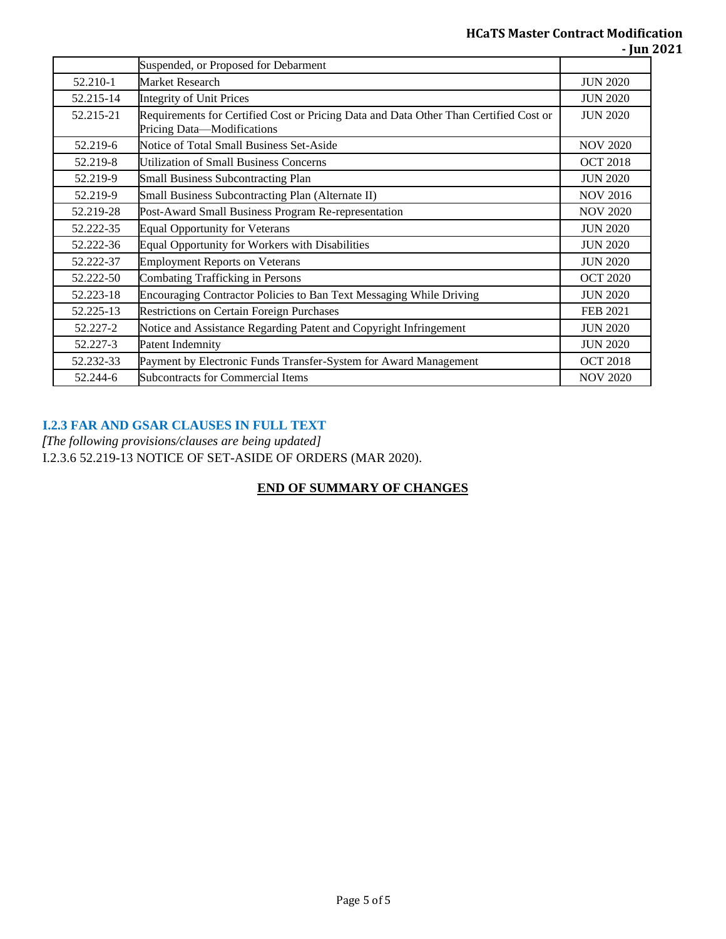|           | Suspended, or Proposed for Debarment                                                                                |                 |
|-----------|---------------------------------------------------------------------------------------------------------------------|-----------------|
| 52.210-1  | Market Research                                                                                                     | <b>JUN 2020</b> |
| 52.215-14 | <b>Integrity of Unit Prices</b>                                                                                     | <b>JUN 2020</b> |
| 52.215-21 | Requirements for Certified Cost or Pricing Data and Data Other Than Certified Cost or<br>Pricing Data-Modifications | <b>JUN 2020</b> |
| 52.219-6  | Notice of Total Small Business Set-Aside                                                                            | <b>NOV 2020</b> |
| 52.219-8  | <b>Utilization of Small Business Concerns</b>                                                                       | <b>OCT 2018</b> |
| 52.219-9  | <b>Small Business Subcontracting Plan</b>                                                                           | <b>JUN 2020</b> |
| 52.219-9  | Small Business Subcontracting Plan (Alternate II)                                                                   | <b>NOV 2016</b> |
| 52.219-28 | Post-Award Small Business Program Re-representation                                                                 | <b>NOV 2020</b> |
| 52.222-35 | <b>Equal Opportunity for Veterans</b>                                                                               | <b>JUN 2020</b> |
| 52.222-36 | Equal Opportunity for Workers with Disabilities                                                                     | <b>JUN 2020</b> |
| 52.222-37 | <b>Employment Reports on Veterans</b>                                                                               | <b>JUN 2020</b> |
| 52.222-50 | <b>Combating Trafficking in Persons</b>                                                                             | <b>OCT 2020</b> |
| 52.223-18 | <b>Encouraging Contractor Policies to Ban Text Messaging While Driving</b>                                          | <b>JUN 2020</b> |
| 52.225-13 | <b>Restrictions on Certain Foreign Purchases</b>                                                                    | <b>FEB 2021</b> |
| 52.227-2  | Notice and Assistance Regarding Patent and Copyright Infringement                                                   | <b>JUN 2020</b> |
| 52.227-3  | Patent Indemnity                                                                                                    | <b>JUN 2020</b> |
| 52.232-33 | Payment by Electronic Funds Transfer-System for Award Management                                                    | <b>OCT 2018</b> |
| 52.244-6  | <b>Subcontracts for Commercial Items</b>                                                                            | <b>NOV 2020</b> |

#### **I.2.3 FAR AND GSAR CLAUSES IN FULL TEXT**

*[The following provisions/clauses are being updated]* I.2.3.6 52.219-13 NOTICE OF SET-ASIDE OF ORDERS (MAR 2020).

# **END OF SUMMARY OF CHANGES**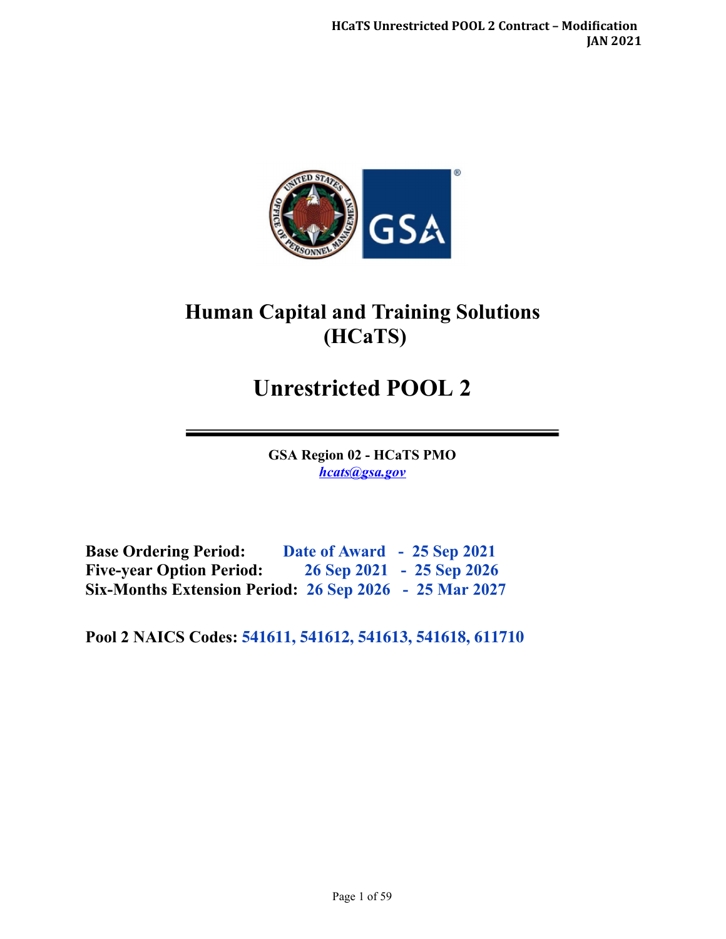

# **Human Capital and Training Solutions (HCaTS)**

# **Unrestricted POOL 2**

**GSA Region 02 - HCaTS PMO**  *[hcats@gsa.gov](mailto:hcats@gsa.gov)* 

**Base Ordering Period: Date of Award - 25 Sep 2021 Five-year Option Period: 26 Sep 2021 - 25 Sep 2026 Six-Months Extension Period: 26 Sep 2026 - 25 Mar 2027**

**Pool 2 NAICS Codes: 541611, 541612, 541613, 541618, 611710**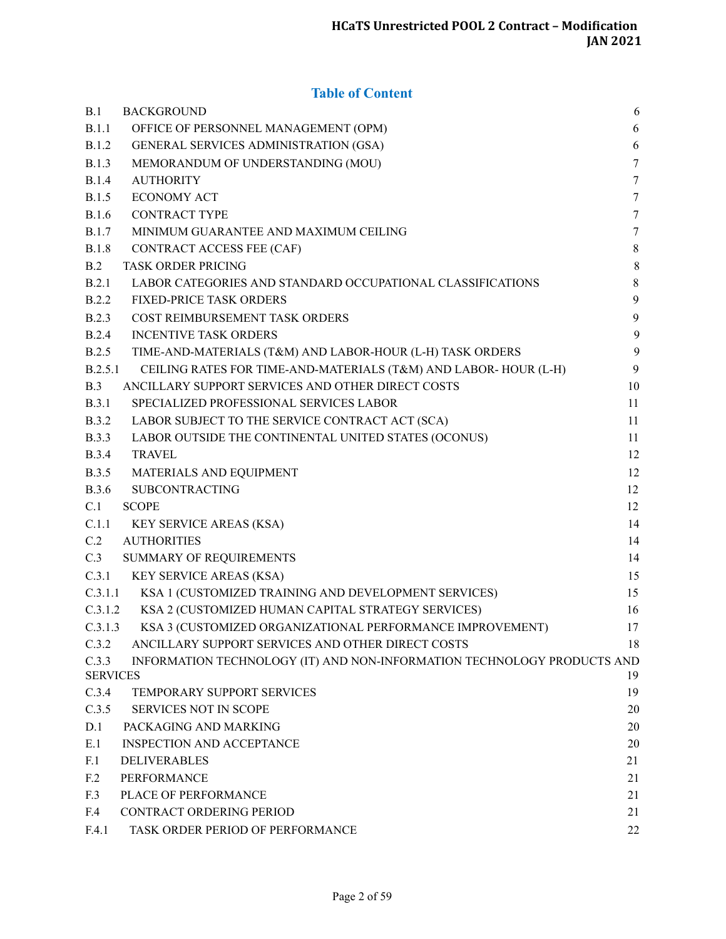# **Table of Content**

| B.1                      | <b>BACKGROUND</b>                                                       | 6                |
|--------------------------|-------------------------------------------------------------------------|------------------|
| B.1.1                    | OFFICE OF PERSONNEL MANAGEMENT (OPM)                                    | 6                |
| <b>B.1.2</b>             | GENERAL SERVICES ADMINISTRATION (GSA)                                   | 6                |
| <b>B.1.3</b>             | MEMORANDUM OF UNDERSTANDING (MOU)                                       | $\tau$           |
| <b>B.1.4</b>             | <b>AUTHORITY</b>                                                        | $\tau$           |
| <b>B.1.5</b>             | <b>ECONOMY ACT</b>                                                      | $7\phantom{.0}$  |
| <b>B.1.6</b>             | <b>CONTRACT TYPE</b>                                                    | $\tau$           |
| <b>B.1.7</b>             | MINIMUM GUARANTEE AND MAXIMUM CEILING                                   | $7\phantom{.0}$  |
| <b>B.1.8</b>             | CONTRACT ACCESS FEE (CAF)                                               | $\,8\,$          |
| B.2                      | <b>TASK ORDER PRICING</b>                                               | $\,8\,$          |
| B.2.1                    | LABOR CATEGORIES AND STANDARD OCCUPATIONAL CLASSIFICATIONS              | $\,8\,$          |
| B.2.2                    | FIXED-PRICE TASK ORDERS                                                 | $\boldsymbol{9}$ |
| <b>B.2.3</b>             | COST REIMBURSEMENT TASK ORDERS                                          | $\boldsymbol{9}$ |
| B.2.4                    | <b>INCENTIVE TASK ORDERS</b>                                            | $\boldsymbol{9}$ |
| B.2.5                    | TIME-AND-MATERIALS (T&M) AND LABOR-HOUR (L-H) TASK ORDERS               | 9                |
| B.2.5.1                  | CEILING RATES FOR TIME-AND-MATERIALS (T&M) AND LABOR-HOUR (L-H)         | 9                |
| B.3                      | ANCILLARY SUPPORT SERVICES AND OTHER DIRECT COSTS                       | 10               |
| <b>B.3.1</b>             | SPECIALIZED PROFESSIONAL SERVICES LABOR                                 | 11               |
| <b>B.3.2</b>             | LABOR SUBJECT TO THE SERVICE CONTRACT ACT (SCA)                         | 11               |
| <b>B.3.3</b>             | LABOR OUTSIDE THE CONTINENTAL UNITED STATES (OCONUS)                    | 11               |
| <b>B.3.4</b>             | <b>TRAVEL</b>                                                           | 12               |
| <b>B.3.5</b>             | MATERIALS AND EQUIPMENT                                                 | 12               |
| <b>B.3.6</b>             | <b>SUBCONTRACTING</b>                                                   | 12               |
| C.1                      | <b>SCOPE</b>                                                            | 12               |
| C.1.1                    | KEY SERVICE AREAS (KSA)                                                 | 14               |
| C.2                      | <b>AUTHORITIES</b>                                                      | 14               |
| C.3                      | SUMMARY OF REQUIREMENTS                                                 | 14               |
| C.3.1                    | KEY SERVICE AREAS (KSA)                                                 | 15               |
| C.3.1.1                  | KSA 1 (CUSTOMIZED TRAINING AND DEVELOPMENT SERVICES)                    | 15               |
| C.3.1.2                  | KSA 2 (CUSTOMIZED HUMAN CAPITAL STRATEGY SERVICES)                      | 16               |
| C.3.1.3                  | KSA 3 (CUSTOMIZED ORGANIZATIONAL PERFORMANCE IMPROVEMENT)               | 17               |
| C.3.2                    | ANCILLARY SUPPORT SERVICES AND OTHER DIRECT COSTS                       | 18               |
| C.3.3<br><b>SERVICES</b> | INFORMATION TECHNOLOGY (IT) AND NON-INFORMATION TECHNOLOGY PRODUCTS AND | 19               |
| C.3.4                    | TEMPORARY SUPPORT SERVICES                                              | 19               |
| C.3.5                    | SERVICES NOT IN SCOPE                                                   | 20               |
| D.1                      | PACKAGING AND MARKING                                                   | 20               |
| E.1                      | <b>INSPECTION AND ACCEPTANCE</b>                                        | 20               |
| F.1                      | DELIVERABLES                                                            | 21               |
| F.2                      | PERFORMANCE                                                             | 21               |
| F.3                      | PLACE OF PERFORMANCE                                                    | 21               |
| F.4                      | CONTRACT ORDERING PERIOD                                                | 21               |
| F.4.1                    | TASK ORDER PERIOD OF PERFORMANCE                                        | 22               |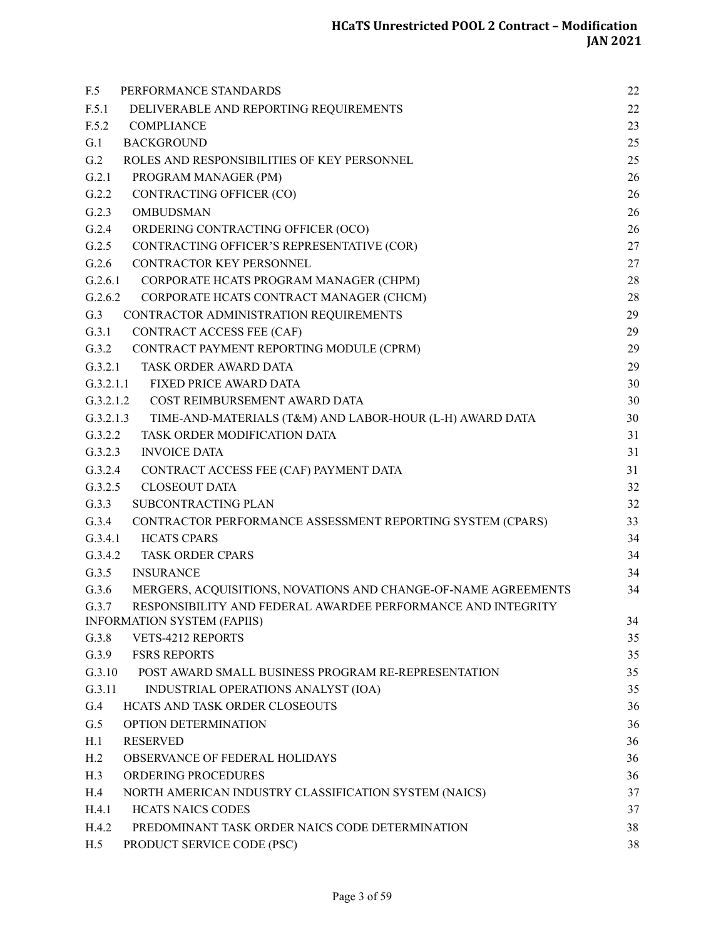| F.5<br>PERFORMANCE STANDARDS                                            | 22 |
|-------------------------------------------------------------------------|----|
| F.5.1<br>DELIVERABLE AND REPORTING REQUIREMENTS                         | 22 |
| F.5.2<br><b>COMPLIANCE</b>                                              | 23 |
| G.1<br><b>BACKGROUND</b>                                                | 25 |
| G.2<br>ROLES AND RESPONSIBILITIES OF KEY PERSONNEL                      | 25 |
| G.2.1<br>PROGRAM MANAGER (PM)                                           | 26 |
| G.2.2<br>CONTRACTING OFFICER (CO)                                       | 26 |
| G.2.3<br><b>OMBUDSMAN</b>                                               | 26 |
| G.2.4<br>ORDERING CONTRACTING OFFICER (OCO)                             | 26 |
| G.2.5<br>CONTRACTING OFFICER'S REPRESENTATIVE (COR)                     | 27 |
| G.2.6<br>CONTRACTOR KEY PERSONNEL                                       | 27 |
| G.2.6.1<br>CORPORATE HCATS PROGRAM MANAGER (CHPM)                       | 28 |
| G.2.6.2<br>CORPORATE HCATS CONTRACT MANAGER (CHCM)                      | 28 |
| G.3<br>CONTRACTOR ADMINISTRATION REQUIREMENTS                           | 29 |
| G.3.1<br>CONTRACT ACCESS FEE (CAF)                                      | 29 |
| G.3.2 CONTRACT PAYMENT REPORTING MODULE (CPRM)                          | 29 |
| G.3.2.1<br>TASK ORDER AWARD DATA                                        | 29 |
| G.3.2.1.1<br><b>FIXED PRICE AWARD DATA</b>                              | 30 |
| COST REIMBURSEMENT AWARD DATA<br>G.3.2.1.2                              | 30 |
| G.3.2.1.3<br>TIME-AND-MATERIALS (T&M) AND LABOR-HOUR (L-H) AWARD DATA   | 30 |
| G.3.2.2<br>TASK ORDER MODIFICATION DATA                                 | 31 |
| G.3.2.3<br><b>INVOICE DATA</b>                                          | 31 |
| G.3.2.4<br>CONTRACT ACCESS FEE (CAF) PAYMENT DATA                       | 31 |
| G.3.2.5<br><b>CLOSEOUT DATA</b>                                         | 32 |
| G.3.3<br>SUBCONTRACTING PLAN                                            | 32 |
| G.3.4<br>CONTRACTOR PERFORMANCE ASSESSMENT REPORTING SYSTEM (CPARS)     | 33 |
| G.3.4.1<br><b>HCATS CPARS</b>                                           | 34 |
| G.3.4.2<br><b>TASK ORDER CPARS</b>                                      | 34 |
| G.3.5<br><b>INSURANCE</b>                                               | 34 |
| G.3.6<br>MERGERS, ACQUISITIONS, NOVATIONS AND CHANGE-OF-NAME AGREEMENTS | 34 |
| RESPONSIBILITY AND FEDERAL AWARDEE PERFORMANCE AND INTEGRITY<br>G.3.7   |    |
| <b>INFORMATION SYSTEM (FAPIIS)</b>                                      | 34 |
| G.3.8<br>VETS-4212 REPORTS                                              | 35 |
| G.3.9<br><b>FSRS REPORTS</b>                                            | 35 |
| G.3.10<br>POST AWARD SMALL BUSINESS PROGRAM RE-REPRESENTATION           | 35 |
| G.3.11<br>INDUSTRIAL OPERATIONS ANALYST (IOA)                           | 35 |
| G.4<br>HCATS AND TASK ORDER CLOSEOUTS                                   | 36 |
| G.5<br>OPTION DETERMINATION                                             | 36 |
| H.1<br><b>RESERVED</b>                                                  | 36 |
| H.2<br>OBSERVANCE OF FEDERAL HOLIDAYS                                   | 36 |
| ORDERING PROCEDURES<br>H.3                                              | 36 |
| H.4<br>NORTH AMERICAN INDUSTRY CLASSIFICATION SYSTEM (NAICS)            | 37 |
| H.4.1<br><b>HCATS NAICS CODES</b>                                       | 37 |
| H.4.2<br>PREDOMINANT TASK ORDER NAICS CODE DETERMINATION                | 38 |
| H.5<br>PRODUCT SERVICE CODE (PSC)                                       | 38 |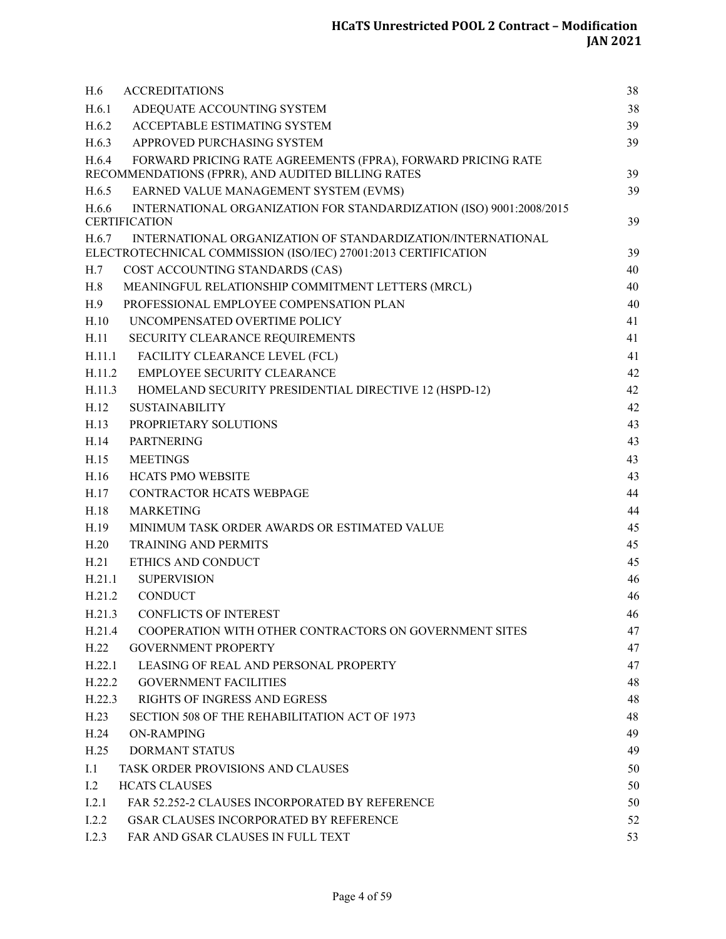| H.6<br><b>ACCREDITATIONS</b>                                                                                                           | 38 |
|----------------------------------------------------------------------------------------------------------------------------------------|----|
| H.6.1<br>ADEQUATE ACCOUNTING SYSTEM                                                                                                    | 38 |
| H.6.2<br>ACCEPTABLE ESTIMATING SYSTEM                                                                                                  | 39 |
| H.6.3<br>APPROVED PURCHASING SYSTEM                                                                                                    | 39 |
| H.6.4<br>FORWARD PRICING RATE AGREEMENTS (FPRA), FORWARD PRICING RATE<br>RECOMMENDATIONS (FPRR), AND AUDITED BILLING RATES             | 39 |
| H.6.5<br>EARNED VALUE MANAGEMENT SYSTEM (EVMS)                                                                                         | 39 |
| INTERNATIONAL ORGANIZATION FOR STANDARDIZATION (ISO) 9001:2008/2015<br>H.6.6                                                           |    |
| <b>CERTIFICATION</b>                                                                                                                   | 39 |
| INTERNATIONAL ORGANIZATION OF STANDARDIZATION/INTERNATIONAL<br>H.6.7<br>ELECTROTECHNICAL COMMISSION (ISO/IEC) 27001:2013 CERTIFICATION | 39 |
| H.7<br>COST ACCOUNTING STANDARDS (CAS)                                                                                                 | 40 |
| MEANINGFUL RELATIONSHIP COMMITMENT LETTERS (MRCL)<br>H.8                                                                               | 40 |
| H.9<br>PROFESSIONAL EMPLOYEE COMPENSATION PLAN                                                                                         | 40 |
| H.10<br>UNCOMPENSATED OVERTIME POLICY                                                                                                  | 41 |
| H.11<br>SECURITY CLEARANCE REQUIREMENTS                                                                                                | 41 |
| FACILITY CLEARANCE LEVEL (FCL)<br>H.11.1                                                                                               | 41 |
| H.11.2<br><b>EMPLOYEE SECURITY CLEARANCE</b>                                                                                           | 42 |
| H.11.3<br>HOMELAND SECURITY PRESIDENTIAL DIRECTIVE 12 (HSPD-12)                                                                        | 42 |
| H.12<br><b>SUSTAINABILITY</b>                                                                                                          | 42 |
| H.13<br>PROPRIETARY SOLUTIONS                                                                                                          | 43 |
| <b>PARTNERING</b><br>H.14                                                                                                              | 43 |
| H.15<br><b>MEETINGS</b>                                                                                                                | 43 |
| H.16<br><b>HCATS PMO WEBSITE</b>                                                                                                       | 43 |
| H.17<br><b>CONTRACTOR HCATS WEBPAGE</b>                                                                                                | 44 |
| H.18<br><b>MARKETING</b>                                                                                                               | 44 |
| H.19<br>MINIMUM TASK ORDER AWARDS OR ESTIMATED VALUE                                                                                   | 45 |
| H.20<br><b>TRAINING AND PERMITS</b>                                                                                                    | 45 |
| H.21<br>ETHICS AND CONDUCT                                                                                                             | 45 |
| H.21.1<br><b>SUPERVISION</b>                                                                                                           | 46 |
| H.21.2<br><b>CONDUCT</b>                                                                                                               | 46 |
| H.21.3<br><b>CONFLICTS OF INTEREST</b>                                                                                                 | 46 |
| H.21.4<br>COOPERATION WITH OTHER CONTRACTORS ON GOVERNMENT SITES                                                                       | 47 |
| H.22<br><b>GOVERNMENT PROPERTY</b>                                                                                                     | 47 |
| LEASING OF REAL AND PERSONAL PROPERTY<br>H.22.1                                                                                        | 47 |
| H.22.2<br><b>GOVERNMENT FACILITIES</b>                                                                                                 | 48 |
| <b>RIGHTS OF INGRESS AND EGRESS</b><br>H.22.3                                                                                          | 48 |
| H.23<br>SECTION 508 OF THE REHABILITATION ACT OF 1973                                                                                  | 48 |
| <b>ON-RAMPING</b><br>H.24                                                                                                              | 49 |
| H.25<br><b>DORMANT STATUS</b>                                                                                                          | 49 |
| I.1<br><b>TASK ORDER PROVISIONS AND CLAUSES</b>                                                                                        | 50 |
| <b>HCATS CLAUSES</b><br>1.2                                                                                                            | 50 |
| I.2.1<br>FAR 52.252-2 CLAUSES INCORPORATED BY REFERENCE                                                                                | 50 |
| <b>GSAR CLAUSES INCORPORATED BY REFERENCE</b><br>I.2.2                                                                                 | 52 |
| I.2.3<br>FAR AND GSAR CLAUSES IN FULL TEXT                                                                                             | 53 |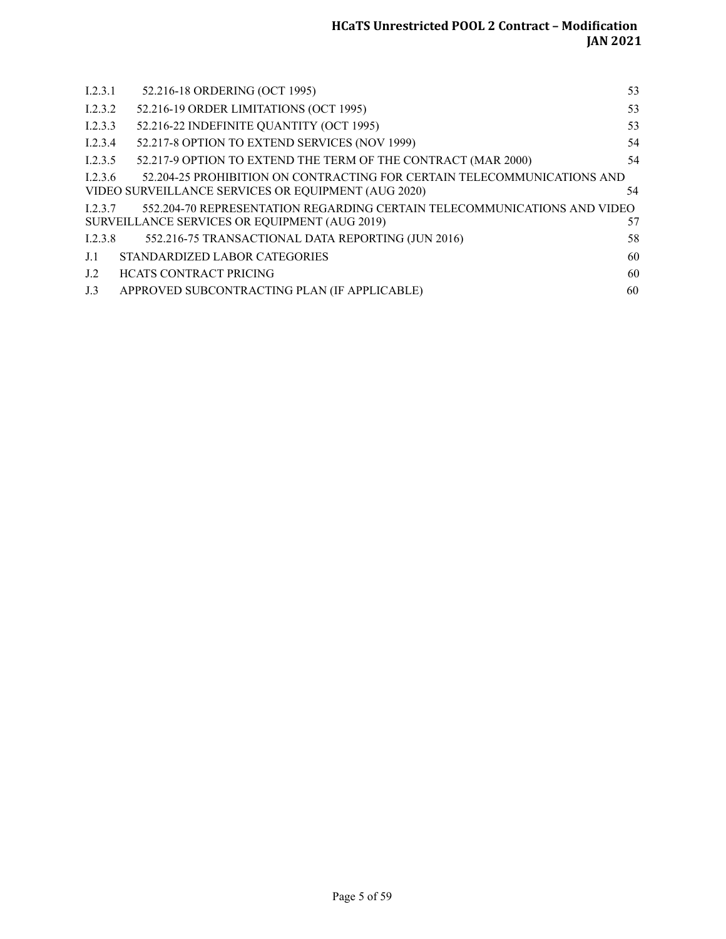| I.2.3.1 | 52.216-18 ORDERING (OCT 1995)                                            | 53 |
|---------|--------------------------------------------------------------------------|----|
|         |                                                                          |    |
| 1.2.3.2 | 52.216-19 ORDER LIMITATIONS (OCT 1995)                                   | 53 |
| I.2.3.3 | 52.216-22 INDEFINITE QUANTITY (OCT 1995)                                 | 53 |
| 1.2.3.4 | 52.217-8 OPTION TO EXTEND SERVICES (NOV 1999)                            | 54 |
| 1.2.3.5 | 52.217-9 OPTION TO EXTEND THE TERM OF THE CONTRACT (MAR 2000)            | 54 |
| 1.2.3.6 | 52.204-25 PROHIBITION ON CONTRACTING FOR CERTAIN TELECOMMUNICATIONS AND  |    |
|         | VIDEO SURVEILLANCE SERVICES OR EQUIPMENT (AUG 2020)                      | 54 |
| 1.2.3.7 | 552.204-70 REPRESENTATION REGARDING CERTAIN TELECOMMUNICATIONS AND VIDEO |    |
|         | SURVEILLANCE SERVICES OR EQUIPMENT (AUG 2019)                            | 57 |
| 1.2.3.8 | 552.216-75 TRANSACTIONAL DATA REPORTING (JUN 2016)                       | 58 |
| J.1     | STANDARDIZED LABOR CATEGORIES                                            | 60 |
| J.2     | <b>HCATS CONTRACT PRICING</b>                                            | 60 |
| J.3     | APPROVED SUBCONTRACTING PLAN (IF APPLICABLE)                             | 60 |
|         |                                                                          |    |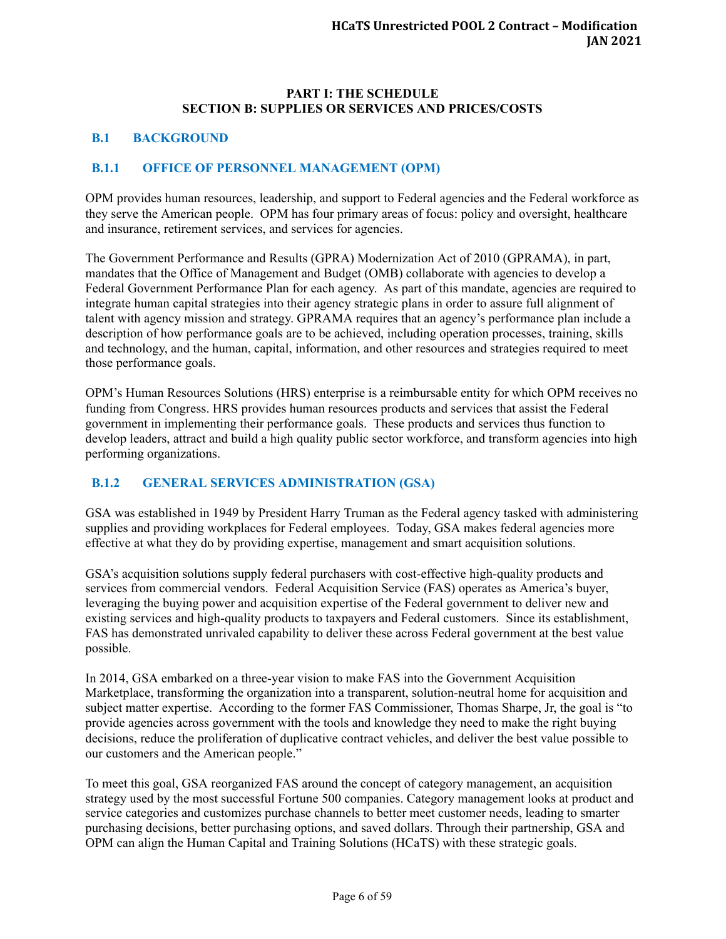#### **PART I: THE SCHEDULE SECTION B: SUPPLIES OR SERVICES AND PRICES/COSTS**

#### <span id="page-10-0"></span>**B.1 BACKGROUND**

#### <span id="page-10-1"></span>**B.1.1 OFFICE OF PERSONNEL MANAGEMENT (OPM)**

OPM provides human resources, leadership, and support to Federal agencies and the Federal workforce as they serve the American people. OPM has four primary areas of focus: policy and oversight, healthcare and insurance, retirement services, and services for agencies.

The Government Performance and Results (GPRA) Modernization Act of 2010 (GPRAMA), in part, mandates that the Office of Management and Budget (OMB) collaborate with agencies to develop a Federal Government Performance Plan for each agency. As part of this mandate, agencies are required to integrate human capital strategies into their agency strategic plans in order to assure full alignment of talent with agency mission and strategy. GPRAMA requires that an agency's performance plan include a description of how performance goals are to be achieved, including operation processes, training, skills and technology, and the human, capital, information, and other resources and strategies required to meet those performance goals.

OPM's Human Resources Solutions (HRS) enterprise is a reimbursable entity for which OPM receives no funding from Congress. HRS provides human resources products and services that assist the Federal government in implementing their performance goals. These products and services thus function to develop leaders, attract and build a high quality public sector workforce, and transform agencies into high performing organizations.

## <span id="page-10-2"></span>**B.1.2 GENERAL SERVICES ADMINISTRATION (GSA)**

GSA was established in 1949 by President Harry Truman as the Federal agency tasked with administering supplies and providing workplaces for Federal employees. Today, GSA makes federal agencies more effective at what they do by providing expertise, management and smart acquisition solutions.

GSA's acquisition solutions supply federal purchasers with cost-effective high-quality products and services from commercial vendors. Federal Acquisition Service (FAS) operates as America's buyer, leveraging the buying power and acquisition expertise of the Federal government to deliver new and existing services and high-quality products to taxpayers and Federal customers. Since its establishment, FAS has demonstrated unrivaled capability to deliver these across Federal government at the best value possible.

In 2014, GSA embarked on a three-year vision to make FAS into the Government Acquisition Marketplace, transforming the organization into a transparent, solution-neutral home for acquisition and subject matter expertise. According to the former FAS Commissioner, Thomas Sharpe, Jr, the goal is "to provide agencies across government with the tools and knowledge they need to make the right buying decisions, reduce the proliferation of duplicative contract vehicles, and deliver the best value possible to our customers and the American people."

To meet this goal, GSA reorganized FAS around the concept of category management, an acquisition strategy used by the most successful Fortune 500 companies. Category management looks at product and service categories and customizes purchase channels to better meet customer needs, leading to smarter purchasing decisions, better purchasing options, and saved dollars. Through their partnership, GSA and OPM can align the Human Capital and Training Solutions (HCaTS) with these strategic goals.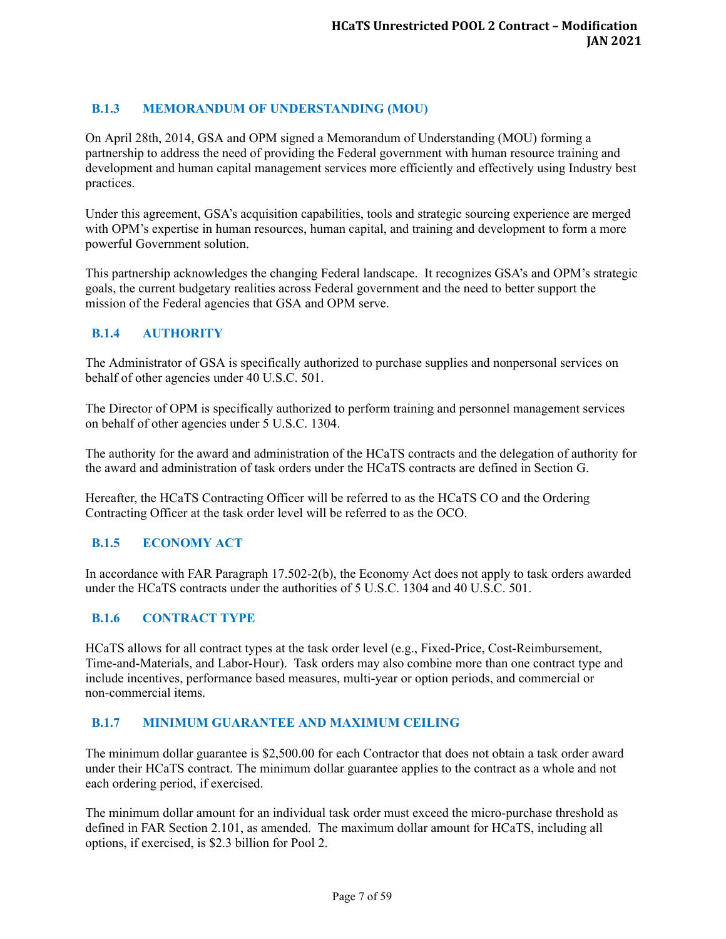## <span id="page-11-0"></span>**B.1.3 MEMORANDUM OF UNDERSTANDING (MOU)**

On April 28th, 2014, GSA and OPM signed a Memorandum of Understanding (MOU) forming a partnership to address the need of providing the Federal government with human resource training and development and human capital management services more efficiently and effectively using Industry best practices.

Under this agreement, GSA's acquisition capabilities, tools and strategic sourcing experience are merged with OPM's expertise in human resources, human capital, and training and development to form a more powerful Government solution.

This partnership acknowledges the changing Federal landscape. It recognizes GSA's and OPM's strategic goals, the current budgetary realities across Federal government and the need to better support the mission of the Federal agencies that GSA and OPM serve.

## <span id="page-11-1"></span>**B.1.4 AUTHORITY**

The Administrator of GSA is specifically authorized to purchase supplies and nonpersonal services on behalf of other agencies under 40 U.S.C. 501.

The Director of OPM is specifically authorized to perform training and personnel management services on behalf of other agencies under 5 U.S.C. 1304.

The authority for the award and administration of the HCaTS contracts and the delegation of authority for the award and administration of task orders under the HCaTS contracts are defined in Section G.

Hereafter, the HCaTS Contracting Officer will be referred to as the HCaTS CO and the Ordering Contracting Officer at the task order level will be referred to as the OCO.

#### <span id="page-11-2"></span>**B.1.5 ECONOMY ACT**

In accordance with FAR Paragraph 17.502-2(b), the Economy Act does not apply to task orders awarded under the HCaTS contracts under the authorities of 5 U.S.C. 1304 and 40 U.S.C. 501.

#### <span id="page-11-3"></span>**B.1.6 CONTRACT TYPE**

HCaTS allows for all contract types at the task order level (e.g., Fixed-Price, Cost-Reimbursement, Time-and-Materials, and Labor-Hour). Task orders may also combine more than one contract type and include incentives, performance based measures, multi-year or option periods, and commercial or non-commercial items.

#### <span id="page-11-4"></span>**B.1.7 MINIMUM GUARANTEE AND MAXIMUM CEILING**

The minimum dollar guarantee is \$2,500.00 for each Contractor that does not obtain a task order award under their HCaTS contract. The minimum dollar guarantee applies to the contract as a whole and not each ordering period, if exercised.

The minimum dollar amount for an individual task order must exceed the micro-purchase threshold as defined in FAR Section 2.101, as amended. The maximum dollar amount for HCaTS, including all options, if exercised, is \$2.3 billion for Pool 2.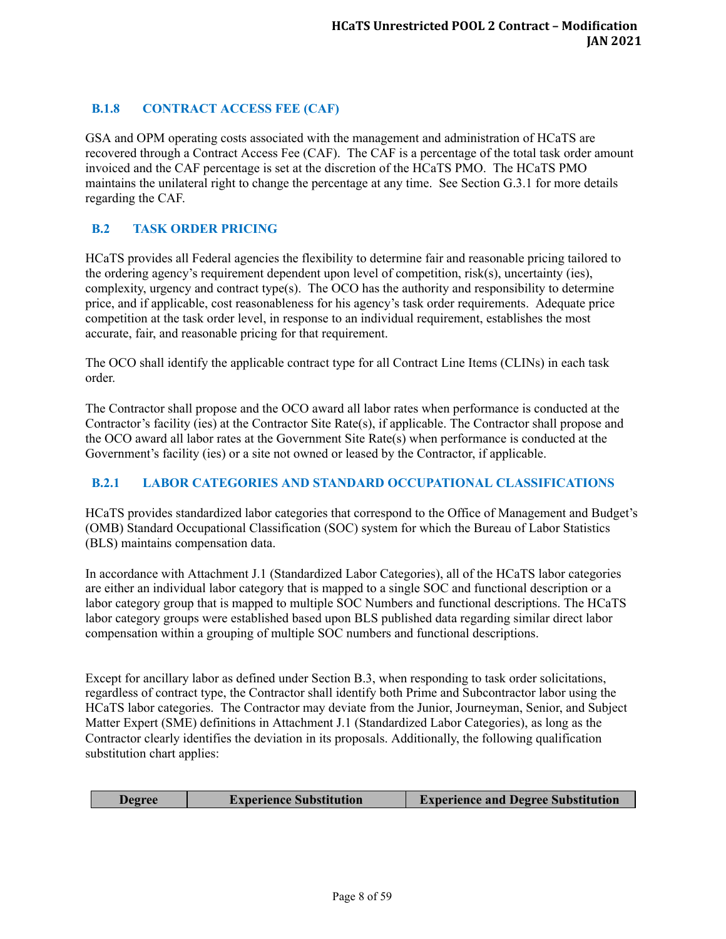# <span id="page-12-0"></span>**B.1.8 CONTRACT ACCESS FEE (CAF)**

GSA and OPM operating costs associated with the management and administration of HCaTS are recovered through a Contract Access Fee (CAF). The CAF is a percentage of the total task order amount invoiced and the CAF percentage is set at the discretion of the HCaTS PMO. The HCaTS PMO maintains the unilateral right to change the percentage at any time. See Section G.3.1 for more details regarding the CAF.

## <span id="page-12-1"></span>**B.2 TASK ORDER PRICING**

HCaTS provides all Federal agencies the flexibility to determine fair and reasonable pricing tailored to the ordering agency's requirement dependent upon level of competition, risk(s), uncertainty (ies), complexity, urgency and contract type(s). The OCO has the authority and responsibility to determine price, and if applicable, cost reasonableness for his agency's task order requirements. Adequate price competition at the task order level, in response to an individual requirement, establishes the most accurate, fair, and reasonable pricing for that requirement.

The OCO shall identify the applicable contract type for all Contract Line Items (CLINs) in each task order.

The Contractor shall propose and the OCO award all labor rates when performance is conducted at the Contractor's facility (ies) at the Contractor Site Rate(s), if applicable. The Contractor shall propose and the OCO award all labor rates at the Government Site Rate(s) when performance is conducted at the Government's facility (ies) or a site not owned or leased by the Contractor, if applicable.

## <span id="page-12-2"></span>**B.2.1 LABOR CATEGORIES AND STANDARD OCCUPATIONAL CLASSIFICATIONS**

HCaTS provides standardized labor categories that correspond to the Office of Management and Budget's (OMB) Standard Occupational Classification (SOC) system for which the Bureau of Labor Statistics (BLS) maintains compensation data.

In accordance with Attachment J.1 (Standardized Labor Categories), all of the HCaTS labor categories are either an individual labor category that is mapped to a single SOC and functional description or a labor category group that is mapped to multiple SOC Numbers and functional descriptions. The HCaTS labor category groups were established based upon BLS published data regarding similar direct labor compensation within a grouping of multiple SOC numbers and functional descriptions.

Except for ancillary labor as defined under Section B.3, when responding to task order solicitations, regardless of contract type, the Contractor shall identify both Prime and Subcontractor labor using the HCaTS labor categories. The Contractor may deviate from the Junior, Journeyman, Senior, and Subject Matter Expert (SME) definitions in Attachment J.1 (Standardized Labor Categories), as long as the Contractor clearly identifies the deviation in its proposals. Additionally, the following qualification substitution chart applies:

|  | <b>Degree</b> | <b>Experience Substitution</b> | <b>Experience and Degree Substitution</b> |
|--|---------------|--------------------------------|-------------------------------------------|
|--|---------------|--------------------------------|-------------------------------------------|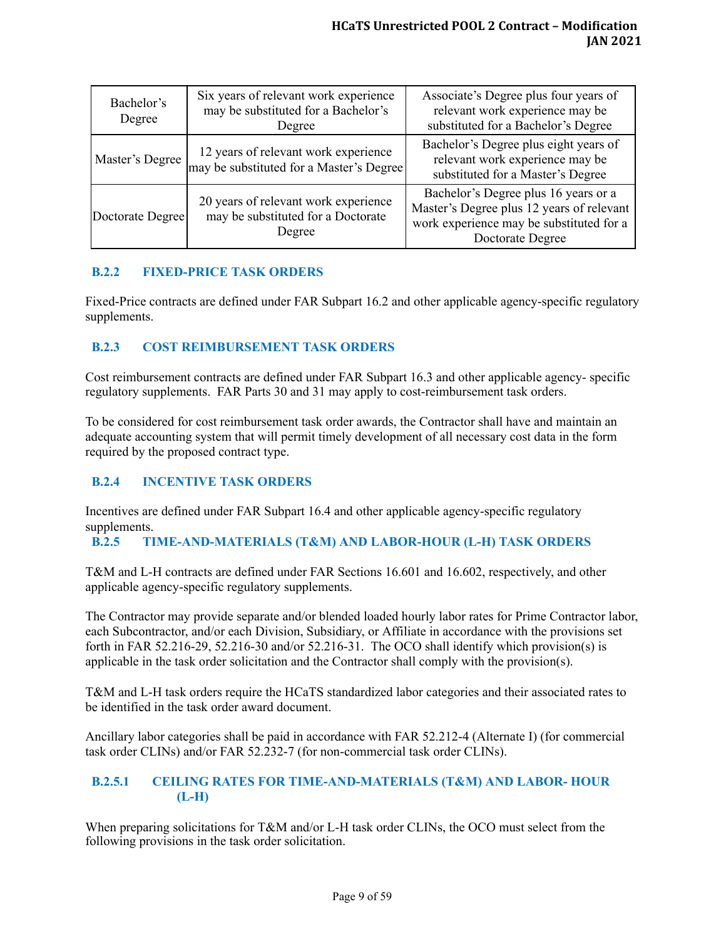| Bachelor's<br>Degree | Six years of relevant work experience<br>may be substituted for a Bachelor's<br>Degree | Associate's Degree plus four years of<br>relevant work experience may be<br>substituted for a Bachelor's Degree                                   |
|----------------------|----------------------------------------------------------------------------------------|---------------------------------------------------------------------------------------------------------------------------------------------------|
| Master's Degree      | 12 years of relevant work experience<br>may be substituted for a Master's Degree       | Bachelor's Degree plus eight years of<br>relevant work experience may be<br>substituted for a Master's Degree                                     |
| Doctorate Degree     | 20 years of relevant work experience<br>may be substituted for a Doctorate<br>Degree   | Bachelor's Degree plus 16 years or a<br>Master's Degree plus 12 years of relevant<br>work experience may be substituted for a<br>Doctorate Degree |

## <span id="page-13-0"></span>**B.2.2 FIXED-PRICE TASK ORDERS**

Fixed-Price contracts are defined under FAR Subpart 16.2 and other applicable agency-specific regulatory supplements.

## <span id="page-13-1"></span>**B.2.3 COST REIMBURSEMENT TASK ORDERS**

Cost reimbursement contracts are defined under FAR Subpart 16.3 and other applicable agency- specific regulatory supplements. FAR Parts 30 and 31 may apply to cost-reimbursement task orders.

To be considered for cost reimbursement task order awards, the Contractor shall have and maintain an adequate accounting system that will permit timely development of all necessary cost data in the form required by the proposed contract type.

## <span id="page-13-2"></span>**B.2.4 INCENTIVE TASK ORDERS**

Incentives are defined under FAR Subpart 16.4 and other applicable agency-specific regulatory supplements.

## <span id="page-13-3"></span>**B.2.5 TIME-AND-MATERIALS (T&M) AND LABOR-HOUR (L-H) TASK ORDERS**

T&M and L-H contracts are defined under FAR Sections 16.601 and 16.602, respectively, and other applicable agency-specific regulatory supplements.

The Contractor may provide separate and/or blended loaded hourly labor rates for Prime Contractor labor, each Subcontractor, and/or each Division, Subsidiary, or Affiliate in accordance with the provisions set forth in FAR 52.216-29, 52.216-30 and/or 52.216-31. The OCO shall identify which provision(s) is applicable in the task order solicitation and the Contractor shall comply with the provision(s).

T&M and L-H task orders require the HCaTS standardized labor categories and their associated rates to be identified in the task order award document.

Ancillary labor categories shall be paid in accordance with FAR 52.212-4 (Alternate I) (for commercial task order CLINs) and/or FAR 52.232-7 (for non-commercial task order CLINs).

### <span id="page-13-4"></span>**B.2.5.1 CEILING RATES FOR TIME-AND-MATERIALS (T&M) AND LABOR- HOUR (L-H)**

When preparing solicitations for T&M and/or L-H task order CLINs, the OCO must select from the following provisions in the task order solicitation.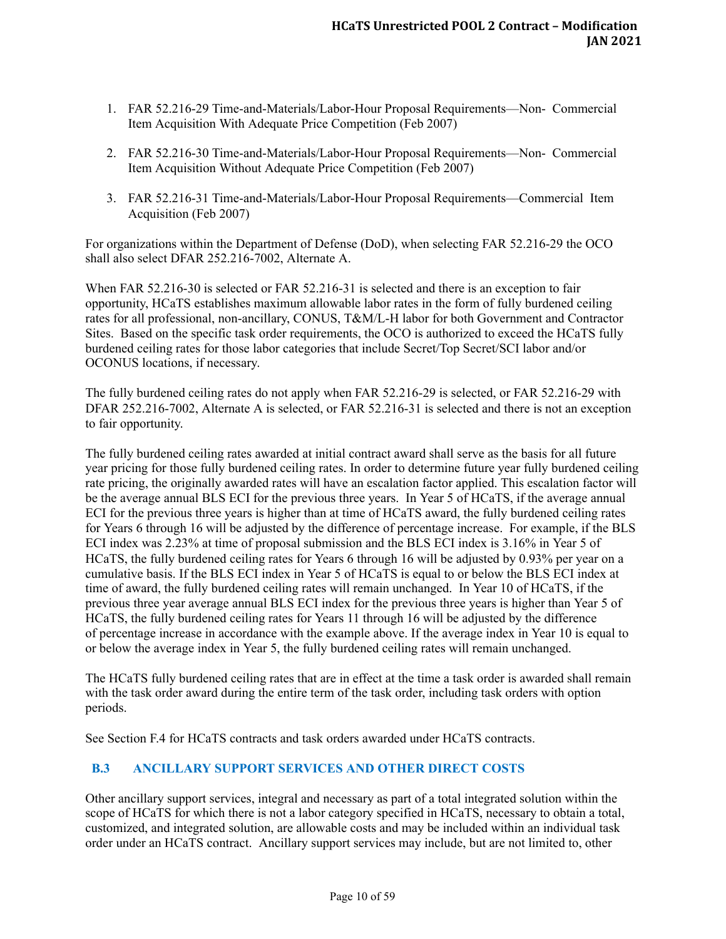- 1. FAR 52.216-29 Time-and-Materials/Labor-Hour Proposal Requirements—Non- Commercial Item Acquisition With Adequate Price Competition (Feb 2007)
- 2. FAR 52.216-30 Time-and-Materials/Labor-Hour Proposal Requirements—Non- Commercial Item Acquisition Without Adequate Price Competition (Feb 2007)
- 3. FAR 52.216-31 Time-and-Materials/Labor-Hour Proposal Requirements—Commercial Item Acquisition (Feb 2007)

For organizations within the Department of Defense (DoD), when selecting FAR 52.216-29 the OCO shall also select DFAR 252.216-7002, Alternate A.

When FAR 52.216-30 is selected or FAR 52.216-31 is selected and there is an exception to fair opportunity, HCaTS establishes maximum allowable labor rates in the form of fully burdened ceiling rates for all professional, non-ancillary, CONUS, T&M/L-H labor for both Government and Contractor Sites. Based on the specific task order requirements, the OCO is authorized to exceed the HCaTS fully burdened ceiling rates for those labor categories that include Secret/Top Secret/SCI labor and/or OCONUS locations, if necessary.

The fully burdened ceiling rates do not apply when FAR 52.216-29 is selected, or FAR 52.216-29 with DFAR 252.216-7002, Alternate A is selected, or FAR 52.216-31 is selected and there is not an exception to fair opportunity.

The fully burdened ceiling rates awarded at initial contract award shall serve as the basis for all future year pricing for those fully burdened ceiling rates. In order to determine future year fully burdened ceiling rate pricing, the originally awarded rates will have an escalation factor applied. This escalation factor will be the average annual BLS ECI for the previous three years. In Year 5 of HCaTS, if the average annual ECI for the previous three years is higher than at time of HCaTS award, the fully burdened ceiling rates for Years 6 through 16 will be adjusted by the difference of percentage increase. For example, if the BLS ECI index was 2.23% at time of proposal submission and the BLS ECI index is 3.16% in Year 5 of HCaTS, the fully burdened ceiling rates for Years 6 through 16 will be adjusted by 0.93% per year on a cumulative basis. If the BLS ECI index in Year 5 of HCaTS is equal to or below the BLS ECI index at time of award, the fully burdened ceiling rates will remain unchanged. In Year 10 of HCaTS, if the previous three year average annual BLS ECI index for the previous three years is higher than Year 5 of HCaTS, the fully burdened ceiling rates for Years 11 through 16 will be adjusted by the difference of percentage increase in accordance with the example above. If the average index in Year 10 is equal to or below the average index in Year 5, the fully burdened ceiling rates will remain unchanged.

The HCaTS fully burdened ceiling rates that are in effect at the time a task order is awarded shall remain with the task order award during the entire term of the task order, including task orders with option periods.

See Section F.4 for HCaTS contracts and task orders awarded under HCaTS contracts.

## <span id="page-14-0"></span>**B.3 ANCILLARY SUPPORT SERVICES AND OTHER DIRECT COSTS**

Other ancillary support services, integral and necessary as part of a total integrated solution within the scope of HCaTS for which there is not a labor category specified in HCaTS, necessary to obtain a total, customized, and integrated solution, are allowable costs and may be included within an individual task order under an HCaTS contract. Ancillary support services may include, but are not limited to, other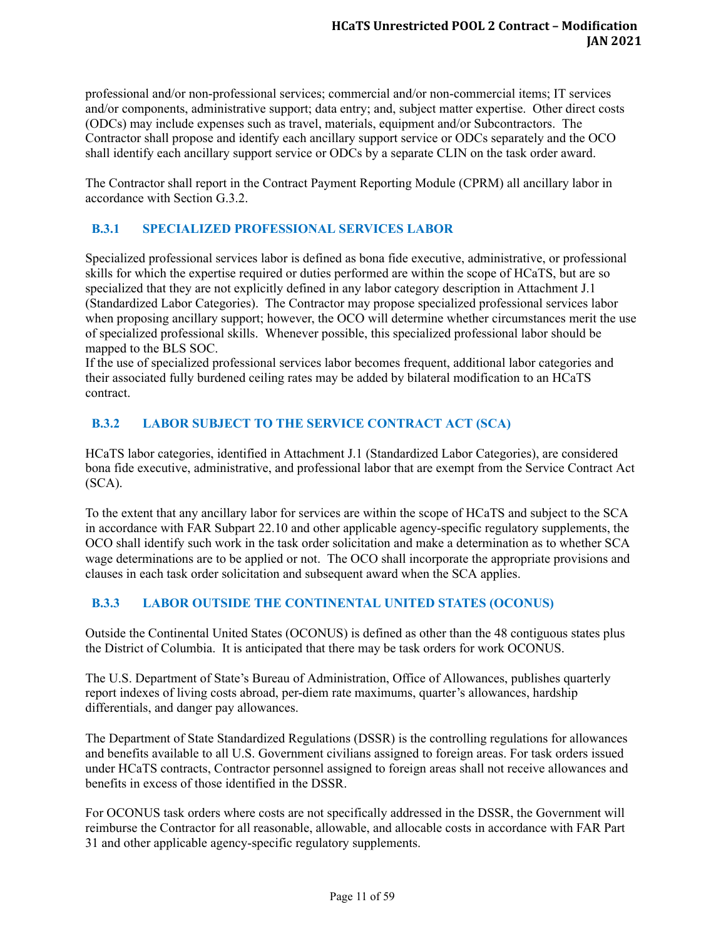professional and/or non-professional services; commercial and/or non-commercial items; IT services and/or components, administrative support; data entry; and, subject matter expertise. Other direct costs (ODCs) may include expenses such as travel, materials, equipment and/or Subcontractors. The Contractor shall propose and identify each ancillary support service or ODCs separately and the OCO shall identify each ancillary support service or ODCs by a separate CLIN on the task order award.

The Contractor shall report in the Contract Payment Reporting Module (CPRM) all ancillary labor in accordance with Section G.3.2.

# <span id="page-15-0"></span>**B.3.1 SPECIALIZED PROFESSIONAL SERVICES LABOR**

Specialized professional services labor is defined as bona fide executive, administrative, or professional skills for which the expertise required or duties performed are within the scope of HCaTS, but are so specialized that they are not explicitly defined in any labor category description in Attachment J.1 (Standardized Labor Categories). The Contractor may propose specialized professional services labor when proposing ancillary support; however, the OCO will determine whether circumstances merit the use of specialized professional skills. Whenever possible, this specialized professional labor should be mapped to the BLS SOC.

If the use of specialized professional services labor becomes frequent, additional labor categories and their associated fully burdened ceiling rates may be added by bilateral modification to an HCaTS contract.

# <span id="page-15-1"></span>**B.3.2 LABOR SUBJECT TO THE SERVICE CONTRACT ACT (SCA)**

HCaTS labor categories, identified in Attachment J.1 (Standardized Labor Categories), are considered bona fide executive, administrative, and professional labor that are exempt from the Service Contract Act (SCA).

To the extent that any ancillary labor for services are within the scope of HCaTS and subject to the SCA in accordance with FAR Subpart 22.10 and other applicable agency-specific regulatory supplements, the OCO shall identify such work in the task order solicitation and make a determination as to whether SCA wage determinations are to be applied or not. The OCO shall incorporate the appropriate provisions and clauses in each task order solicitation and subsequent award when the SCA applies.

## <span id="page-15-2"></span>**B.3.3 LABOR OUTSIDE THE CONTINENTAL UNITED STATES (OCONUS)**

Outside the Continental United States (OCONUS) is defined as other than the 48 contiguous states plus the District of Columbia. It is anticipated that there may be task orders for work OCONUS.

The U.S. Department of State's Bureau of Administration, Office of Allowances, publishes quarterly report indexes of living costs abroad, per-diem rate maximums, quarter's allowances, hardship differentials, and danger pay allowances.

The Department of State Standardized Regulations (DSSR) is the controlling regulations for allowances and benefits available to all U.S. Government civilians assigned to foreign areas. For task orders issued under HCaTS contracts, Contractor personnel assigned to foreign areas shall not receive allowances and benefits in excess of those identified in the DSSR.

For OCONUS task orders where costs are not specifically addressed in the DSSR, the Government will reimburse the Contractor for all reasonable, allowable, and allocable costs in accordance with FAR Part 31 and other applicable agency-specific regulatory supplements.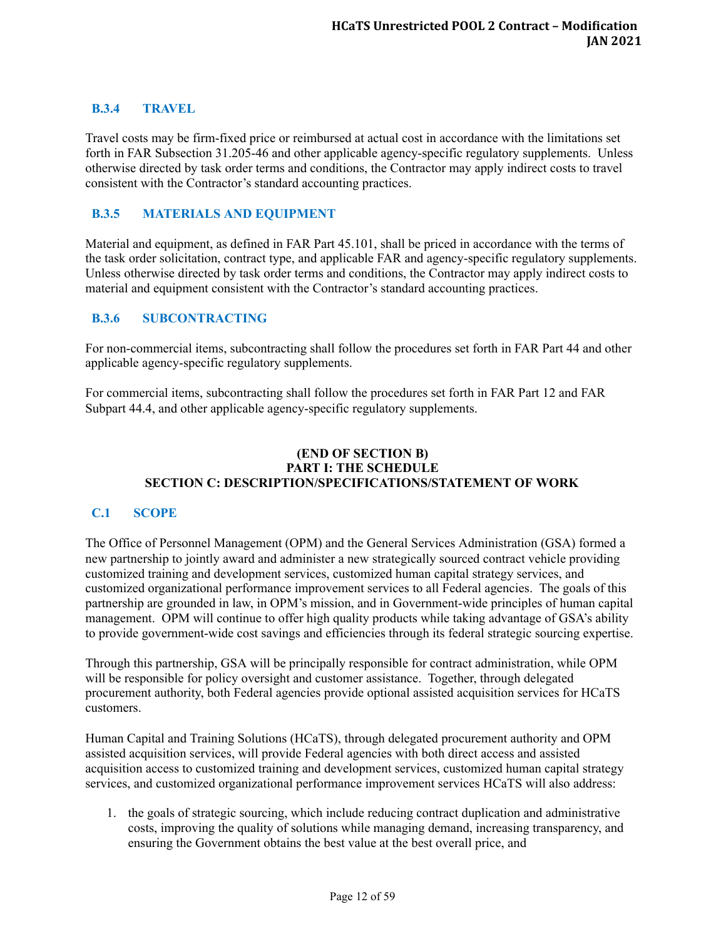## <span id="page-16-0"></span>**B.3.4 TRAVEL**

Travel costs may be firm-fixed price or reimbursed at actual cost in accordance with the limitations set forth in FAR Subsection 31.205-46 and other applicable agency-specific regulatory supplements. Unless otherwise directed by task order terms and conditions, the Contractor may apply indirect costs to travel consistent with the Contractor's standard accounting practices.

## <span id="page-16-1"></span>**B.3.5 MATERIALS AND EQUIPMENT**

Material and equipment, as defined in FAR Part 45.101, shall be priced in accordance with the terms of the task order solicitation, contract type, and applicable FAR and agency-specific regulatory supplements. Unless otherwise directed by task order terms and conditions, the Contractor may apply indirect costs to material and equipment consistent with the Contractor's standard accounting practices.

#### <span id="page-16-2"></span>**B.3.6 SUBCONTRACTING**

For non-commercial items, subcontracting shall follow the procedures set forth in FAR Part 44 and other applicable agency-specific regulatory supplements.

For commercial items, subcontracting shall follow the procedures set forth in FAR Part 12 and FAR Subpart 44.4, and other applicable agency-specific regulatory supplements.

#### **(END OF SECTION B) PART I: THE SCHEDULE SECTION C: DESCRIPTION/SPECIFICATIONS/STATEMENT OF WORK**

#### <span id="page-16-3"></span>**C.1 SCOPE**

The Office of Personnel Management (OPM) and the General Services Administration (GSA) formed a new partnership to jointly award and administer a new strategically sourced contract vehicle providing customized training and development services, customized human capital strategy services, and customized organizational performance improvement services to all Federal agencies. The goals of this partnership are grounded in law, in OPM's mission, and in Government-wide principles of human capital management. OPM will continue to offer high quality products while taking advantage of GSA's ability to provide government-wide cost savings and efficiencies through its federal strategic sourcing expertise.

Through this partnership, GSA will be principally responsible for contract administration, while OPM will be responsible for policy oversight and customer assistance. Together, through delegated procurement authority, both Federal agencies provide optional assisted acquisition services for HCaTS customers.

Human Capital and Training Solutions (HCaTS), through delegated procurement authority and OPM assisted acquisition services, will provide Federal agencies with both direct access and assisted acquisition access to customized training and development services, customized human capital strategy services, and customized organizational performance improvement services HCaTS will also address:

1. the goals of strategic sourcing, which include reducing contract duplication and administrative costs, improving the quality of solutions while managing demand, increasing transparency, and ensuring the Government obtains the best value at the best overall price, and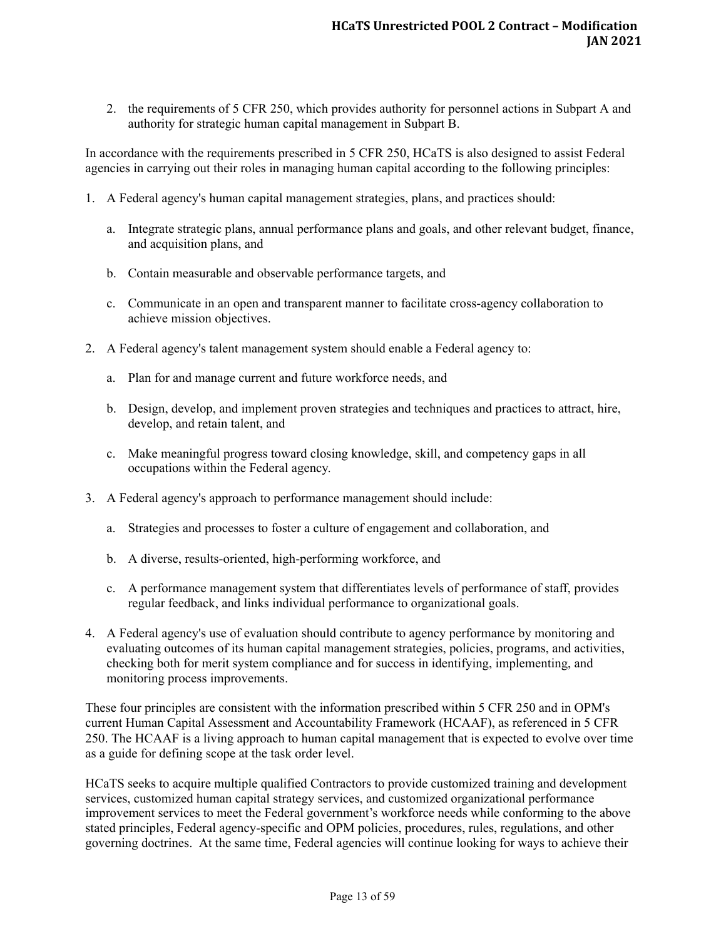2. the requirements of 5 CFR 250, which provides authority for personnel actions in Subpart A and authority for strategic human capital management in Subpart B.

In accordance with the requirements prescribed in 5 CFR 250, HCaTS is also designed to assist Federal agencies in carrying out their roles in managing human capital according to the following principles:

- 1. A Federal agency's human capital management strategies, plans, and practices should:
	- a. Integrate strategic plans, annual performance plans and goals, and other relevant budget, finance, and acquisition plans, and
	- b. Contain measurable and observable performance targets, and
	- c. Communicate in an open and transparent manner to facilitate cross-agency collaboration to achieve mission objectives.
- 2. A Federal agency's talent management system should enable a Federal agency to:
	- a. Plan for and manage current and future workforce needs, and
	- b. Design, develop, and implement proven strategies and techniques and practices to attract, hire, develop, and retain talent, and
	- c. Make meaningful progress toward closing knowledge, skill, and competency gaps in all occupations within the Federal agency.
- 3. A Federal agency's approach to performance management should include:
	- a. Strategies and processes to foster a culture of engagement and collaboration, and
	- b. A diverse, results-oriented, high-performing workforce, and
	- c. A performance management system that differentiates levels of performance of staff, provides regular feedback, and links individual performance to organizational goals.
- 4. A Federal agency's use of evaluation should contribute to agency performance by monitoring and evaluating outcomes of its human capital management strategies, policies, programs, and activities, checking both for merit system compliance and for success in identifying, implementing, and monitoring process improvements.

These four principles are consistent with the information prescribed within 5 CFR 250 and in OPM's current Human Capital Assessment and Accountability Framework (HCAAF), as referenced in 5 CFR 250. The HCAAF is a living approach to human capital management that is expected to evolve over time as a guide for defining scope at the task order level.

HCaTS seeks to acquire multiple qualified Contractors to provide customized training and development services, customized human capital strategy services, and customized organizational performance improvement services to meet the Federal government's workforce needs while conforming to the above stated principles, Federal agency-specific and OPM policies, procedures, rules, regulations, and other governing doctrines. At the same time, Federal agencies will continue looking for ways to achieve their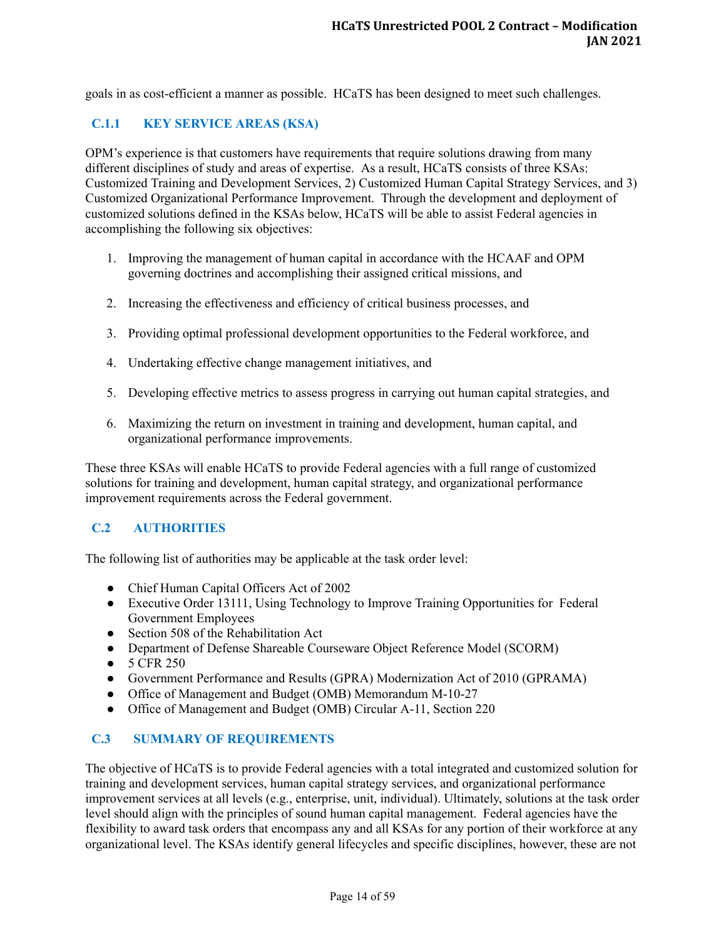goals in as cost-efficient a manner as possible. HCaTS has been designed to meet such challenges.

# <span id="page-18-0"></span>**C.1.1 KEY SERVICE AREAS (KSA)**

OPM's experience is that customers have requirements that require solutions drawing from many different disciplines of study and areas of expertise. As a result, HCaTS consists of three KSAs: Customized Training and Development Services, 2) Customized Human Capital Strategy Services, and 3) Customized Organizational Performance Improvement. Through the development and deployment of customized solutions defined in the KSAs below, HCaTS will be able to assist Federal agencies in accomplishing the following six objectives:

- 1. Improving the management of human capital in accordance with the HCAAF and OPM governing doctrines and accomplishing their assigned critical missions, and
- 2. Increasing the effectiveness and efficiency of critical business processes, and
- 3. Providing optimal professional development opportunities to the Federal workforce, and
- 4. Undertaking effective change management initiatives, and
- 5. Developing effective metrics to assess progress in carrying out human capital strategies, and
- 6. Maximizing the return on investment in training and development, human capital, and organizational performance improvements.

These three KSAs will enable HCaTS to provide Federal agencies with a full range of customized solutions for training and development, human capital strategy, and organizational performance improvement requirements across the Federal government.

## <span id="page-18-1"></span>**C.2 AUTHORITIES**

The following list of authorities may be applicable at the task order level:

- Chief Human Capital Officers Act of 2002
- Executive Order 13111, Using Technology to Improve Training Opportunities for Federal Government Employees
- Section 508 of the Rehabilitation Act
- Department of Defense Shareable Courseware Object Reference Model (SCORM)
- 5 CFR 250
- Government Performance and Results (GPRA) Modernization Act of 2010 (GPRAMA)
- Office of Management and Budget (OMB) Memorandum M-10-27
- Office of Management and Budget (OMB) Circular A-11, Section 220

#### <span id="page-18-2"></span>**C.3 SUMMARY OF REQUIREMENTS**

The objective of HCaTS is to provide Federal agencies with a total integrated and customized solution for training and development services, human capital strategy services, and organizational performance improvement services at all levels (e.g., enterprise, unit, individual). Ultimately, solutions at the task order level should align with the principles of sound human capital management. Federal agencies have the flexibility to award task orders that encompass any and all KSAs for any portion of their workforce at any organizational level. The KSAs identify general lifecycles and specific disciplines, however, these are not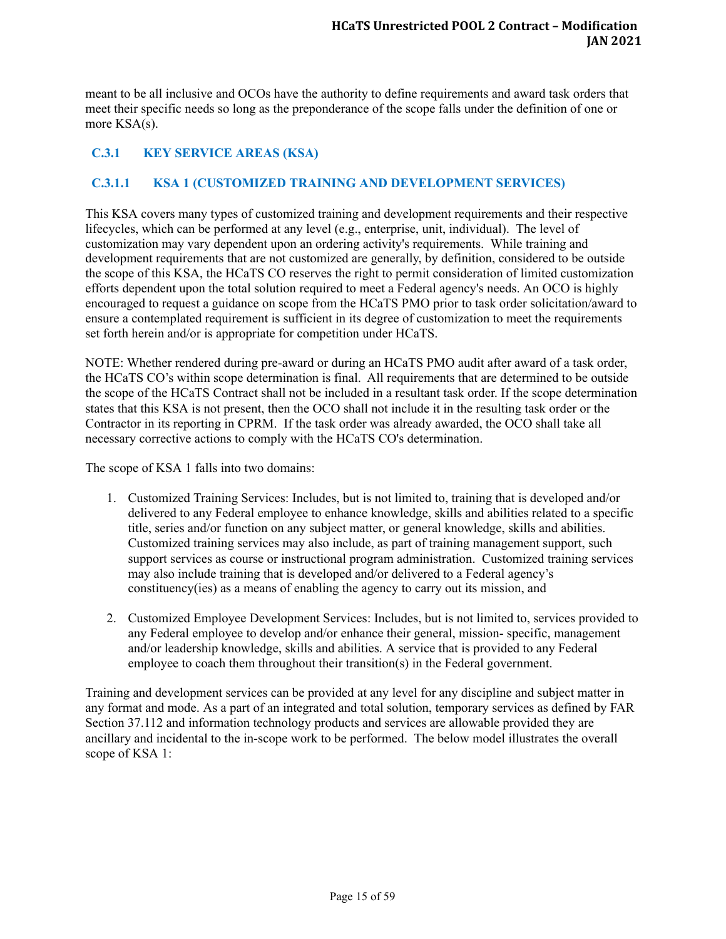meant to be all inclusive and OCOs have the authority to define requirements and award task orders that meet their specific needs so long as the preponderance of the scope falls under the definition of one or more KSA(s).

# <span id="page-19-0"></span>**C.3.1 KEY SERVICE AREAS (KSA)**

## <span id="page-19-1"></span>**C.3.1.1 KSA 1 (CUSTOMIZED TRAINING AND DEVELOPMENT SERVICES)**

This KSA covers many types of customized training and development requirements and their respective lifecycles, which can be performed at any level (e.g., enterprise, unit, individual). The level of customization may vary dependent upon an ordering activity's requirements. While training and development requirements that are not customized are generally, by definition, considered to be outside the scope of this KSA, the HCaTS CO reserves the right to permit consideration of limited customization efforts dependent upon the total solution required to meet a Federal agency's needs. An OCO is highly encouraged to request a guidance on scope from the HCaTS PMO prior to task order solicitation/award to ensure a contemplated requirement is sufficient in its degree of customization to meet the requirements set forth herein and/or is appropriate for competition under HCaTS.

NOTE: Whether rendered during pre-award or during an HCaTS PMO audit after award of a task order, the HCaTS CO's within scope determination is final. All requirements that are determined to be outside the scope of the HCaTS Contract shall not be included in a resultant task order. If the scope determination states that this KSA is not present, then the OCO shall not include it in the resulting task order or the Contractor in its reporting in CPRM. If the task order was already awarded, the OCO shall take all necessary corrective actions to comply with the HCaTS CO's determination.

The scope of KSA 1 falls into two domains:

- 1. Customized Training Services: Includes, but is not limited to, training that is developed and/or delivered to any Federal employee to enhance knowledge, skills and abilities related to a specific title, series and/or function on any subject matter, or general knowledge, skills and abilities. Customized training services may also include, as part of training management support, such support services as course or instructional program administration. Customized training services may also include training that is developed and/or delivered to a Federal agency's constituency(ies) as a means of enabling the agency to carry out its mission, and
- 2. Customized Employee Development Services: Includes, but is not limited to, services provided to any Federal employee to develop and/or enhance their general, mission- specific, management and/or leadership knowledge, skills and abilities. A service that is provided to any Federal employee to coach them throughout their transition(s) in the Federal government.

Training and development services can be provided at any level for any discipline and subject matter in any format and mode. As a part of an integrated and total solution, temporary services as defined by FAR Section 37.112 and information technology products and services are allowable provided they are ancillary and incidental to the in-scope work to be performed. The below model illustrates the overall scope of KSA 1: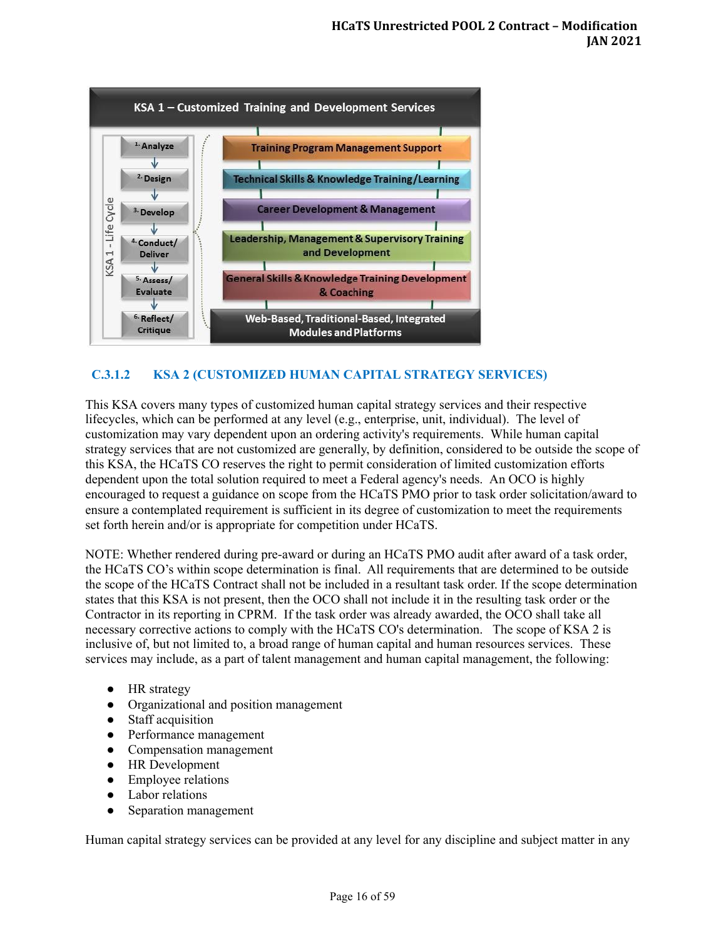

## <span id="page-20-0"></span>**C.3.1.2 KSA 2 (CUSTOMIZED HUMAN CAPITAL STRATEGY SERVICES)**

This KSA covers many types of customized human capital strategy services and their respective lifecycles, which can be performed at any level (e.g., enterprise, unit, individual). The level of customization may vary dependent upon an ordering activity's requirements. While human capital strategy services that are not customized are generally, by definition, considered to be outside the scope of this KSA, the HCaTS CO reserves the right to permit consideration of limited customization efforts dependent upon the total solution required to meet a Federal agency's needs. An OCO is highly encouraged to request a guidance on scope from the HCaTS PMO prior to task order solicitation/award to ensure a contemplated requirement is sufficient in its degree of customization to meet the requirements set forth herein and/or is appropriate for competition under HCaTS.

NOTE: Whether rendered during pre-award or during an HCaTS PMO audit after award of a task order, the HCaTS CO's within scope determination is final. All requirements that are determined to be outside the scope of the HCaTS Contract shall not be included in a resultant task order. If the scope determination states that this KSA is not present, then the OCO shall not include it in the resulting task order or the Contractor in its reporting in CPRM. If the task order was already awarded, the OCO shall take all necessary corrective actions to comply with the HCaTS CO's determination. The scope of KSA 2 is inclusive of, but not limited to, a broad range of human capital and human resources services. These services may include, as a part of talent management and human capital management, the following:

- HR strategy
- Organizational and position management
- Staff acquisition
- Performance management
- Compensation management
- HR Development
- Employee relations
- Labor relations
- Separation management

Human capital strategy services can be provided at any level for any discipline and subject matter in any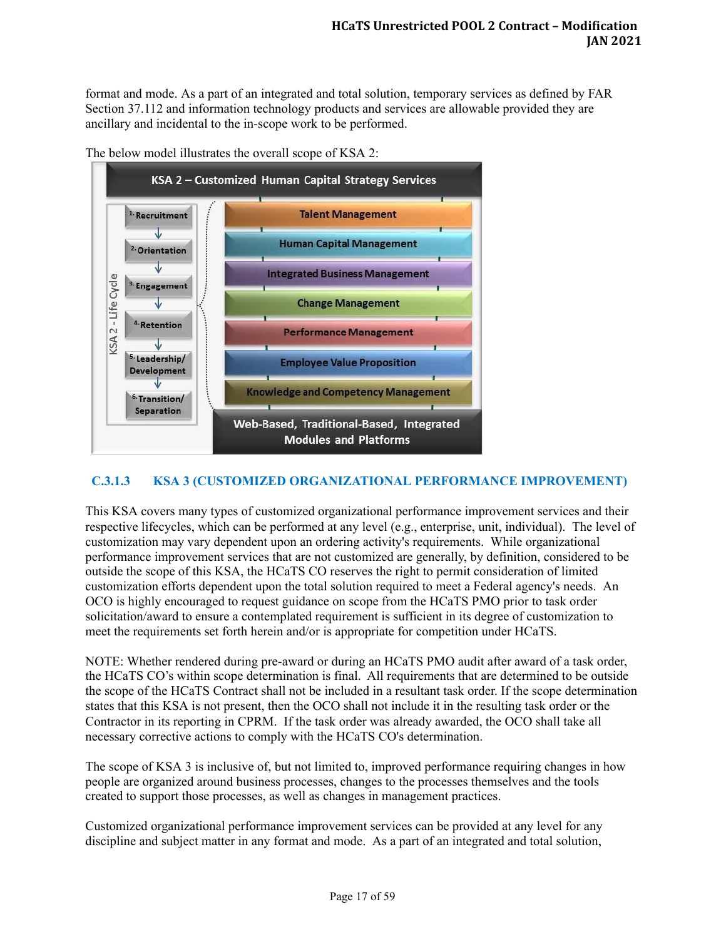format and mode. As a part of an integrated and total solution, temporary services as defined by FAR Section 37.112 and information technology products and services are allowable provided they are ancillary and incidental to the in-scope work to be performed.





## <span id="page-21-0"></span>**C.3.1.3 KSA 3 (CUSTOMIZED ORGANIZATIONAL PERFORMANCE IMPROVEMENT)**

This KSA covers many types of customized organizational performance improvement services and their respective lifecycles, which can be performed at any level (e.g., enterprise, unit, individual). The level of customization may vary dependent upon an ordering activity's requirements. While organizational performance improvement services that are not customized are generally, by definition, considered to be outside the scope of this KSA, the HCaTS CO reserves the right to permit consideration of limited customization efforts dependent upon the total solution required to meet a Federal agency's needs. An OCO is highly encouraged to request guidance on scope from the HCaTS PMO prior to task order solicitation/award to ensure a contemplated requirement is sufficient in its degree of customization to meet the requirements set forth herein and/or is appropriate for competition under HCaTS.

NOTE: Whether rendered during pre-award or during an HCaTS PMO audit after award of a task order, the HCaTS CO's within scope determination is final. All requirements that are determined to be outside the scope of the HCaTS Contract shall not be included in a resultant task order. If the scope determination states that this KSA is not present, then the OCO shall not include it in the resulting task order or the Contractor in its reporting in CPRM. If the task order was already awarded, the OCO shall take all necessary corrective actions to comply with the HCaTS CO's determination.

The scope of KSA 3 is inclusive of, but not limited to, improved performance requiring changes in how people are organized around business processes, changes to the processes themselves and the tools created to support those processes, as well as changes in management practices.

Customized organizational performance improvement services can be provided at any level for any discipline and subject matter in any format and mode. As a part of an integrated and total solution,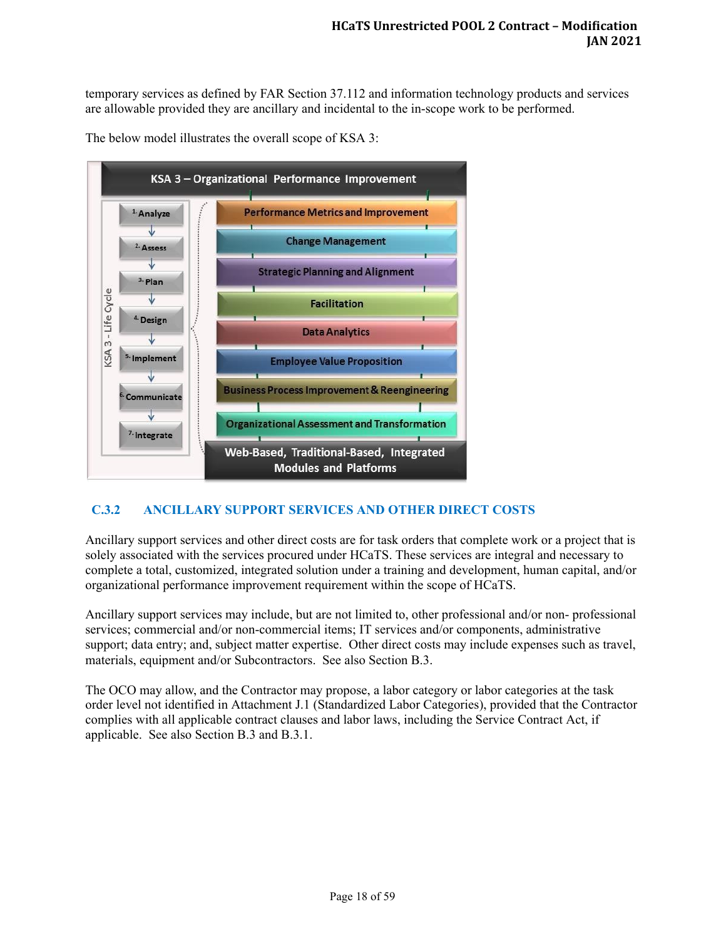temporary services as defined by FAR Section 37.112 and information technology products and services are allowable provided they are ancillary and incidental to the in-scope work to be performed.

The below model illustrates the overall scope of KSA 3:



## <span id="page-22-0"></span>**C.3.2 ANCILLARY SUPPORT SERVICES AND OTHER DIRECT COSTS**

Ancillary support services and other direct costs are for task orders that complete work or a project that is solely associated with the services procured under HCaTS. These services are integral and necessary to complete a total, customized, integrated solution under a training and development, human capital, and/or organizational performance improvement requirement within the scope of HCaTS.

Ancillary support services may include, but are not limited to, other professional and/or non- professional services; commercial and/or non-commercial items; IT services and/or components, administrative support; data entry; and, subject matter expertise. Other direct costs may include expenses such as travel, materials, equipment and/or Subcontractors. See also Section B.3.

The OCO may allow, and the Contractor may propose, a labor category or labor categories at the task order level not identified in Attachment J.1 (Standardized Labor Categories), provided that the Contractor complies with all applicable contract clauses and labor laws, including the Service Contract Act, if applicable. See also Section B.3 and B.3.1.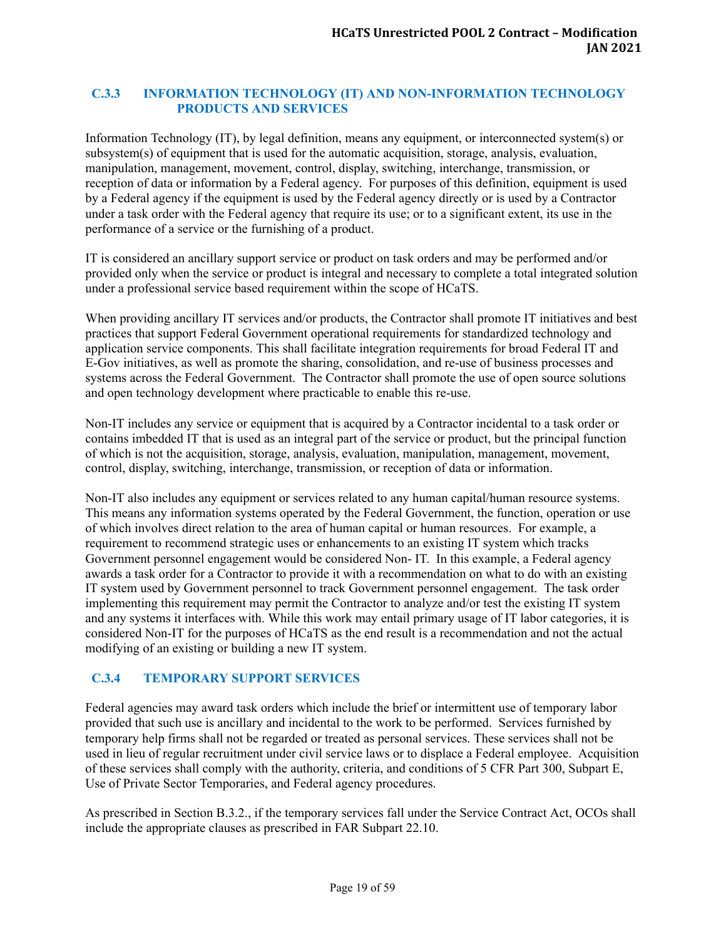## <span id="page-23-0"></span>**C.3.3 INFORMATION TECHNOLOGY (IT) AND NON-INFORMATION TECHNOLOGY PRODUCTS AND SERVICES**

Information Technology (IT), by legal definition, means any equipment, or interconnected system(s) or subsystem(s) of equipment that is used for the automatic acquisition, storage, analysis, evaluation, manipulation, management, movement, control, display, switching, interchange, transmission, or reception of data or information by a Federal agency. For purposes of this definition, equipment is used by a Federal agency if the equipment is used by the Federal agency directly or is used by a Contractor under a task order with the Federal agency that require its use; or to a significant extent, its use in the performance of a service or the furnishing of a product.

IT is considered an ancillary support service or product on task orders and may be performed and/or provided only when the service or product is integral and necessary to complete a total integrated solution under a professional service based requirement within the scope of HCaTS.

When providing ancillary IT services and/or products, the Contractor shall promote IT initiatives and best practices that support Federal Government operational requirements for standardized technology and application service components. This shall facilitate integration requirements for broad Federal IT and E-Gov initiatives, as well as promote the sharing, consolidation, and re-use of business processes and systems across the Federal Government. The Contractor shall promote the use of open source solutions and open technology development where practicable to enable this re-use.

Non-IT includes any service or equipment that is acquired by a Contractor incidental to a task order or contains imbedded IT that is used as an integral part of the service or product, but the principal function of which is not the acquisition, storage, analysis, evaluation, manipulation, management, movement, control, display, switching, interchange, transmission, or reception of data or information.

Non-IT also includes any equipment or services related to any human capital/human resource systems. This means any information systems operated by the Federal Government, the function, operation or use of which involves direct relation to the area of human capital or human resources. For example, a requirement to recommend strategic uses or enhancements to an existing IT system which tracks Government personnel engagement would be considered Non- IT. In this example, a Federal agency awards a task order for a Contractor to provide it with a recommendation on what to do with an existing IT system used by Government personnel to track Government personnel engagement. The task order implementing this requirement may permit the Contractor to analyze and/or test the existing IT system and any systems it interfaces with. While this work may entail primary usage of IT labor categories, it is considered Non-IT for the purposes of HCaTS as the end result is a recommendation and not the actual modifying of an existing or building a new IT system.

# <span id="page-23-1"></span>**C.3.4 TEMPORARY SUPPORT SERVICES**

Federal agencies may award task orders which include the brief or intermittent use of temporary labor provided that such use is ancillary and incidental to the work to be performed. Services furnished by temporary help firms shall not be regarded or treated as personal services. These services shall not be used in lieu of regular recruitment under civil service laws or to displace a Federal employee. Acquisition of these services shall comply with the authority, criteria, and conditions of 5 CFR Part 300, Subpart E, Use of Private Sector Temporaries, and Federal agency procedures.

As prescribed in Section B.3.2., if the temporary services fall under the Service Contract Act, OCOs shall include the appropriate clauses as prescribed in FAR Subpart 22.10.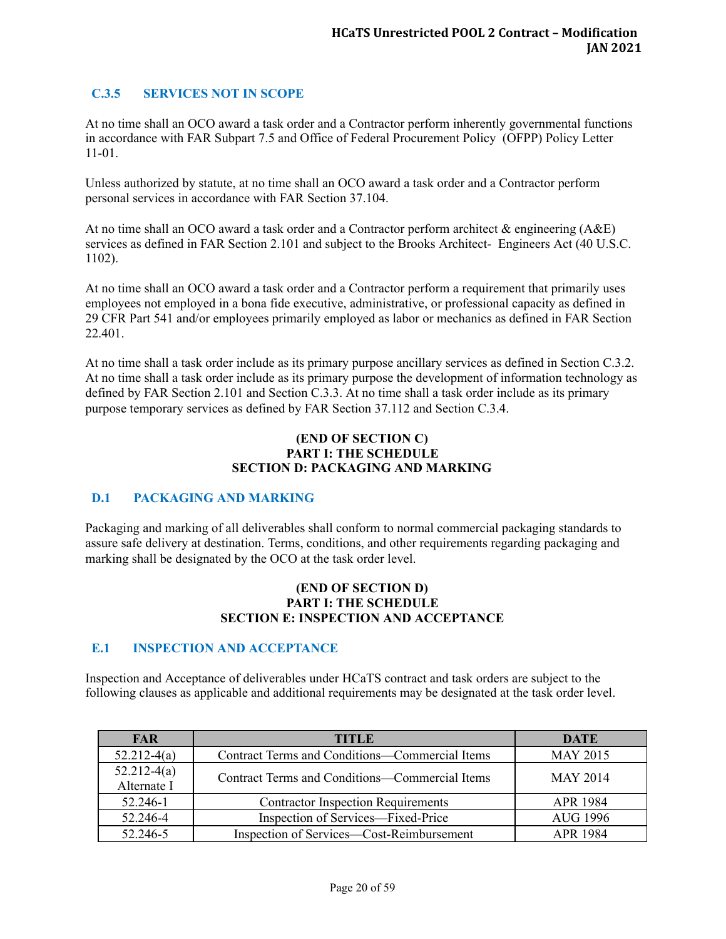# <span id="page-24-0"></span>**C.3.5 SERVICES NOT IN SCOPE**

At no time shall an OCO award a task order and a Contractor perform inherently governmental functions in accordance with FAR Subpart 7.5 and Office of Federal Procurement Policy (OFPP) Policy Letter 11-01.

Unless authorized by statute, at no time shall an OCO award a task order and a Contractor perform personal services in accordance with FAR Section 37.104.

At no time shall an OCO award a task order and a Contractor perform architect & engineering (A&E) services as defined in FAR Section 2.101 and subject to the Brooks Architect- Engineers Act (40 U.S.C. 1102).

At no time shall an OCO award a task order and a Contractor perform a requirement that primarily uses employees not employed in a bona fide executive, administrative, or professional capacity as defined in 29 CFR Part 541 and/or employees primarily employed as labor or mechanics as defined in FAR Section 22.401.

At no time shall a task order include as its primary purpose ancillary services as defined in Section C.3.2. At no time shall a task order include as its primary purpose the development of information technology as defined by FAR Section 2.101 and Section C.3.3. At no time shall a task order include as its primary purpose temporary services as defined by FAR Section 37.112 and Section C.3.4.

#### **(END OF SECTION C) PART I: THE SCHEDULE SECTION D: PACKAGING AND MARKING**

## <span id="page-24-1"></span>**D.1 PACKAGING AND MARKING**

Packaging and marking of all deliverables shall conform to normal commercial packaging standards to assure safe delivery at destination. Terms, conditions, and other requirements regarding packaging and marking shall be designated by the OCO at the task order level.

#### **(END OF SECTION D) PART I: THE SCHEDULE SECTION E: INSPECTION AND ACCEPTANCE**

#### <span id="page-24-2"></span>**E.1 INSPECTION AND ACCEPTANCE**

Inspection and Acceptance of deliverables under HCaTS contract and task orders are subject to the following clauses as applicable and additional requirements may be designated at the task order level.

| <b>FAR</b>                   | TITLE                                          | <b>DATE</b>     |
|------------------------------|------------------------------------------------|-----------------|
| $52.212-4(a)$                | Contract Terms and Conditions—Commercial Items | <b>MAY 2015</b> |
| $52.212-4(a)$<br>Alternate I | Contract Terms and Conditions—Commercial Items | <b>MAY 2014</b> |
| 52.246-1                     | <b>Contractor Inspection Requirements</b>      | <b>APR 1984</b> |
| 52.246-4                     | Inspection of Services—Fixed-Price             | AUG 1996        |
| 52.246-5                     | Inspection of Services—Cost-Reimbursement      | <b>APR 1984</b> |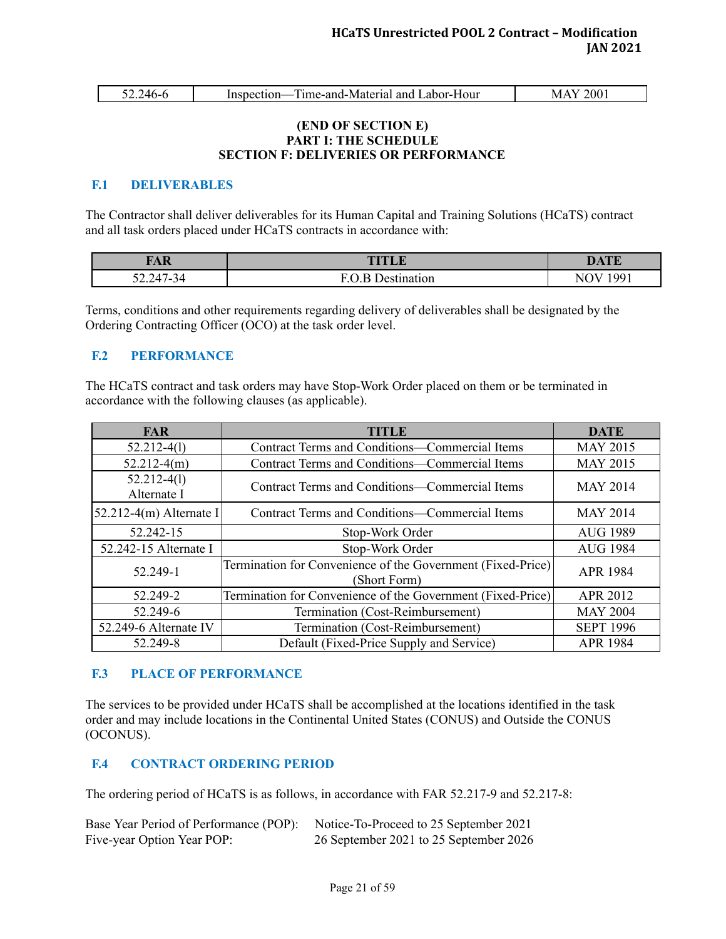| ◡-- | 'Δ6. | - Fime-and-Material and Labor-Hour<br>Inspection- | 200<br>$M_{\star}$ |
|-----|------|---------------------------------------------------|--------------------|
|     |      |                                                   |                    |

#### **(END OF SECTION E) PART I: THE SCHEDULE SECTION F: DELIVERIES OR PERFORMANCE**

#### <span id="page-25-0"></span>**F.1 DELIVERABLES**

The Contractor shall deliver deliverables for its Human Capital and Training Solutions (HCaTS) contract and all task orders placed under HCaTS contracts in accordance with:

| <b>TAR</b><br>TIT | <b>DATE</b>   |
|-------------------|---------------|
| $52.247 - 34$     | 1 00 1<br>NI. |

Terms, conditions and other requirements regarding delivery of deliverables shall be designated by the Ordering Contracting Officer (OCO) at the task order level.

### <span id="page-25-1"></span>**F.2 PERFORMANCE**

The HCaTS contract and task orders may have Stop-Work Order placed on them or be terminated in accordance with the following clauses (as applicable).

| <b>FAR</b>                     | <b>TITLE</b>                                                                | <b>DATE</b>      |
|--------------------------------|-----------------------------------------------------------------------------|------------------|
| $52.212 - 4(1)$                | Contract Terms and Conditions-Commercial Items                              | <b>MAY 2015</b>  |
| $52.212-4(m)$                  | <b>Contract Terms and Conditions—Commercial Items</b>                       | <b>MAY 2015</b>  |
| $52.212 - 4(1)$<br>Alternate I | Contract Terms and Conditions—Commercial Items                              | <b>MAY 2014</b>  |
| $52.212-4(m)$ Alternate I      | Contract Terms and Conditions-Commercial Items                              | <b>MAY 2014</b>  |
| 52.242-15                      | Stop-Work Order                                                             | <b>AUG 1989</b>  |
| 52.242-15 Alternate I          | Stop-Work Order                                                             | <b>AUG 1984</b>  |
| 52.249-1                       | Termination for Convenience of the Government (Fixed-Price)<br>(Short Form) | <b>APR 1984</b>  |
| 52.249-2                       | Termination for Convenience of the Government (Fixed-Price)                 | APR 2012         |
| 52.249-6                       | Termination (Cost-Reimbursement)                                            | <b>MAY 2004</b>  |
| 52.249-6 Alternate IV          | Termination (Cost-Reimbursement)                                            | <b>SEPT 1996</b> |
| 52.249-8                       | Default (Fixed-Price Supply and Service)                                    | <b>APR 1984</b>  |

## <span id="page-25-2"></span>**F.3 PLACE OF PERFORMANCE**

The services to be provided under HCaTS shall be accomplished at the locations identified in the task order and may include locations in the Continental United States (CONUS) and Outside the CONUS (OCONUS).

## <span id="page-25-3"></span>**F.4 CONTRACT ORDERING PERIOD**

The ordering period of HCaTS is as follows, in accordance with FAR 52.217-9 and 52.217-8:

| Base Year Period of Performance (POP): Notice-To-Proceed to 25 September 2021 |                                        |
|-------------------------------------------------------------------------------|----------------------------------------|
| Five-year Option Year POP:                                                    | 26 September 2021 to 25 September 2026 |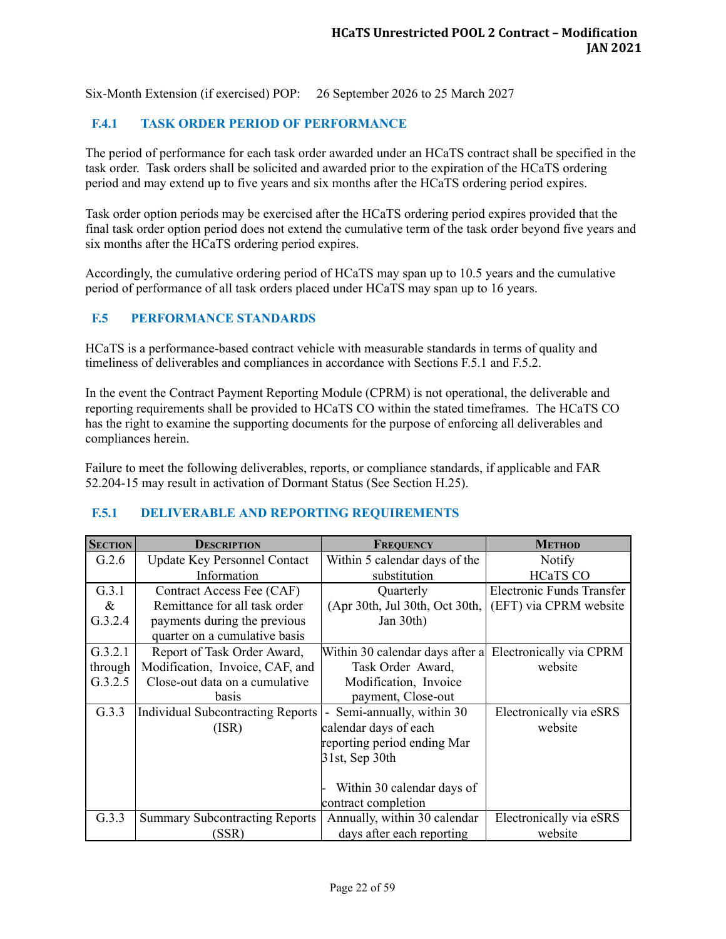Six-Month Extension (if exercised) POP: 26 September 2026 to 25 March 2027

# <span id="page-26-0"></span>**F.4.1 TASK ORDER PERIOD OF PERFORMANCE**

The period of performance for each task order awarded under an HCaTS contract shall be specified in the task order. Task orders shall be solicited and awarded prior to the expiration of the HCaTS ordering period and may extend up to five years and six months after the HCaTS ordering period expires.

Task order option periods may be exercised after the HCaTS ordering period expires provided that the final task order option period does not extend the cumulative term of the task order beyond five years and six months after the HCaTS ordering period expires.

Accordingly, the cumulative ordering period of HCaTS may span up to 10.5 years and the cumulative period of performance of all task orders placed under HCaTS may span up to 16 years.

### <span id="page-26-1"></span>**F.5 PERFORMANCE STANDARDS**

HCaTS is a performance-based contract vehicle with measurable standards in terms of quality and timeliness of deliverables and compliances in accordance with Sections F.5.1 and F.5.2.

In the event the Contract Payment Reporting Module (CPRM) is not operational, the deliverable and reporting requirements shall be provided to HCaTS CO within the stated timeframes. The HCaTS CO has the right to examine the supporting documents for the purpose of enforcing all deliverables and compliances herein.

Failure to meet the following deliverables, reports, or compliance standards, if applicable and FAR 52.204-15 may result in activation of Dormant Status (See Section H.25).

#### <span id="page-26-2"></span>**F.5.1 DELIVERABLE AND REPORTING REQUIREMENTS**

| <b>SECTION</b> | <b>DESCRIPTION</b>                    | FREQUENCY                                  | <b>METHOD</b>                    |
|----------------|---------------------------------------|--------------------------------------------|----------------------------------|
| G.2.6          | <b>Update Key Personnel Contact</b>   | Within 5 calendar days of the              | Notify                           |
|                | Information                           | substitution                               | <b>HCaTS CO</b>                  |
| G.3.1          | Contract Access Fee (CAF)             | Quarterly                                  | <b>Electronic Funds Transfer</b> |
| $\&$           | Remittance for all task order         | (Apr 30th, Jul 30th, Oct 30th,             | (EFT) via CPRM website           |
| G.3.2.4        | payments during the previous          | Jan 30th)                                  |                                  |
|                | quarter on a cumulative basis         |                                            |                                  |
| G.3.2.1        | Report of Task Order Award,           | Within 30 calendar days after a            | Electronically via CPRM          |
| through        | Modification, Invoice, CAF, and       | Task Order Award,                          | website                          |
| G.3.2.5        | Close-out data on a cumulative        | Modification, Invoice                      |                                  |
|                | basis                                 | payment, Close-out                         |                                  |
| G.3.3          | Individual Subcontracting Reports     | Semi-annually, within 30<br>$\blacksquare$ | Electronically via eSRS          |
|                | (ISR)                                 | calendar days of each                      | website                          |
|                |                                       | reporting period ending Mar                |                                  |
|                |                                       | 31st, Sep 30th                             |                                  |
|                |                                       |                                            |                                  |
|                |                                       | Within 30 calendar days of                 |                                  |
|                |                                       | contract completion                        |                                  |
| G.3.3          | <b>Summary Subcontracting Reports</b> | Annually, within 30 calendar               | Electronically via eSRS          |
|                | (SSR)                                 | days after each reporting                  | website                          |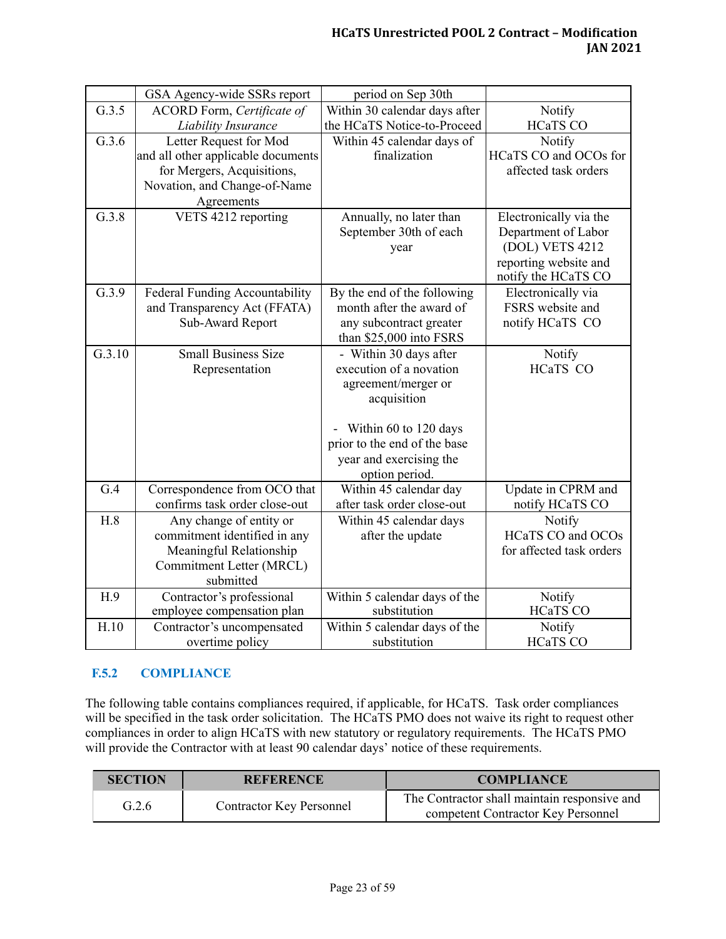|        | GSA Agency-wide SSRs report        | period on Sep 30th            |                          |
|--------|------------------------------------|-------------------------------|--------------------------|
| G.3.5  | ACORD Form, Certificate of         | Within 30 calendar days after | Notify                   |
|        | Liability Insurance                | the HCaTS Notice-to-Proceed   | <b>HCaTS CO</b>          |
| G.3.6  | Letter Request for Mod             | Within 45 calendar days of    | Notify                   |
|        | and all other applicable documents | finalization                  | HCaTS CO and OCOs for    |
|        | for Mergers, Acquisitions,         |                               | affected task orders     |
|        | Novation, and Change-of-Name       |                               |                          |
|        | Agreements                         |                               |                          |
| G.3.8  | VETS 4212 reporting                | Annually, no later than       | Electronically via the   |
|        |                                    | September 30th of each        | Department of Labor      |
|        |                                    | year                          | (DOL) VETS 4212          |
|        |                                    |                               | reporting website and    |
|        |                                    |                               | notify the HCaTS CO      |
| G.3.9  | Federal Funding Accountability     | By the end of the following   | Electronically via       |
|        | and Transparency Act (FFATA)       | month after the award of      | FSRS website and         |
|        | Sub-Award Report                   | any subcontract greater       | notify HCaTS CO          |
|        |                                    | than \$25,000 into FSRS       |                          |
| G.3.10 | <b>Small Business Size</b>         | - Within 30 days after        | Notify                   |
|        | Representation                     | execution of a novation       | HCaTS CO                 |
|        |                                    | agreement/merger or           |                          |
|        |                                    | acquisition                   |                          |
|        |                                    |                               |                          |
|        |                                    | Within 60 to 120 days         |                          |
|        |                                    | prior to the end of the base  |                          |
|        |                                    | year and exercising the       |                          |
|        |                                    | option period.                |                          |
| G.4    | Correspondence from OCO that       | Within 45 calendar day        | Update in CPRM and       |
|        | confirms task order close-out      | after task order close-out    | notify HCaTS CO          |
| H.8    | Any change of entity or            | Within 45 calendar days       | Notify                   |
|        | commitment identified in any       | after the update              | <b>HCaTS CO and OCOs</b> |
|        | Meaningful Relationship            |                               | for affected task orders |
|        | Commitment Letter (MRCL)           |                               |                          |
|        | submitted                          |                               |                          |
| H.9    | Contractor's professional          | Within 5 calendar days of the | Notify                   |
|        | employee compensation plan         | substitution                  | <b>HCaTS CO</b>          |
| H.10   | Contractor's uncompensated         | Within 5 calendar days of the | Notify                   |
|        | overtime policy                    | substitution                  | <b>HCaTS CO</b>          |

## <span id="page-27-0"></span>**F.5.2 COMPLIANCE**

The following table contains compliances required, if applicable, for HCaTS. Task order compliances will be specified in the task order solicitation. The HCaTS PMO does not waive its right to request other compliances in order to align HCaTS with new statutory or regulatory requirements. The HCaTS PMO will provide the Contractor with at least 90 calendar days' notice of these requirements.

| <b>SECTION</b> | <b>REFERENCE</b>                | <b>COMPLIANCE</b>                                                                  |
|----------------|---------------------------------|------------------------------------------------------------------------------------|
| G.2.6          | <b>Contractor Key Personnel</b> | The Contractor shall maintain responsive and<br>competent Contractor Key Personnel |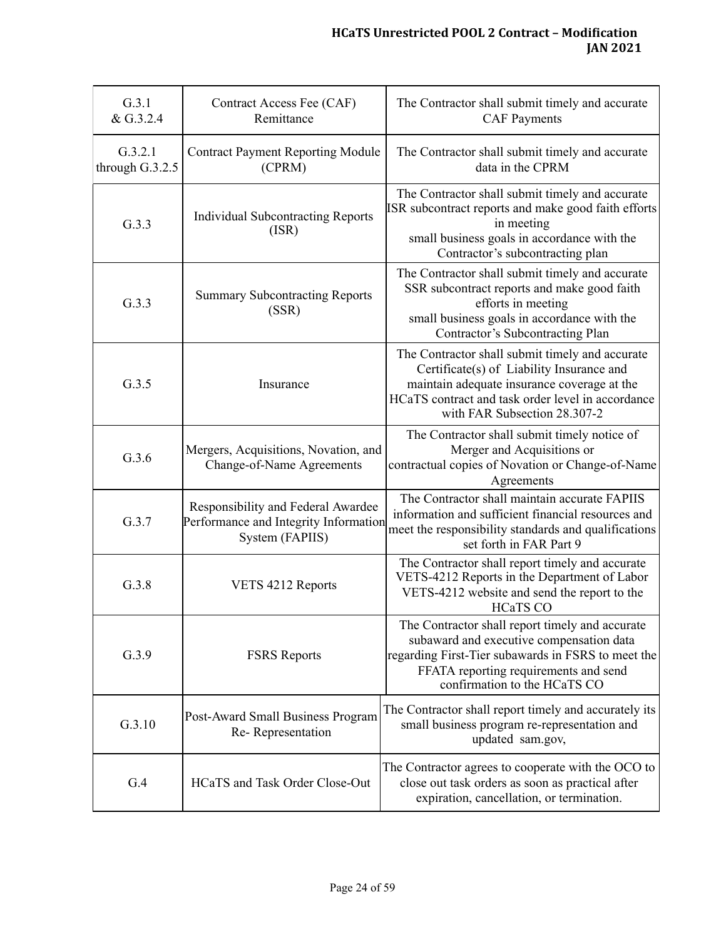| G.3.1<br>& G.3.2.4         | Contract Access Fee (CAF)<br>Remittance                                                        | The Contractor shall submit timely and accurate<br><b>CAF</b> Payments                                                                                                                                                           |
|----------------------------|------------------------------------------------------------------------------------------------|----------------------------------------------------------------------------------------------------------------------------------------------------------------------------------------------------------------------------------|
| G.3.2.1<br>through G.3.2.5 | <b>Contract Payment Reporting Module</b><br>(CPRM)                                             | The Contractor shall submit timely and accurate<br>data in the CPRM                                                                                                                                                              |
| G.3.3                      | <b>Individual Subcontracting Reports</b><br>(ISR)                                              | The Contractor shall submit timely and accurate<br>ISR subcontract reports and make good faith efforts<br>in meeting<br>small business goals in accordance with the<br>Contractor's subcontracting plan                          |
| G.3.3                      | <b>Summary Subcontracting Reports</b><br>(SSR)                                                 | The Contractor shall submit timely and accurate<br>SSR subcontract reports and make good faith<br>efforts in meeting<br>small business goals in accordance with the<br>Contractor's Subcontracting Plan                          |
| G.3.5                      | Insurance                                                                                      | The Contractor shall submit timely and accurate<br>Certificate(s) of Liability Insurance and<br>maintain adequate insurance coverage at the<br>HCaTS contract and task order level in accordance<br>with FAR Subsection 28.307-2 |
| G.3.6                      | Mergers, Acquisitions, Novation, and<br>Change-of-Name Agreements                              | The Contractor shall submit timely notice of<br>Merger and Acquisitions or<br>contractual copies of Novation or Change-of-Name<br>Agreements                                                                                     |
| G.3.7                      | Responsibility and Federal Awardee<br>Performance and Integrity Information<br>System (FAPIIS) | The Contractor shall maintain accurate FAPIIS<br>information and sufficient financial resources and<br>meet the responsibility standards and qualifications<br>set forth in FAR Part 9                                           |
| G.3.8                      | VETS 4212 Reports                                                                              | The Contractor shall report timely and accurate<br>VETS-4212 Reports in the Department of Labor<br>VETS-4212 website and send the report to the<br><b>HCaTS CO</b>                                                               |
| G.3.9                      | <b>FSRS</b> Reports                                                                            | The Contractor shall report timely and accurate<br>subaward and executive compensation data<br>regarding First-Tier subawards in FSRS to meet the<br>FFATA reporting requirements and send<br>confirmation to the HCaTS CO       |
| G.3.10                     | Post-Award Small Business Program<br>Re-Representation                                         | The Contractor shall report timely and accurately its<br>small business program re-representation and<br>updated sam.gov,                                                                                                        |
| G.4                        | HCaTS and Task Order Close-Out                                                                 | The Contractor agrees to cooperate with the OCO to<br>close out task orders as soon as practical after<br>expiration, cancellation, or termination.                                                                              |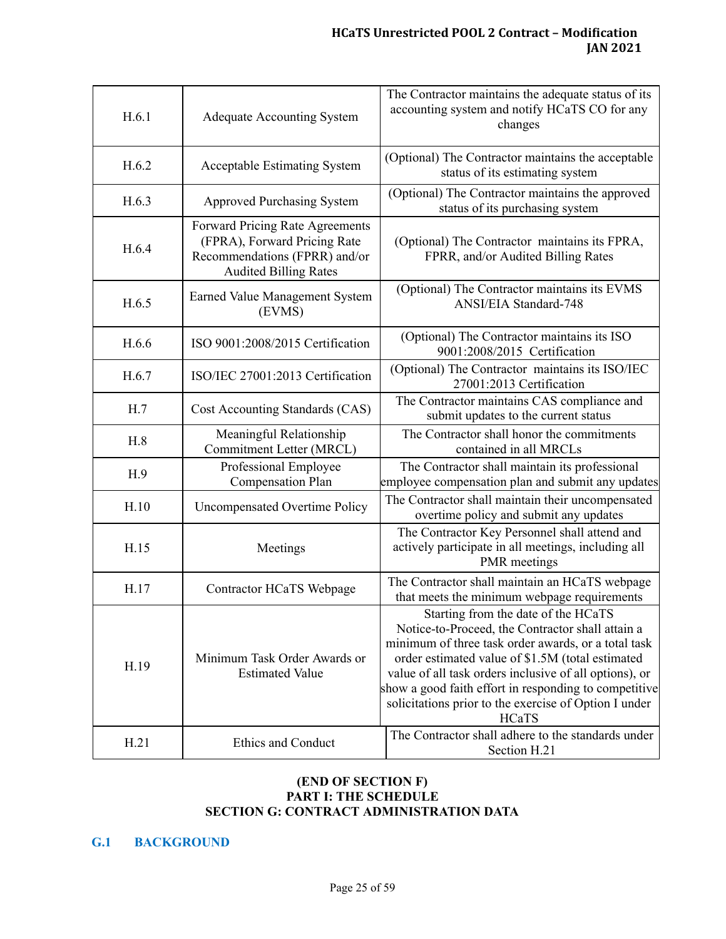| H.6.1 | <b>Adequate Accounting System</b>                                                                                                | The Contractor maintains the adequate status of its<br>accounting system and notify HCaTS CO for any<br>changes                                                                                                                                                                                                                                                                         |
|-------|----------------------------------------------------------------------------------------------------------------------------------|-----------------------------------------------------------------------------------------------------------------------------------------------------------------------------------------------------------------------------------------------------------------------------------------------------------------------------------------------------------------------------------------|
| H.6.2 | <b>Acceptable Estimating System</b>                                                                                              | (Optional) The Contractor maintains the acceptable<br>status of its estimating system                                                                                                                                                                                                                                                                                                   |
| H.6.3 | <b>Approved Purchasing System</b>                                                                                                | (Optional) The Contractor maintains the approved<br>status of its purchasing system                                                                                                                                                                                                                                                                                                     |
| H.6.4 | Forward Pricing Rate Agreements<br>(FPRA), Forward Pricing Rate<br>Recommendations (FPRR) and/or<br><b>Audited Billing Rates</b> | (Optional) The Contractor maintains its FPRA,<br>FPRR, and/or Audited Billing Rates                                                                                                                                                                                                                                                                                                     |
| H.6.5 | Earned Value Management System<br>(EVMS)                                                                                         | (Optional) The Contractor maintains its EVMS<br>ANSI/EIA Standard-748                                                                                                                                                                                                                                                                                                                   |
| H.6.6 | ISO 9001:2008/2015 Certification                                                                                                 | (Optional) The Contractor maintains its ISO<br>9001:2008/2015 Certification                                                                                                                                                                                                                                                                                                             |
| H.6.7 | ISO/IEC 27001:2013 Certification                                                                                                 | (Optional) The Contractor maintains its ISO/IEC<br>27001:2013 Certification                                                                                                                                                                                                                                                                                                             |
| H.7   | Cost Accounting Standards (CAS)                                                                                                  | The Contractor maintains CAS compliance and<br>submit updates to the current status                                                                                                                                                                                                                                                                                                     |
| H.8   | Meaningful Relationship<br>Commitment Letter (MRCL)                                                                              | The Contractor shall honor the commitments<br>contained in all MRCLs                                                                                                                                                                                                                                                                                                                    |
| H.9   | Professional Employee<br><b>Compensation Plan</b>                                                                                | The Contractor shall maintain its professional<br>employee compensation plan and submit any updates                                                                                                                                                                                                                                                                                     |
| H.10  | <b>Uncompensated Overtime Policy</b>                                                                                             | The Contractor shall maintain their uncompensated<br>overtime policy and submit any updates                                                                                                                                                                                                                                                                                             |
| H.15  | Meetings                                                                                                                         | The Contractor Key Personnel shall attend and<br>actively participate in all meetings, including all<br><b>PMR</b> meetings                                                                                                                                                                                                                                                             |
| H.17  | Contractor HCaTS Webpage                                                                                                         | The Contractor shall maintain an HCaTS webpage<br>that meets the minimum webpage requirements                                                                                                                                                                                                                                                                                           |
| H.19  | Minimum Task Order Awards or<br><b>Estimated Value</b>                                                                           | Starting from the date of the HCaTS<br>Notice-to-Proceed, the Contractor shall attain a<br>minimum of three task order awards, or a total task<br>order estimated value of \$1.5M (total estimated<br>value of all task orders inclusive of all options), or<br>show a good faith effort in responding to competitive<br>solicitations prior to the exercise of Option I under<br>HCaTS |
| H.21  | Ethics and Conduct                                                                                                               | The Contractor shall adhere to the standards under<br>Section H.21                                                                                                                                                                                                                                                                                                                      |

## **(END OF SECTION F) PART I: THE SCHEDULE SECTION G: CONTRACT ADMINISTRATION DATA**

## <span id="page-29-0"></span>**G.1 BACKGROUND**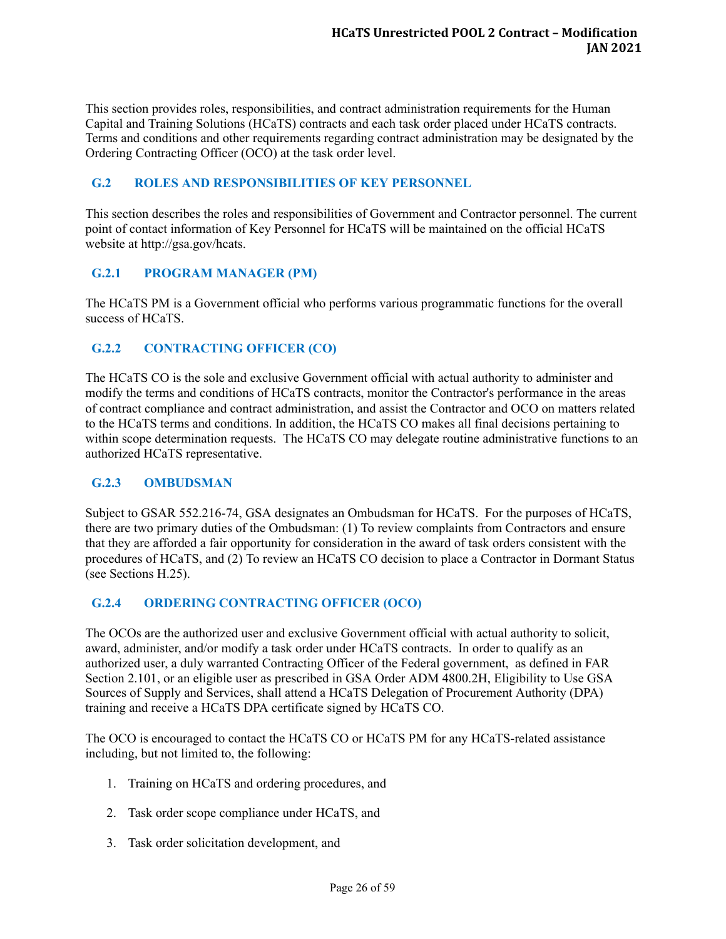This section provides roles, responsibilities, and contract administration requirements for the Human Capital and Training Solutions (HCaTS) contracts and each task order placed under HCaTS contracts. Terms and conditions and other requirements regarding contract administration may be designated by the Ordering Contracting Officer (OCO) at the task order level.

## <span id="page-30-0"></span>**G.2 ROLES AND RESPONSIBILITIES OF KEY PERSONNEL**

This section describes the roles and responsibilities of Government and Contractor personnel. The current point of contact information of Key Personnel for HCaTS will be maintained on the official HCaTS website at http://gsa.gov/hcats.

## <span id="page-30-1"></span>**G.2.1 PROGRAM MANAGER (PM)**

The HCaTS PM is a Government official who performs various programmatic functions for the overall success of HCaTS.

## <span id="page-30-2"></span>**G.2.2 CONTRACTING OFFICER (CO)**

The HCaTS CO is the sole and exclusive Government official with actual authority to administer and modify the terms and conditions of HCaTS contracts, monitor the Contractor's performance in the areas of contract compliance and contract administration, and assist the Contractor and OCO on matters related to the HCaTS terms and conditions. In addition, the HCaTS CO makes all final decisions pertaining to within scope determination requests. The HCaTS CO may delegate routine administrative functions to an authorized HCaTS representative.

## <span id="page-30-3"></span>**G.2.3 OMBUDSMAN**

Subject to GSAR 552.216-74, GSA designates an Ombudsman for HCaTS. For the purposes of HCaTS, there are two primary duties of the Ombudsman: (1) To review complaints from Contractors and ensure that they are afforded a fair opportunity for consideration in the award of task orders consistent with the procedures of HCaTS, and (2) To review an HCaTS CO decision to place a Contractor in Dormant Status (see Sections H.25).

## <span id="page-30-4"></span>**G.2.4 ORDERING CONTRACTING OFFICER (OCO)**

The OCOs are the authorized user and exclusive Government official with actual authority to solicit, award, administer, and/or modify a task order under HCaTS contracts. In order to qualify as an authorized user, a duly warranted Contracting Officer of the Federal government, as defined in FAR Section 2.101, or an eligible user as prescribed in GSA Order ADM 4800.2H, Eligibility to Use GSA Sources of Supply and Services, shall attend a HCaTS Delegation of Procurement Authority (DPA) training and receive a HCaTS DPA certificate signed by HCaTS CO.

The OCO is encouraged to contact the HCaTS CO or HCaTS PM for any HCaTS-related assistance including, but not limited to, the following:

- 1. Training on HCaTS and ordering procedures, and
- 2. Task order scope compliance under HCaTS, and
- 3. Task order solicitation development, and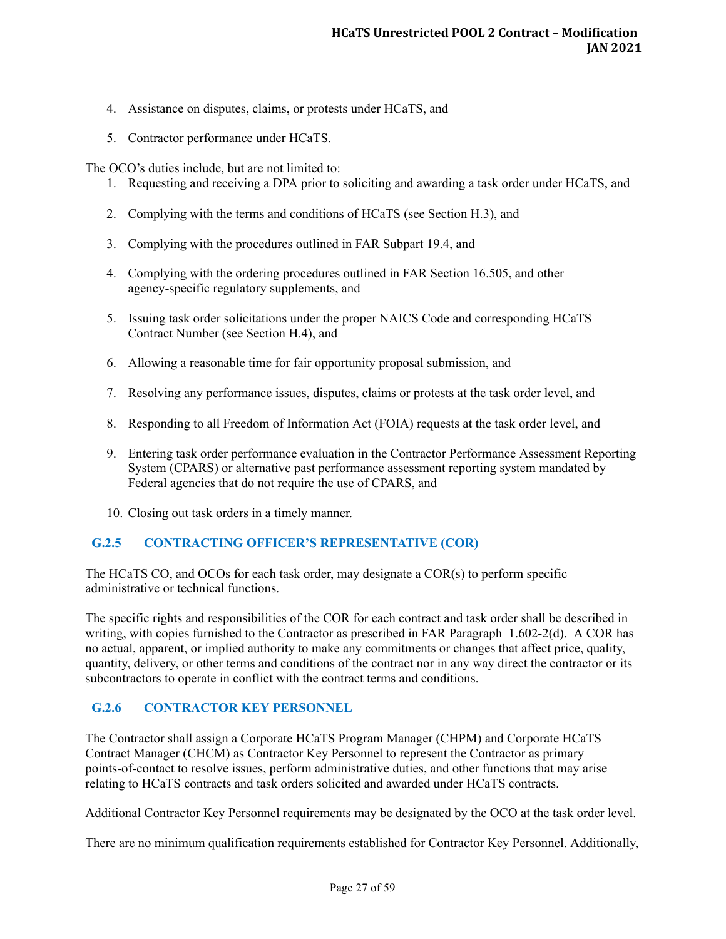- 4. Assistance on disputes, claims, or protests under HCaTS, and
- 5. Contractor performance under HCaTS.

The OCO's duties include, but are not limited to:

- 1. Requesting and receiving a DPA prior to soliciting and awarding a task order under HCaTS, and
- 2. Complying with the terms and conditions of HCaTS (see Section H.3), and
- 3. Complying with the procedures outlined in FAR Subpart 19.4, and
- 4. Complying with the ordering procedures outlined in FAR Section 16.505, and other agency-specific regulatory supplements, and
- 5. Issuing task order solicitations under the proper NAICS Code and corresponding HCaTS Contract Number (see Section H.4), and
- 6. Allowing a reasonable time for fair opportunity proposal submission, and
- 7. Resolving any performance issues, disputes, claims or protests at the task order level, and
- 8. Responding to all Freedom of Information Act (FOIA) requests at the task order level, and
- 9. Entering task order performance evaluation in the Contractor Performance Assessment Reporting System (CPARS) or alternative past performance assessment reporting system mandated by Federal agencies that do not require the use of CPARS, and
- 10. Closing out task orders in a timely manner.

#### <span id="page-31-0"></span>**G.2.5 CONTRACTING OFFICER'S REPRESENTATIVE (COR)**

The HCaTS CO, and OCOs for each task order, may designate a COR(s) to perform specific administrative or technical functions.

The specific rights and responsibilities of the COR for each contract and task order shall be described in writing, with copies furnished to the Contractor as prescribed in FAR Paragraph 1.602-2(d). A COR has no actual, apparent, or implied authority to make any commitments or changes that affect price, quality, quantity, delivery, or other terms and conditions of the contract nor in any way direct the contractor or its subcontractors to operate in conflict with the contract terms and conditions.

#### <span id="page-31-1"></span>**G.2.6 CONTRACTOR KEY PERSONNEL**

The Contractor shall assign a Corporate HCaTS Program Manager (CHPM) and Corporate HCaTS Contract Manager (CHCM) as Contractor Key Personnel to represent the Contractor as primary points-of-contact to resolve issues, perform administrative duties, and other functions that may arise relating to HCaTS contracts and task orders solicited and awarded under HCaTS contracts.

Additional Contractor Key Personnel requirements may be designated by the OCO at the task order level.

There are no minimum qualification requirements established for Contractor Key Personnel. Additionally,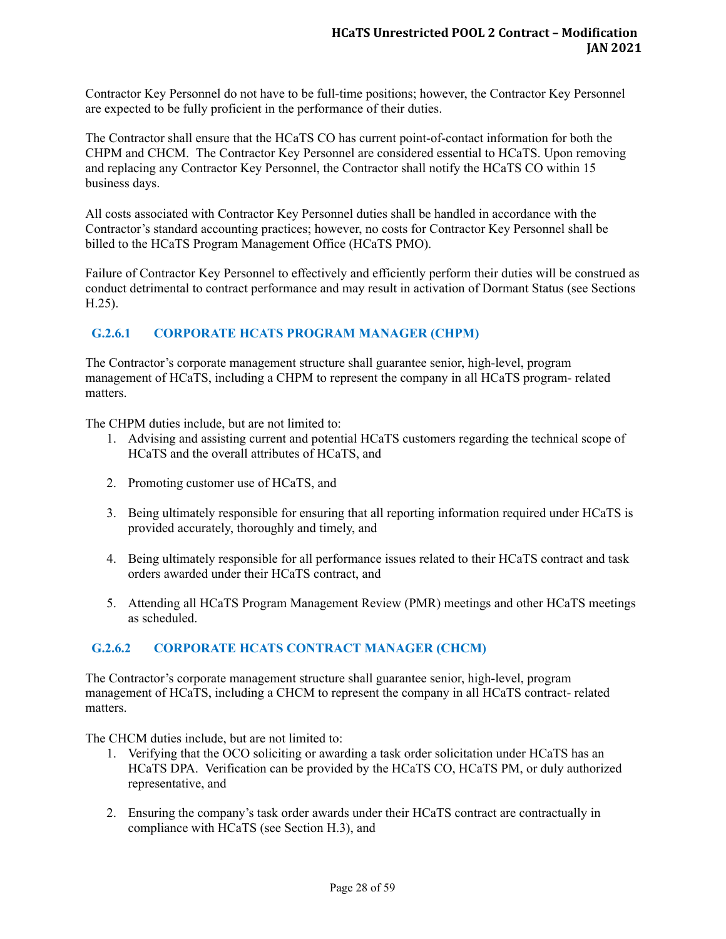Contractor Key Personnel do not have to be full-time positions; however, the Contractor Key Personnel are expected to be fully proficient in the performance of their duties.

The Contractor shall ensure that the HCaTS CO has current point-of-contact information for both the CHPM and CHCM. The Contractor Key Personnel are considered essential to HCaTS. Upon removing and replacing any Contractor Key Personnel, the Contractor shall notify the HCaTS CO within 15 business days.

All costs associated with Contractor Key Personnel duties shall be handled in accordance with the Contractor's standard accounting practices; however, no costs for Contractor Key Personnel shall be billed to the HCaTS Program Management Office (HCaTS PMO).

Failure of Contractor Key Personnel to effectively and efficiently perform their duties will be construed as conduct detrimental to contract performance and may result in activation of Dormant Status (see Sections H.25).

# <span id="page-32-0"></span>**G.2.6.1 CORPORATE HCATS PROGRAM MANAGER (CHPM)**

The Contractor's corporate management structure shall guarantee senior, high-level, program management of HCaTS, including a CHPM to represent the company in all HCaTS program- related matters.

The CHPM duties include, but are not limited to:

- 1. Advising and assisting current and potential HCaTS customers regarding the technical scope of HCaTS and the overall attributes of HCaTS, and
- 2. Promoting customer use of HCaTS, and
- 3. Being ultimately responsible for ensuring that all reporting information required under HCaTS is provided accurately, thoroughly and timely, and
- 4. Being ultimately responsible for all performance issues related to their HCaTS contract and task orders awarded under their HCaTS contract, and
- 5. Attending all HCaTS Program Management Review (PMR) meetings and other HCaTS meetings as scheduled.

## <span id="page-32-1"></span>**G.2.6.2 CORPORATE HCATS CONTRACT MANAGER (CHCM)**

The Contractor's corporate management structure shall guarantee senior, high-level, program management of HCaTS, including a CHCM to represent the company in all HCaTS contract- related matters.

The CHCM duties include, but are not limited to:

- 1. Verifying that the OCO soliciting or awarding a task order solicitation under HCaTS has an HCaTS DPA. Verification can be provided by the HCaTS CO, HCaTS PM, or duly authorized representative, and
- 2. Ensuring the company's task order awards under their HCaTS contract are contractually in compliance with HCaTS (see Section H.3), and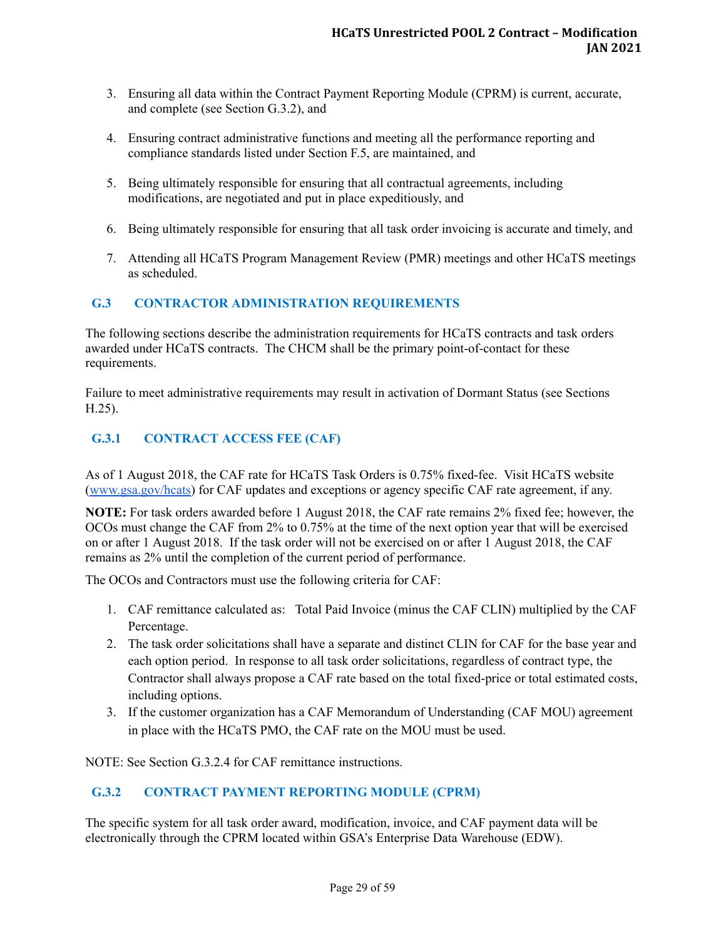- 3. Ensuring all data within the Contract Payment Reporting Module (CPRM) is current, accurate, and complete (see Section G.3.2), and
- 4. Ensuring contract administrative functions and meeting all the performance reporting and compliance standards listed under Section F.5, are maintained, and
- 5. Being ultimately responsible for ensuring that all contractual agreements, including modifications, are negotiated and put in place expeditiously, and
- 6. Being ultimately responsible for ensuring that all task order invoicing is accurate and timely, and
- 7. Attending all HCaTS Program Management Review (PMR) meetings and other HCaTS meetings as scheduled.

# <span id="page-33-0"></span>**G.3 CONTRACTOR ADMINISTRATION REQUIREMENTS**

The following sections describe the administration requirements for HCaTS contracts and task orders awarded under HCaTS contracts. The CHCM shall be the primary point-of-contact for these requirements.

Failure to meet administrative requirements may result in activation of Dormant Status (see Sections H.25).

## <span id="page-33-1"></span>**G.3.1 CONTRACT ACCESS FEE (CAF)**

As of 1 August 2018, the CAF rate for HCaTS Task Orders is 0.75% fixed-fee. Visit HCaTS website ([www.gsa.gov/hcats](http://www.gsa.gov/hcats)) for CAF updates and exceptions or agency specific CAF rate agreement, if any.

**NOTE:** For task orders awarded before 1 August 2018, the CAF rate remains 2% fixed fee; however, the OCOs must change the CAF from 2% to 0.75% at the time of the next option year that will be exercised on or after 1 August 2018. If the task order will not be exercised on or after 1 August 2018, the CAF remains as 2% until the completion of the current period of performance.

The OCOs and Contractors must use the following criteria for CAF:

- 1. CAF remittance calculated as: Total Paid Invoice (minus the CAF CLIN) multiplied by the CAF Percentage.
- 2. The task order solicitations shall have a separate and distinct CLIN for CAF for the base year and each option period. In response to all task order solicitations, regardless of contract type, the Contractor shall always propose a CAF rate based on the total fixed-price or total estimated costs, including options.
- 3. If the customer organization has a CAF Memorandum of Understanding (CAF MOU) agreement in place with the HCaTS PMO, the CAF rate on the MOU must be used.

NOTE: See Section G.3.2.4 for CAF remittance instructions.

# <span id="page-33-2"></span>**G.3.2 CONTRACT PAYMENT REPORTING MODULE (CPRM)**

The specific system for all task order award, modification, invoice, and CAF payment data will be electronically through the CPRM located within GSA's Enterprise Data Warehouse (EDW).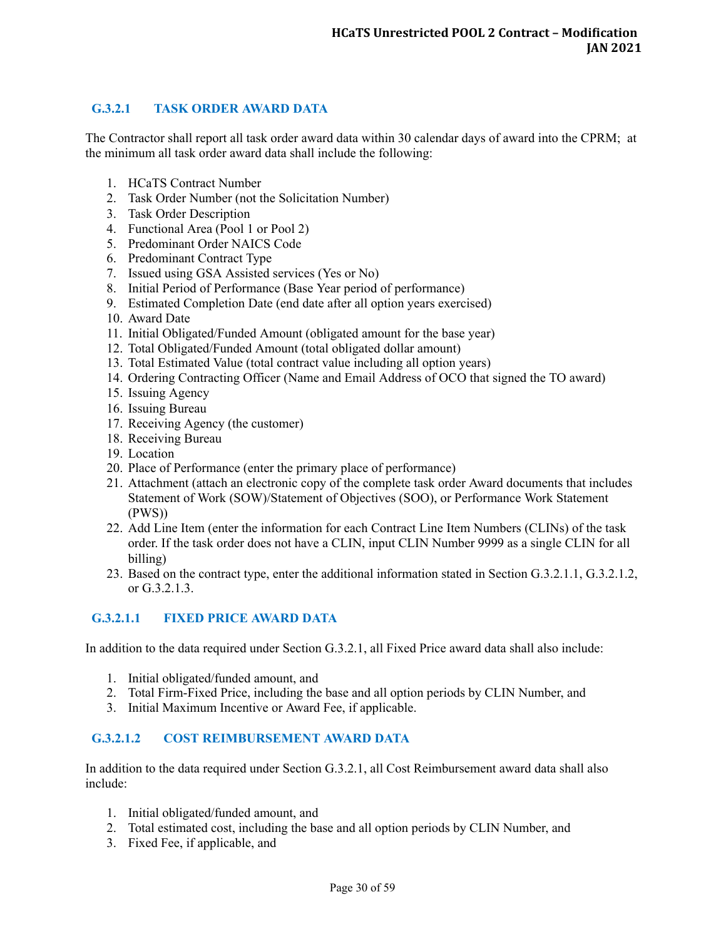## <span id="page-34-0"></span>**G.3.2.1 TASK ORDER AWARD DATA**

The Contractor shall report all task order award data within 30 calendar days of award into the CPRM; at the minimum all task order award data shall include the following:

- 1. HCaTS Contract Number
- 2. Task Order Number (not the Solicitation Number)
- 3. Task Order Description
- 4. Functional Area (Pool 1 or Pool 2)
- 5. Predominant Order NAICS Code
- 6. Predominant Contract Type
- 7. Issued using GSA Assisted services (Yes or No)
- 8. Initial Period of Performance (Base Year period of performance)
- 9. Estimated Completion Date (end date after all option years exercised)
- 10. Award Date
- 11. Initial Obligated/Funded Amount (obligated amount for the base year)
- 12. Total Obligated/Funded Amount (total obligated dollar amount)
- 13. Total Estimated Value (total contract value including all option years)
- 14. Ordering Contracting Officer (Name and Email Address of OCO that signed the TO award)
- 15. Issuing Agency
- 16. Issuing Bureau
- 17. Receiving Agency (the customer)
- 18. Receiving Bureau
- 19. Location
- 20. Place of Performance (enter the primary place of performance)
- 21. Attachment (attach an electronic copy of the complete task order Award documents that includes Statement of Work (SOW)/Statement of Objectives (SOO), or Performance Work Statement (PWS))
- 22. Add Line Item (enter the information for each Contract Line Item Numbers (CLINs) of the task order. If the task order does not have a CLIN, input CLIN Number 9999 as a single CLIN for all billing)
- 23. Based on the contract type, enter the additional information stated in Section G.3.2.1.1, G.3.2.1.2, or G.3.2.1.3.

## <span id="page-34-1"></span>**G.3.2.1.1 FIXED PRICE AWARD DATA**

In addition to the data required under Section G.3.2.1, all Fixed Price award data shall also include:

- 1. Initial obligated/funded amount, and
- 2. Total Firm-Fixed Price, including the base and all option periods by CLIN Number, and
- 3. Initial Maximum Incentive or Award Fee, if applicable.

#### <span id="page-34-2"></span>**G.3.2.1.2 COST REIMBURSEMENT AWARD DATA**

In addition to the data required under Section G.3.2.1, all Cost Reimbursement award data shall also include:

- 1. Initial obligated/funded amount, and
- 2. Total estimated cost, including the base and all option periods by CLIN Number, and
- 3. Fixed Fee, if applicable, and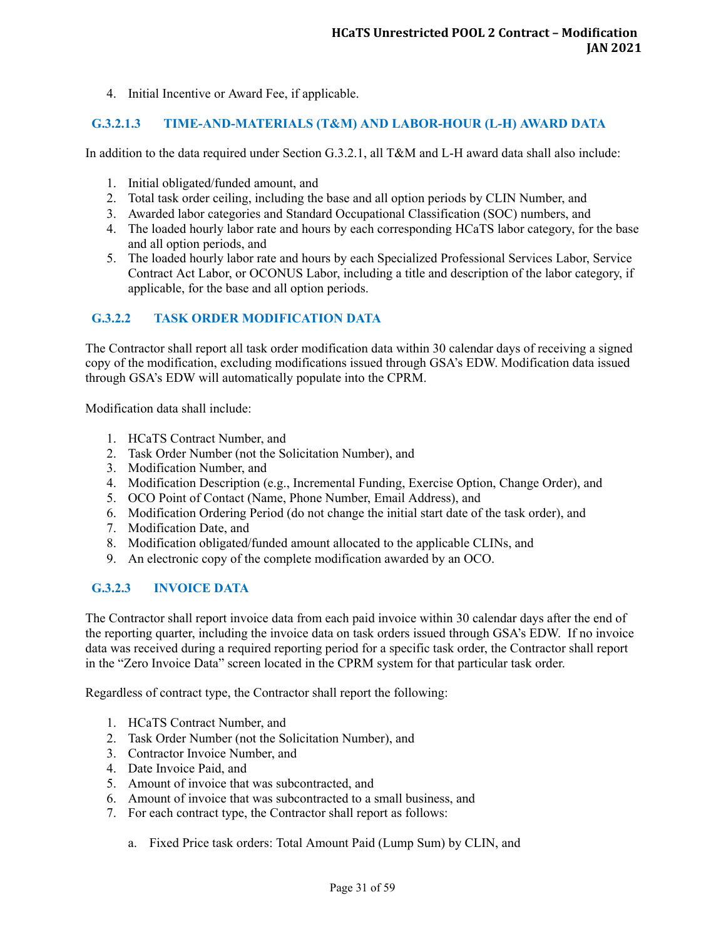4. Initial Incentive or Award Fee, if applicable.

## <span id="page-35-0"></span>**G.3.2.1.3 TIME-AND-MATERIALS (T&M) AND LABOR-HOUR (L-H) AWARD DATA**

In addition to the data required under Section G.3.2.1, all T&M and L-H award data shall also include:

- 1. Initial obligated/funded amount, and
- 2. Total task order ceiling, including the base and all option periods by CLIN Number, and
- 3. Awarded labor categories and Standard Occupational Classification (SOC) numbers, and
- 4. The loaded hourly labor rate and hours by each corresponding HCaTS labor category, for the base and all option periods, and
- 5. The loaded hourly labor rate and hours by each Specialized Professional Services Labor, Service Contract Act Labor, or OCONUS Labor, including a title and description of the labor category, if applicable, for the base and all option periods.

# <span id="page-35-1"></span>**G.3.2.2 TASK ORDER MODIFICATION DATA**

The Contractor shall report all task order modification data within 30 calendar days of receiving a signed copy of the modification, excluding modifications issued through GSA's EDW. Modification data issued through GSA's EDW will automatically populate into the CPRM.

Modification data shall include:

- 1. HCaTS Contract Number, and
- 2. Task Order Number (not the Solicitation Number), and
- 3. Modification Number, and
- 4. Modification Description (e.g., Incremental Funding, Exercise Option, Change Order), and
- 5. OCO Point of Contact (Name, Phone Number, Email Address), and
- 6. Modification Ordering Period (do not change the initial start date of the task order), and
- 7. Modification Date, and
- 8. Modification obligated/funded amount allocated to the applicable CLINs, and
- 9. An electronic copy of the complete modification awarded by an OCO.

## <span id="page-35-2"></span>**G.3.2.3 INVOICE DATA**

The Contractor shall report invoice data from each paid invoice within 30 calendar days after the end of the reporting quarter, including the invoice data on task orders issued through GSA's EDW. If no invoice data was received during a required reporting period for a specific task order, the Contractor shall report in the "Zero Invoice Data" screen located in the CPRM system for that particular task order.

Regardless of contract type, the Contractor shall report the following:

- 1. HCaTS Contract Number, and
- 2. Task Order Number (not the Solicitation Number), and
- 3. Contractor Invoice Number, and
- 4. Date Invoice Paid, and
- 5. Amount of invoice that was subcontracted, and
- 6. Amount of invoice that was subcontracted to a small business, and
- 7. For each contract type, the Contractor shall report as follows:
	- a. Fixed Price task orders: Total Amount Paid (Lump Sum) by CLIN, and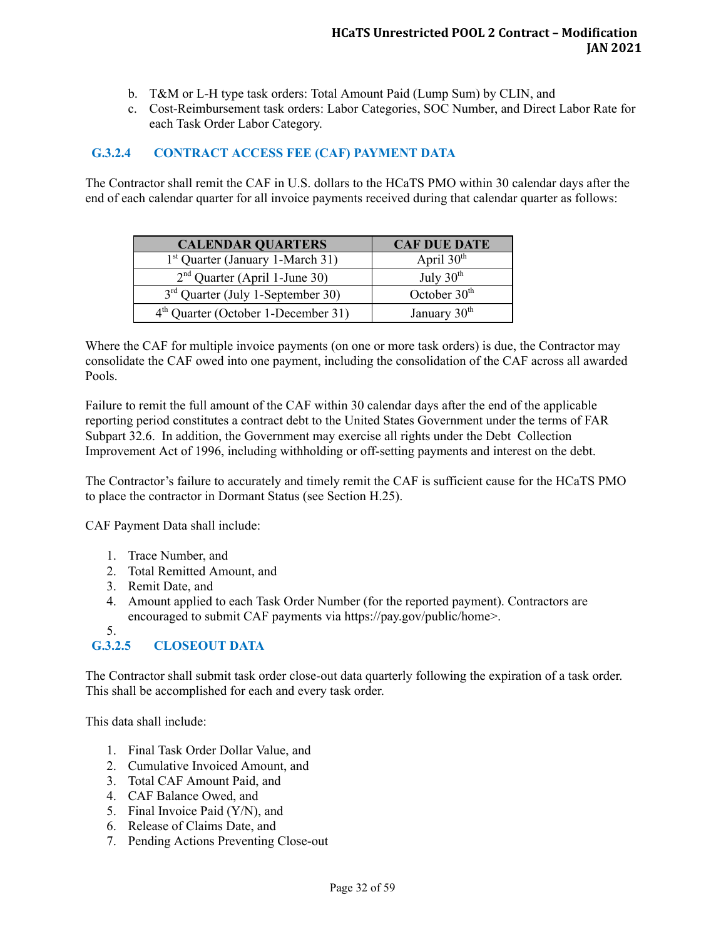- b. T&M or L-H type task orders: Total Amount Paid (Lump Sum) by CLIN, and
- c. Cost-Reimbursement task orders: Labor Categories, SOC Number, and Direct Labor Rate for each Task Order Labor Category.

#### <span id="page-36-0"></span>**G.3.2.4 CONTRACT ACCESS FEE (CAF) PAYMENT DATA**

The Contractor shall remit the CAF in U.S. dollars to the HCaTS PMO within 30 calendar days after the end of each calendar quarter for all invoice payments received during that calendar quarter as follows:

| <b>CALENDAR QUARTERS</b>                     | <b>CAF DUE DATE</b>      |
|----------------------------------------------|--------------------------|
| 1 <sup>st</sup> Quarter (January 1-March 31) | April $30th$             |
| $2nd$ Quarter (April 1-June 30)              | July $30th$              |
| $3rd$ Quarter (July 1-September 30)          | October $30th$           |
| $4th$ Quarter (October 1-December 31)        | January 30 <sup>th</sup> |

Where the CAF for multiple invoice payments (on one or more task orders) is due, the Contractor may consolidate the CAF owed into one payment, including the consolidation of the CAF across all awarded Pools.

Failure to remit the full amount of the CAF within 30 calendar days after the end of the applicable reporting period constitutes a contract debt to the United States Government under the terms of FAR Subpart 32.6. In addition, the Government may exercise all rights under the Debt Collection Improvement Act of 1996, including withholding or off-setting payments and interest on the debt.

The Contractor's failure to accurately and timely remit the CAF is sufficient cause for the HCaTS PMO to place the contractor in Dormant Status (see Section H.25).

CAF Payment Data shall include:

- 1. Trace Number, and
- 2. Total Remitted Amount, and
- 3. Remit Date, and
- 4. Amount applied to each Task Order Number (for the reported payment). Contractors are encouraged to submit CAF payments via https://pay.gov/public/home>.
- 5.

## <span id="page-36-1"></span>**G.3.2.5 CLOSEOUT DATA**

The Contractor shall submit task order close-out data quarterly following the expiration of a task order. This shall be accomplished for each and every task order.

This data shall include:

- 1. Final Task Order Dollar Value, and
- 2. Cumulative Invoiced Amount, and
- 3. Total CAF Amount Paid, and
- 4. CAF Balance Owed, and
- 5. Final Invoice Paid (Y/N), and
- 6. Release of Claims Date, and
- 7. Pending Actions Preventing Close-out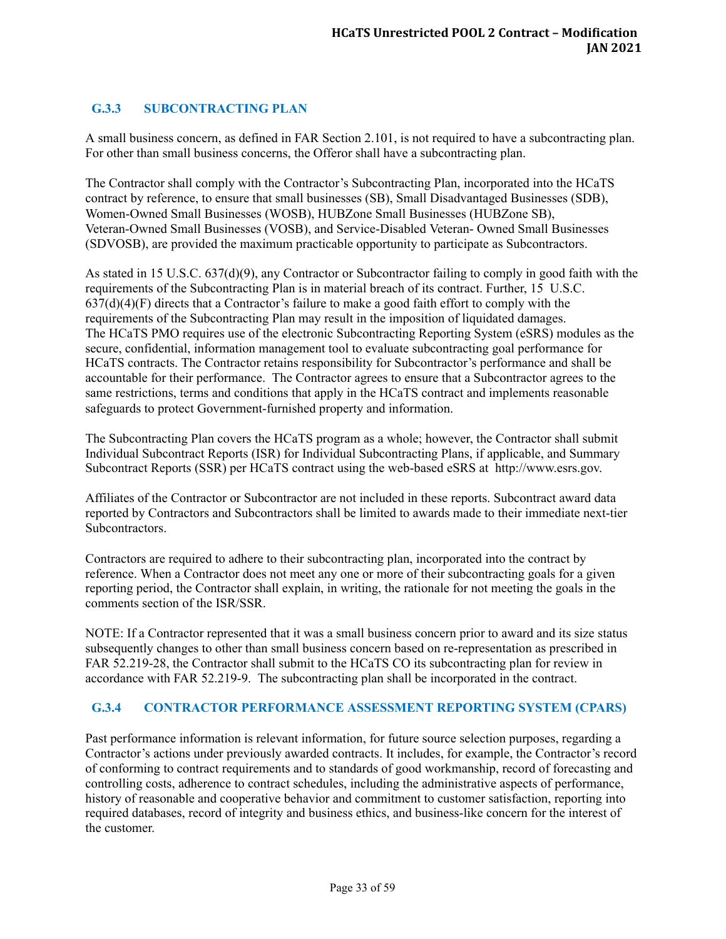# <span id="page-37-0"></span>**G.3.3 SUBCONTRACTING PLAN**

A small business concern, as defined in FAR Section 2.101, is not required to have a subcontracting plan. For other than small business concerns, the Offeror shall have a subcontracting plan.

The Contractor shall comply with the Contractor's Subcontracting Plan, incorporated into the HCaTS contract by reference, to ensure that small businesses (SB), Small Disadvantaged Businesses (SDB), Women-Owned Small Businesses (WOSB), HUBZone Small Businesses (HUBZone SB), Veteran-Owned Small Businesses (VOSB), and Service-Disabled Veteran- Owned Small Businesses (SDVOSB), are provided the maximum practicable opportunity to participate as Subcontractors.

As stated in 15 U.S.C. 637(d)(9), any Contractor or Subcontractor failing to comply in good faith with the requirements of the Subcontracting Plan is in material breach of its contract. Further, 15 U.S.C.  $637(d)(4)(F)$  directs that a Contractor's failure to make a good faith effort to comply with the requirements of the Subcontracting Plan may result in the imposition of liquidated damages. The HCaTS PMO requires use of the electronic Subcontracting Reporting System (eSRS) modules as the secure, confidential, information management tool to evaluate subcontracting goal performance for HCaTS contracts. The Contractor retains responsibility for Subcontractor's performance and shall be accountable for their performance. The Contractor agrees to ensure that a Subcontractor agrees to the same restrictions, terms and conditions that apply in the HCaTS contract and implements reasonable safeguards to protect Government-furnished property and information.

The Subcontracting Plan covers the HCaTS program as a whole; however, the Contractor shall submit Individual Subcontract Reports (ISR) for Individual Subcontracting Plans, if applicable, and Summary Subcontract Reports (SSR) per HCaTS contract using the web-based eSRS at http://www.esrs.gov.

Affiliates of the Contractor or Subcontractor are not included in these reports. Subcontract award data reported by Contractors and Subcontractors shall be limited to awards made to their immediate next-tier Subcontractors.

Contractors are required to adhere to their subcontracting plan, incorporated into the contract by reference. When a Contractor does not meet any one or more of their subcontracting goals for a given reporting period, the Contractor shall explain, in writing, the rationale for not meeting the goals in the comments section of the ISR/SSR.

NOTE: If a Contractor represented that it was a small business concern prior to award and its size status subsequently changes to other than small business concern based on re-representation as prescribed in FAR 52.219-28, the Contractor shall submit to the HCaTS CO its subcontracting plan for review in accordance with FAR 52.219-9. The subcontracting plan shall be incorporated in the contract.

#### <span id="page-37-1"></span>**G.3.4 CONTRACTOR PERFORMANCE ASSESSMENT REPORTING SYSTEM (CPARS)**

Past performance information is relevant information, for future source selection purposes, regarding a Contractor's actions under previously awarded contracts. It includes, for example, the Contractor's record of conforming to contract requirements and to standards of good workmanship, record of forecasting and controlling costs, adherence to contract schedules, including the administrative aspects of performance, history of reasonable and cooperative behavior and commitment to customer satisfaction, reporting into required databases, record of integrity and business ethics, and business-like concern for the interest of the customer.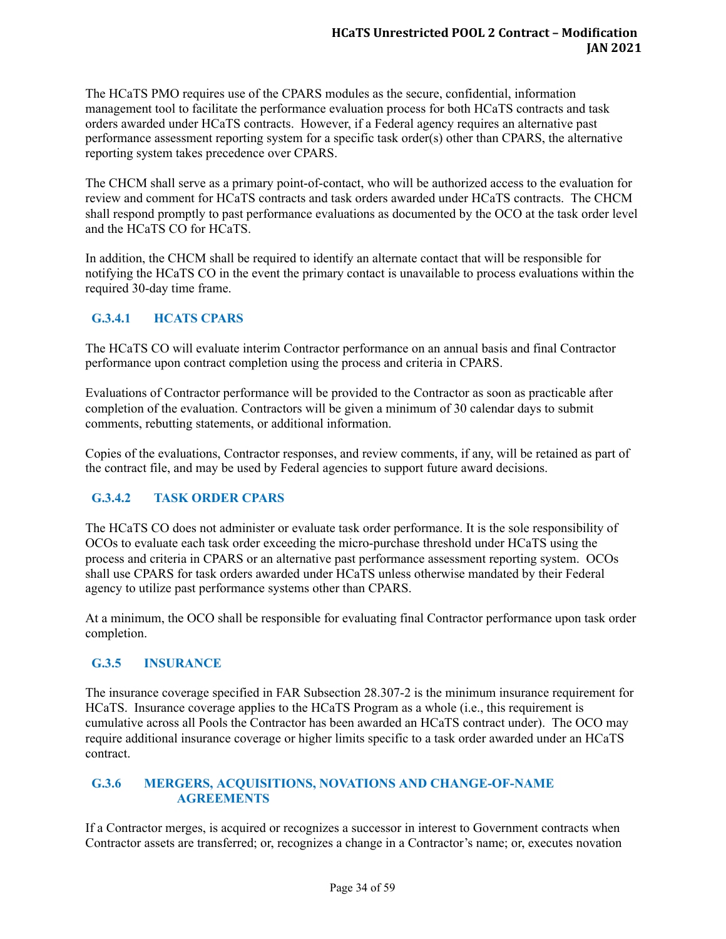The HCaTS PMO requires use of the CPARS modules as the secure, confidential, information management tool to facilitate the performance evaluation process for both HCaTS contracts and task orders awarded under HCaTS contracts. However, if a Federal agency requires an alternative past performance assessment reporting system for a specific task order(s) other than CPARS, the alternative reporting system takes precedence over CPARS.

The CHCM shall serve as a primary point-of-contact, who will be authorized access to the evaluation for review and comment for HCaTS contracts and task orders awarded under HCaTS contracts. The CHCM shall respond promptly to past performance evaluations as documented by the OCO at the task order level and the HCaTS CO for HCaTS.

In addition, the CHCM shall be required to identify an alternate contact that will be responsible for notifying the HCaTS CO in the event the primary contact is unavailable to process evaluations within the required 30-day time frame.

## <span id="page-38-0"></span>**G.3.4.1 HCATS CPARS**

The HCaTS CO will evaluate interim Contractor performance on an annual basis and final Contractor performance upon contract completion using the process and criteria in CPARS.

Evaluations of Contractor performance will be provided to the Contractor as soon as practicable after completion of the evaluation. Contractors will be given a minimum of 30 calendar days to submit comments, rebutting statements, or additional information.

Copies of the evaluations, Contractor responses, and review comments, if any, will be retained as part of the contract file, and may be used by Federal agencies to support future award decisions.

# <span id="page-38-1"></span>**G.3.4.2 TASK ORDER CPARS**

The HCaTS CO does not administer or evaluate task order performance. It is the sole responsibility of OCOs to evaluate each task order exceeding the micro-purchase threshold under HCaTS using the process and criteria in CPARS or an alternative past performance assessment reporting system. OCOs shall use CPARS for task orders awarded under HCaTS unless otherwise mandated by their Federal agency to utilize past performance systems other than CPARS.

At a minimum, the OCO shall be responsible for evaluating final Contractor performance upon task order completion.

## <span id="page-38-2"></span>**G.3.5 INSURANCE**

The insurance coverage specified in FAR Subsection 28.307-2 is the minimum insurance requirement for HCaTS. Insurance coverage applies to the HCaTS Program as a whole (i.e., this requirement is cumulative across all Pools the Contractor has been awarded an HCaTS contract under). The OCO may require additional insurance coverage or higher limits specific to a task order awarded under an HCaTS contract.

### <span id="page-38-3"></span>**G.3.6 MERGERS, ACQUISITIONS, NOVATIONS AND CHANGE-OF-NAME AGREEMENTS**

If a Contractor merges, is acquired or recognizes a successor in interest to Government contracts when Contractor assets are transferred; or, recognizes a change in a Contractor's name; or, executes novation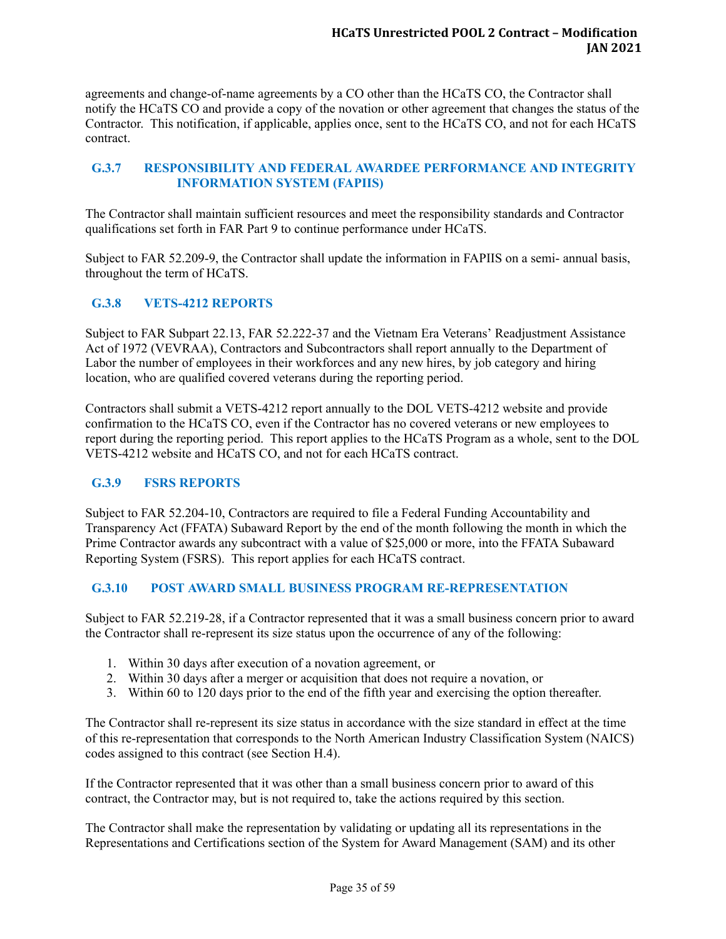agreements and change-of-name agreements by a CO other than the HCaTS CO, the Contractor shall notify the HCaTS CO and provide a copy of the novation or other agreement that changes the status of the Contractor. This notification, if applicable, applies once, sent to the HCaTS CO, and not for each HCaTS contract.

## <span id="page-39-0"></span>**G.3.7 RESPONSIBILITY AND FEDERAL AWARDEE PERFORMANCE AND INTEGRITY INFORMATION SYSTEM (FAPIIS)**

The Contractor shall maintain sufficient resources and meet the responsibility standards and Contractor qualifications set forth in FAR Part 9 to continue performance under HCaTS.

Subject to FAR 52.209-9, the Contractor shall update the information in FAPIIS on a semi- annual basis, throughout the term of HCaTS.

# <span id="page-39-1"></span>**G.3.8 VETS-4212 REPORTS**

Subject to FAR Subpart 22.13, FAR 52.222-37 and the Vietnam Era Veterans' Readjustment Assistance Act of 1972 (VEVRAA), Contractors and Subcontractors shall report annually to the Department of Labor the number of employees in their workforces and any new hires, by job category and hiring location, who are qualified covered veterans during the reporting period.

Contractors shall submit a VETS-4212 report annually to the DOL VETS-4212 website and provide confirmation to the HCaTS CO, even if the Contractor has no covered veterans or new employees to report during the reporting period. This report applies to the HCaTS Program as a whole, sent to the DOL VETS-4212 website and HCaTS CO, and not for each HCaTS contract.

## <span id="page-39-2"></span>**G.3.9 FSRS REPORTS**

Subject to FAR 52.204-10, Contractors are required to file a Federal Funding Accountability and Transparency Act (FFATA) Subaward Report by the end of the month following the month in which the Prime Contractor awards any subcontract with a value of \$25,000 or more, into the FFATA Subaward Reporting System (FSRS). This report applies for each HCaTS contract.

## <span id="page-39-3"></span>**G.3.10 POST AWARD SMALL BUSINESS PROGRAM RE-REPRESENTATION**

Subject to FAR 52.219-28, if a Contractor represented that it was a small business concern prior to award the Contractor shall re-represent its size status upon the occurrence of any of the following:

- 1. Within 30 days after execution of a novation agreement, or
- 2. Within 30 days after a merger or acquisition that does not require a novation, or
- 3. Within 60 to 120 days prior to the end of the fifth year and exercising the option thereafter.

The Contractor shall re-represent its size status in accordance with the size standard in effect at the time of this re-representation that corresponds to the North American Industry Classification System (NAICS) codes assigned to this contract (see Section H.4).

If the Contractor represented that it was other than a small business concern prior to award of this contract, the Contractor may, but is not required to, take the actions required by this section.

The Contractor shall make the representation by validating or updating all its representations in the Representations and Certifications section of the System for Award Management (SAM) and its other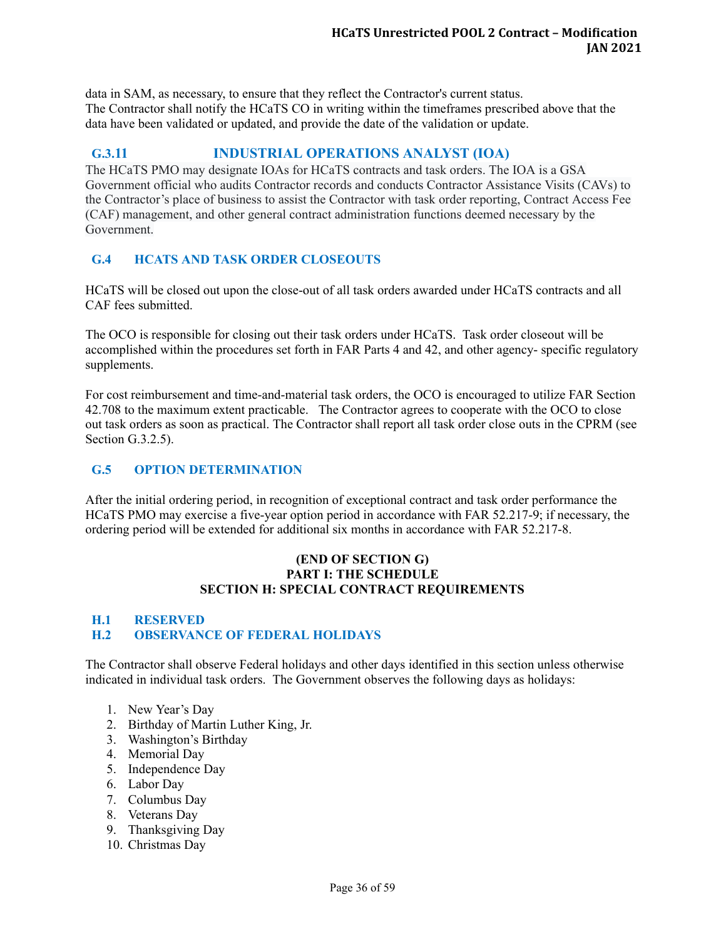data in SAM, as necessary, to ensure that they reflect the Contractor's current status. The Contractor shall notify the HCaTS CO in writing within the timeframes prescribed above that the data have been validated or updated, and provide the date of the validation or update.

## <span id="page-40-0"></span>**G.3.11 INDUSTRIAL OPERATIONS ANALYST (IOA)**

The HCaTS PMO may designate IOAs for HCaTS contracts and task orders. The IOA is a GSA Government official who audits Contractor records and conducts Contractor Assistance Visits (CAVs) to the Contractor's place of business to assist the Contractor with task order reporting, Contract Access Fee (CAF) management, and other general contract administration functions deemed necessary by the Government.

## <span id="page-40-1"></span>**G.4 HCATS AND TASK ORDER CLOSEOUTS**

HCaTS will be closed out upon the close-out of all task orders awarded under HCaTS contracts and all CAF fees submitted.

The OCO is responsible for closing out their task orders under HCaTS. Task order closeout will be accomplished within the procedures set forth in FAR Parts 4 and 42, and other agency- specific regulatory supplements.

For cost reimbursement and time-and-material task orders, the OCO is encouraged to utilize FAR Section 42.708 to the maximum extent practicable. The Contractor agrees to cooperate with the OCO to close out task orders as soon as practical. The Contractor shall report all task order close outs in the CPRM (see Section G.3.2.5).

# <span id="page-40-2"></span>**G.5 OPTION DETERMINATION**

After the initial ordering period, in recognition of exceptional contract and task order performance the HCaTS PMO may exercise a five-year option period in accordance with FAR 52.217-9; if necessary, the ordering period will be extended for additional six months in accordance with FAR 52.217-8.

#### **(END OF SECTION G) PART I: THE SCHEDULE SECTION H: SPECIAL CONTRACT REQUIREMENTS**

## <span id="page-40-4"></span><span id="page-40-3"></span>**H.1 RESERVED H.2 OBSERVANCE OF FEDERAL HOLIDAYS**

The Contractor shall observe Federal holidays and other days identified in this section unless otherwise indicated in individual task orders. The Government observes the following days as holidays:

- 1. New Year's Day
- 2. Birthday of Martin Luther King, Jr.
- 3. Washington's Birthday
- 4. Memorial Day
- 5. Independence Day
- 6. Labor Day
- 7. Columbus Day
- 8. Veterans Day
- 9. Thanksgiving Day
- 10. Christmas Day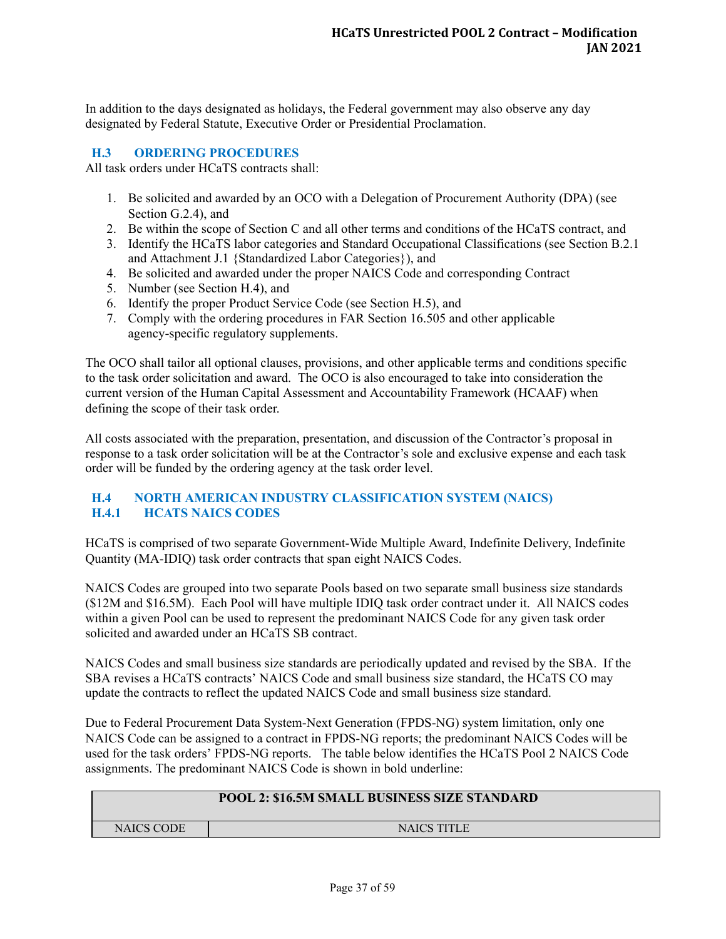In addition to the days designated as holidays, the Federal government may also observe any day designated by Federal Statute, Executive Order or Presidential Proclamation.

#### <span id="page-41-0"></span>**H.3 ORDERING PROCEDURES**

All task orders under HCaTS contracts shall:

- 1. Be solicited and awarded by an OCO with a Delegation of Procurement Authority (DPA) (see Section G.2.4), and
- 2. Be within the scope of Section C and all other terms and conditions of the HCaTS contract, and
- 3. Identify the HCaTS labor categories and Standard Occupational Classifications (see Section B.2.1 and Attachment J.1 {Standardized Labor Categories}), and
- 4. Be solicited and awarded under the proper NAICS Code and corresponding Contract
- 5. Number (see Section H.4), and
- 6. Identify the proper Product Service Code (see Section H.5), and
- 7. Comply with the ordering procedures in FAR Section 16.505 and other applicable agency-specific regulatory supplements.

The OCO shall tailor all optional clauses, provisions, and other applicable terms and conditions specific to the task order solicitation and award. The OCO is also encouraged to take into consideration the current version of the Human Capital Assessment and Accountability Framework (HCAAF) when defining the scope of their task order.

All costs associated with the preparation, presentation, and discussion of the Contractor's proposal in response to a task order solicitation will be at the Contractor's sole and exclusive expense and each task order will be funded by the ordering agency at the task order level.

## <span id="page-41-2"></span><span id="page-41-1"></span>**H.4 NORTH AMERICAN INDUSTRY CLASSIFICATION SYSTEM (NAICS) H.4.1 HCATS NAICS CODES**

HCaTS is comprised of two separate Government-Wide Multiple Award, Indefinite Delivery, Indefinite Quantity (MA-IDIQ) task order contracts that span eight NAICS Codes.

NAICS Codes are grouped into two separate Pools based on two separate small business size standards (\$12M and \$16.5M). Each Pool will have multiple IDIQ task order contract under it. All NAICS codes within a given Pool can be used to represent the predominant NAICS Code for any given task order solicited and awarded under an HCaTS SB contract.

NAICS Codes and small business size standards are periodically updated and revised by the SBA. If the SBA revises a HCaTS contracts' NAICS Code and small business size standard, the HCaTS CO may update the contracts to reflect the updated NAICS Code and small business size standard.

Due to Federal Procurement Data System-Next Generation (FPDS-NG) system limitation, only one NAICS Code can be assigned to a contract in FPDS-NG reports; the predominant NAICS Codes will be used for the task orders' FPDS-NG reports. The table below identifies the HCaTS Pool 2 NAICS Code assignments. The predominant NAICS Code is shown in bold underline:

## **POOL 2: \$16.5M SMALL BUSINESS SIZE STANDARD**

NAICS CODE NAICS TITLE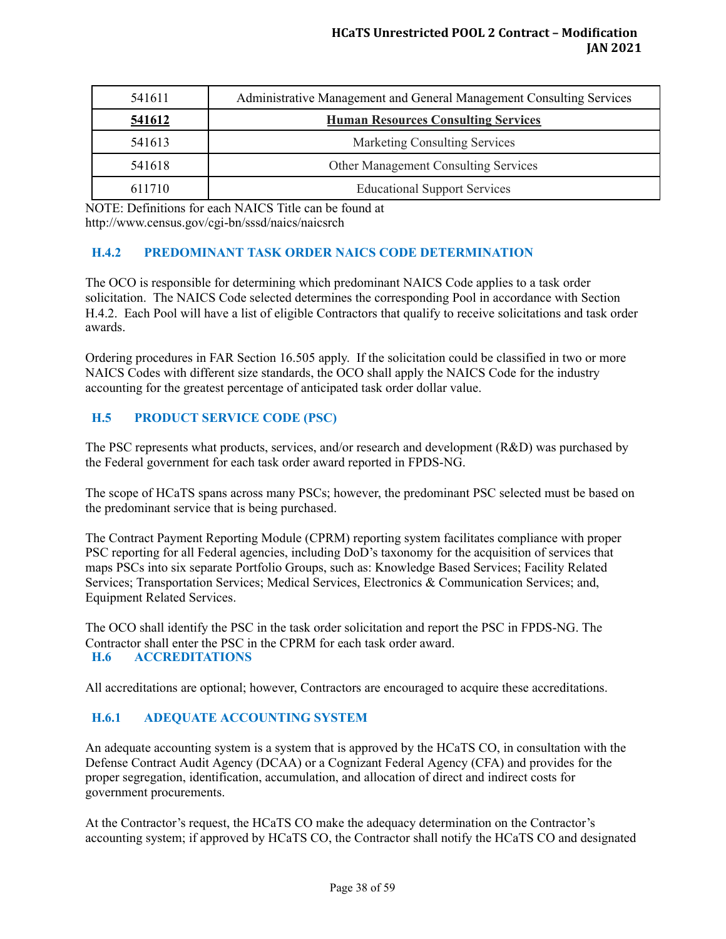| 541611 | Administrative Management and General Management Consulting Services |
|--------|----------------------------------------------------------------------|
| 541612 | <b>Human Resources Consulting Services</b>                           |
| 541613 | <b>Marketing Consulting Services</b>                                 |
| 541618 | <b>Other Management Consulting Services</b>                          |
| 611710 | <b>Educational Support Services</b>                                  |

NOTE: Definitions for each NAICS Title can be found at http://www.census.gov/cgi-bn/sssd/naics/naicsrch

## <span id="page-42-0"></span>**H.4.2 PREDOMINANT TASK ORDER NAICS CODE DETERMINATION**

The OCO is responsible for determining which predominant NAICS Code applies to a task order solicitation. The NAICS Code selected determines the corresponding Pool in accordance with Section H.4.2. Each Pool will have a list of eligible Contractors that qualify to receive solicitations and task order awards.

Ordering procedures in FAR Section 16.505 apply. If the solicitation could be classified in two or more NAICS Codes with different size standards, the OCO shall apply the NAICS Code for the industry accounting for the greatest percentage of anticipated task order dollar value.

## <span id="page-42-1"></span>**H.5 PRODUCT SERVICE CODE (PSC)**

The PSC represents what products, services, and/or research and development (R&D) was purchased by the Federal government for each task order award reported in FPDS-NG.

The scope of HCaTS spans across many PSCs; however, the predominant PSC selected must be based on the predominant service that is being purchased.

The Contract Payment Reporting Module (CPRM) reporting system facilitates compliance with proper PSC reporting for all Federal agencies, including DoD's taxonomy for the acquisition of services that maps PSCs into six separate Portfolio Groups, such as: Knowledge Based Services; Facility Related Services; Transportation Services; Medical Services, Electronics & Communication Services; and, Equipment Related Services.

<span id="page-42-2"></span>The OCO shall identify the PSC in the task order solicitation and report the PSC in FPDS-NG. The Contractor shall enter the PSC in the CPRM for each task order award. **H.6 ACCREDITATIONS**

All accreditations are optional; however, Contractors are encouraged to acquire these accreditations.

# <span id="page-42-3"></span>**H.6.1 ADEQUATE ACCOUNTING SYSTEM**

An adequate accounting system is a system that is approved by the HCaTS CO, in consultation with the Defense Contract Audit Agency (DCAA) or a Cognizant Federal Agency (CFA) and provides for the proper segregation, identification, accumulation, and allocation of direct and indirect costs for government procurements.

At the Contractor's request, the HCaTS CO make the adequacy determination on the Contractor's accounting system; if approved by HCaTS CO, the Contractor shall notify the HCaTS CO and designated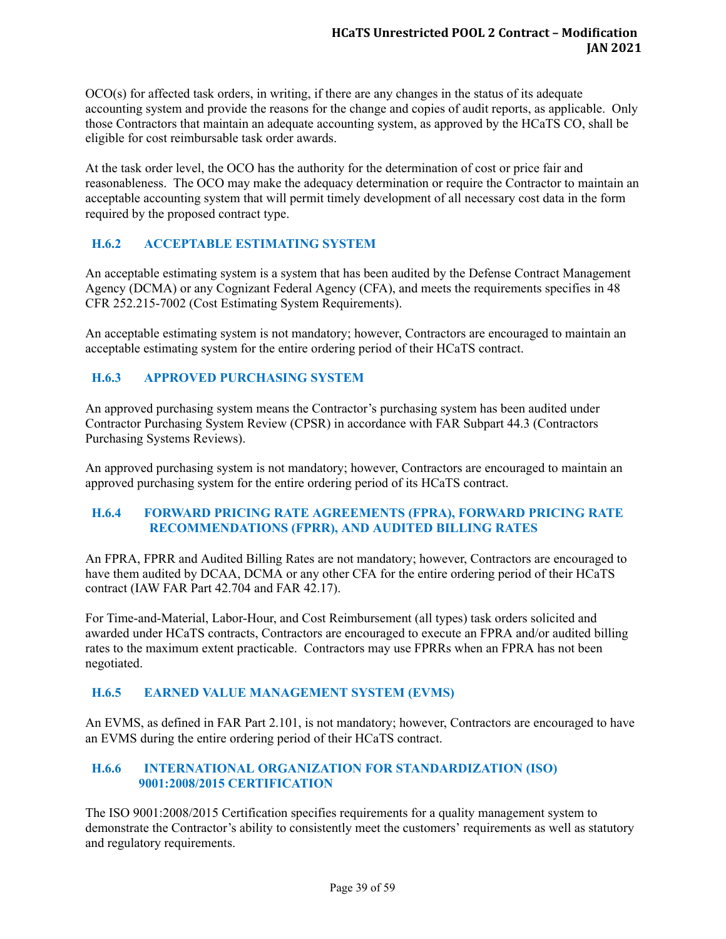OCO(s) for affected task orders, in writing, if there are any changes in the status of its adequate accounting system and provide the reasons for the change and copies of audit reports, as applicable. Only those Contractors that maintain an adequate accounting system, as approved by the HCaTS CO, shall be eligible for cost reimbursable task order awards.

At the task order level, the OCO has the authority for the determination of cost or price fair and reasonableness. The OCO may make the adequacy determination or require the Contractor to maintain an acceptable accounting system that will permit timely development of all necessary cost data in the form required by the proposed contract type.

# <span id="page-43-0"></span>**H.6.2 ACCEPTABLE ESTIMATING SYSTEM**

An acceptable estimating system is a system that has been audited by the Defense Contract Management Agency (DCMA) or any Cognizant Federal Agency (CFA), and meets the requirements specifies in 48 CFR 252.215-7002 (Cost Estimating System Requirements).

An acceptable estimating system is not mandatory; however, Contractors are encouraged to maintain an acceptable estimating system for the entire ordering period of their HCaTS contract.

### <span id="page-43-1"></span>**H.6.3 APPROVED PURCHASING SYSTEM**

An approved purchasing system means the Contractor's purchasing system has been audited under Contractor Purchasing System Review (CPSR) in accordance with FAR Subpart 44.3 (Contractors Purchasing Systems Reviews).

An approved purchasing system is not mandatory; however, Contractors are encouraged to maintain an approved purchasing system for the entire ordering period of its HCaTS contract.

### <span id="page-43-2"></span>**H.6.4 FORWARD PRICING RATE AGREEMENTS (FPRA), FORWARD PRICING RATE RECOMMENDATIONS (FPRR), AND AUDITED BILLING RATES**

An FPRA, FPRR and Audited Billing Rates are not mandatory; however, Contractors are encouraged to have them audited by DCAA, DCMA or any other CFA for the entire ordering period of their HCaTS contract (IAW FAR Part 42.704 and FAR 42.17).

For Time-and-Material, Labor-Hour, and Cost Reimbursement (all types) task orders solicited and awarded under HCaTS contracts, Contractors are encouraged to execute an FPRA and/or audited billing rates to the maximum extent practicable. Contractors may use FPRRs when an FPRA has not been negotiated.

#### <span id="page-43-3"></span>**H.6.5 EARNED VALUE MANAGEMENT SYSTEM (EVMS)**

An EVMS, as defined in FAR Part 2.101, is not mandatory; however, Contractors are encouraged to have an EVMS during the entire ordering period of their HCaTS contract.

### <span id="page-43-4"></span>**H.6.6 INTERNATIONAL ORGANIZATION FOR STANDARDIZATION (ISO) 9001:2008/2015 CERTIFICATION**

The ISO 9001:2008/2015 Certification specifies requirements for a quality management system to demonstrate the Contractor's ability to consistently meet the customers' requirements as well as statutory and regulatory requirements.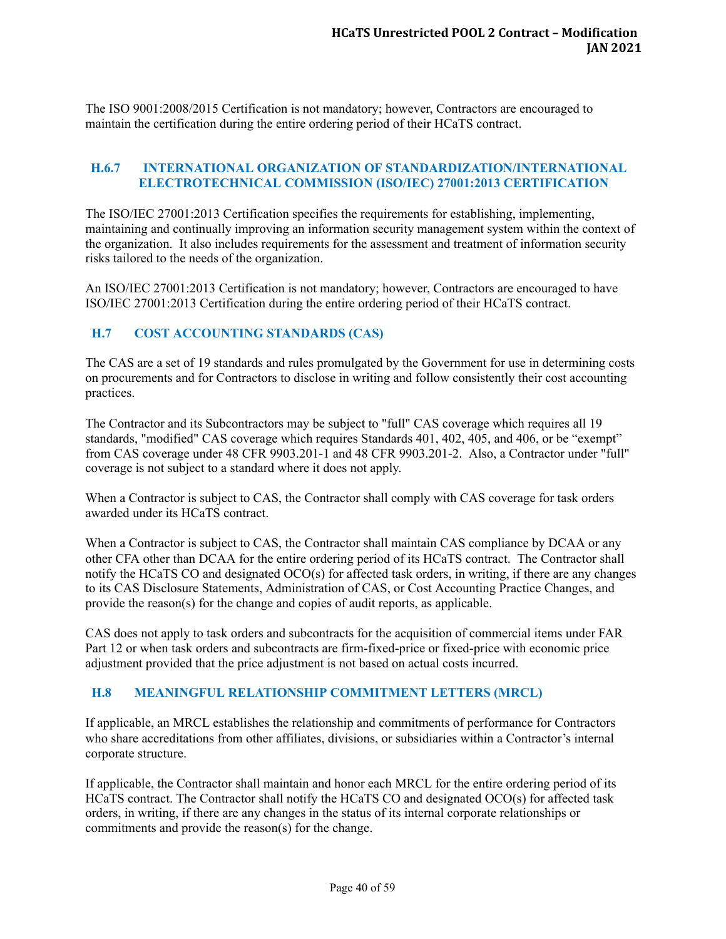The ISO 9001:2008/2015 Certification is not mandatory; however, Contractors are encouraged to maintain the certification during the entire ordering period of their HCaTS contract.

#### <span id="page-44-0"></span>**H.6.7 INTERNATIONAL ORGANIZATION OF STANDARDIZATION/INTERNATIONAL ELECTROTECHNICAL COMMISSION (ISO/IEC) 27001:2013 CERTIFICATION**

The ISO/IEC 27001:2013 Certification specifies the requirements for establishing, implementing, maintaining and continually improving an information security management system within the context of the organization. It also includes requirements for the assessment and treatment of information security risks tailored to the needs of the organization.

An ISO/IEC 27001:2013 Certification is not mandatory; however, Contractors are encouraged to have ISO/IEC 27001:2013 Certification during the entire ordering period of their HCaTS contract.

### <span id="page-44-1"></span>**H.7 COST ACCOUNTING STANDARDS (CAS)**

The CAS are a set of 19 standards and rules promulgated by the Government for use in determining costs on procurements and for Contractors to disclose in writing and follow consistently their cost accounting practices.

The Contractor and its Subcontractors may be subject to "full" CAS coverage which requires all 19 standards, "modified" CAS coverage which requires Standards 401, 402, 405, and 406, or be "exempt" from CAS coverage under 48 CFR 9903.201-1 and 48 CFR 9903.201-2. Also, a Contractor under "full" coverage is not subject to a standard where it does not apply.

When a Contractor is subject to CAS, the Contractor shall comply with CAS coverage for task orders awarded under its HCaTS contract.

When a Contractor is subject to CAS, the Contractor shall maintain CAS compliance by DCAA or any other CFA other than DCAA for the entire ordering period of its HCaTS contract. The Contractor shall notify the HCaTS CO and designated OCO(s) for affected task orders, in writing, if there are any changes to its CAS Disclosure Statements, Administration of CAS, or Cost Accounting Practice Changes, and provide the reason(s) for the change and copies of audit reports, as applicable.

CAS does not apply to task orders and subcontracts for the acquisition of commercial items under FAR Part 12 or when task orders and subcontracts are firm-fixed-price or fixed-price with economic price adjustment provided that the price adjustment is not based on actual costs incurred.

#### <span id="page-44-2"></span>**H.8 MEANINGFUL RELATIONSHIP COMMITMENT LETTERS (MRCL)**

If applicable, an MRCL establishes the relationship and commitments of performance for Contractors who share accreditations from other affiliates, divisions, or subsidiaries within a Contractor's internal corporate structure.

If applicable, the Contractor shall maintain and honor each MRCL for the entire ordering period of its HCaTS contract. The Contractor shall notify the HCaTS CO and designated OCO(s) for affected task orders, in writing, if there are any changes in the status of its internal corporate relationships or commitments and provide the reason(s) for the change.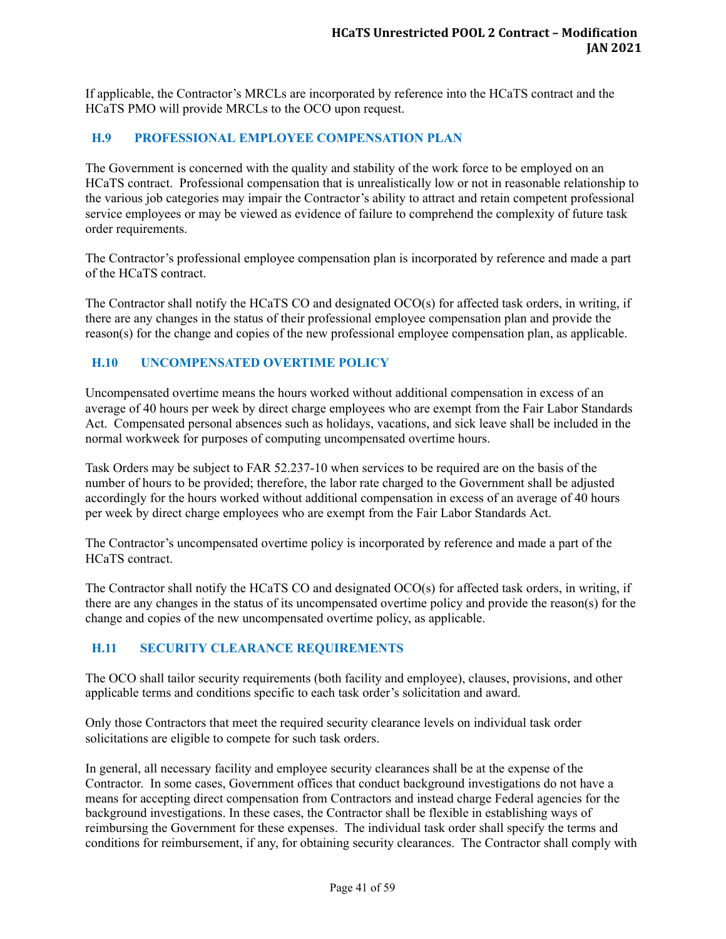If applicable, the Contractor's MRCLs are incorporated by reference into the HCaTS contract and the HCaTS PMO will provide MRCLs to the OCO upon request.

## <span id="page-45-0"></span>**H.9 PROFESSIONAL EMPLOYEE COMPENSATION PLAN**

The Government is concerned with the quality and stability of the work force to be employed on an HCaTS contract. Professional compensation that is unrealistically low or not in reasonable relationship to the various job categories may impair the Contractor's ability to attract and retain competent professional service employees or may be viewed as evidence of failure to comprehend the complexity of future task order requirements.

The Contractor's professional employee compensation plan is incorporated by reference and made a part of the HCaTS contract.

The Contractor shall notify the HCaTS CO and designated OCO(s) for affected task orders, in writing, if there are any changes in the status of their professional employee compensation plan and provide the reason(s) for the change and copies of the new professional employee compensation plan, as applicable.

## <span id="page-45-1"></span>**H.10 UNCOMPENSATED OVERTIME POLICY**

Uncompensated overtime means the hours worked without additional compensation in excess of an average of 40 hours per week by direct charge employees who are exempt from the Fair Labor Standards Act. Compensated personal absences such as holidays, vacations, and sick leave shall be included in the normal workweek for purposes of computing uncompensated overtime hours.

Task Orders may be subject to FAR 52.237-10 when services to be required are on the basis of the number of hours to be provided; therefore, the labor rate charged to the Government shall be adjusted accordingly for the hours worked without additional compensation in excess of an average of 40 hours per week by direct charge employees who are exempt from the Fair Labor Standards Act.

The Contractor's uncompensated overtime policy is incorporated by reference and made a part of the HCaTS contract.

The Contractor shall notify the HCaTS CO and designated OCO(s) for affected task orders, in writing, if there are any changes in the status of its uncompensated overtime policy and provide the reason(s) for the change and copies of the new uncompensated overtime policy, as applicable.

## <span id="page-45-2"></span>**H.11 SECURITY CLEARANCE REQUIREMENTS**

The OCO shall tailor security requirements (both facility and employee), clauses, provisions, and other applicable terms and conditions specific to each task order's solicitation and award.

Only those Contractors that meet the required security clearance levels on individual task order solicitations are eligible to compete for such task orders.

In general, all necessary facility and employee security clearances shall be at the expense of the Contractor. In some cases, Government offices that conduct background investigations do not have a means for accepting direct compensation from Contractors and instead charge Federal agencies for the background investigations. In these cases, the Contractor shall be flexible in establishing ways of reimbursing the Government for these expenses. The individual task order shall specify the terms and conditions for reimbursement, if any, for obtaining security clearances. The Contractor shall comply with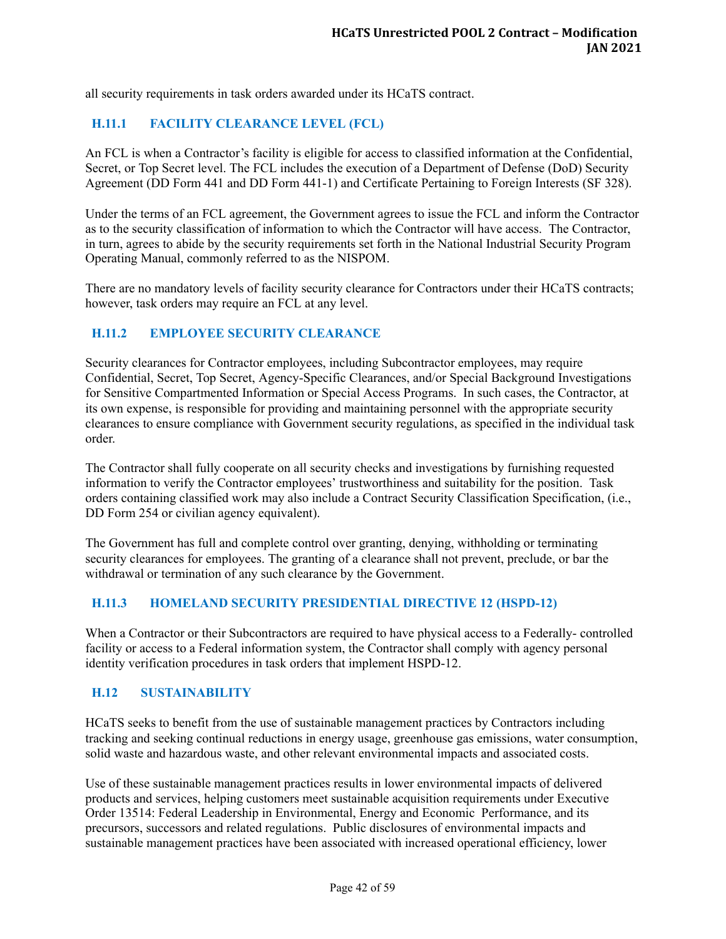all security requirements in task orders awarded under its HCaTS contract.

## <span id="page-46-0"></span>**H.11.1 FACILITY CLEARANCE LEVEL (FCL)**

An FCL is when a Contractor's facility is eligible for access to classified information at the Confidential, Secret, or Top Secret level. The FCL includes the execution of a Department of Defense (DoD) Security Agreement (DD Form 441 and DD Form 441-1) and Certificate Pertaining to Foreign Interests (SF 328).

Under the terms of an FCL agreement, the Government agrees to issue the FCL and inform the Contractor as to the security classification of information to which the Contractor will have access. The Contractor, in turn, agrees to abide by the security requirements set forth in the National Industrial Security Program Operating Manual, commonly referred to as the NISPOM.

There are no mandatory levels of facility security clearance for Contractors under their HCaTS contracts; however, task orders may require an FCL at any level.

### <span id="page-46-1"></span>**H.11.2 EMPLOYEE SECURITY CLEARANCE**

Security clearances for Contractor employees, including Subcontractor employees, may require Confidential, Secret, Top Secret, Agency-Specific Clearances, and/or Special Background Investigations for Sensitive Compartmented Information or Special Access Programs. In such cases, the Contractor, at its own expense, is responsible for providing and maintaining personnel with the appropriate security clearances to ensure compliance with Government security regulations, as specified in the individual task order.

The Contractor shall fully cooperate on all security checks and investigations by furnishing requested information to verify the Contractor employees' trustworthiness and suitability for the position. Task orders containing classified work may also include a Contract Security Classification Specification, (i.e., DD Form 254 or civilian agency equivalent).

The Government has full and complete control over granting, denying, withholding or terminating security clearances for employees. The granting of a clearance shall not prevent, preclude, or bar the withdrawal or termination of any such clearance by the Government.

#### <span id="page-46-2"></span>**H.11.3 HOMELAND SECURITY PRESIDENTIAL DIRECTIVE 12 (HSPD-12)**

When a Contractor or their Subcontractors are required to have physical access to a Federally- controlled facility or access to a Federal information system, the Contractor shall comply with agency personal identity verification procedures in task orders that implement HSPD-12.

#### <span id="page-46-3"></span>**H.12 SUSTAINABILITY**

HCaTS seeks to benefit from the use of sustainable management practices by Contractors including tracking and seeking continual reductions in energy usage, greenhouse gas emissions, water consumption, solid waste and hazardous waste, and other relevant environmental impacts and associated costs.

Use of these sustainable management practices results in lower environmental impacts of delivered products and services, helping customers meet sustainable acquisition requirements under Executive Order 13514: Federal Leadership in Environmental, Energy and Economic Performance, and its precursors, successors and related regulations. Public disclosures of environmental impacts and sustainable management practices have been associated with increased operational efficiency, lower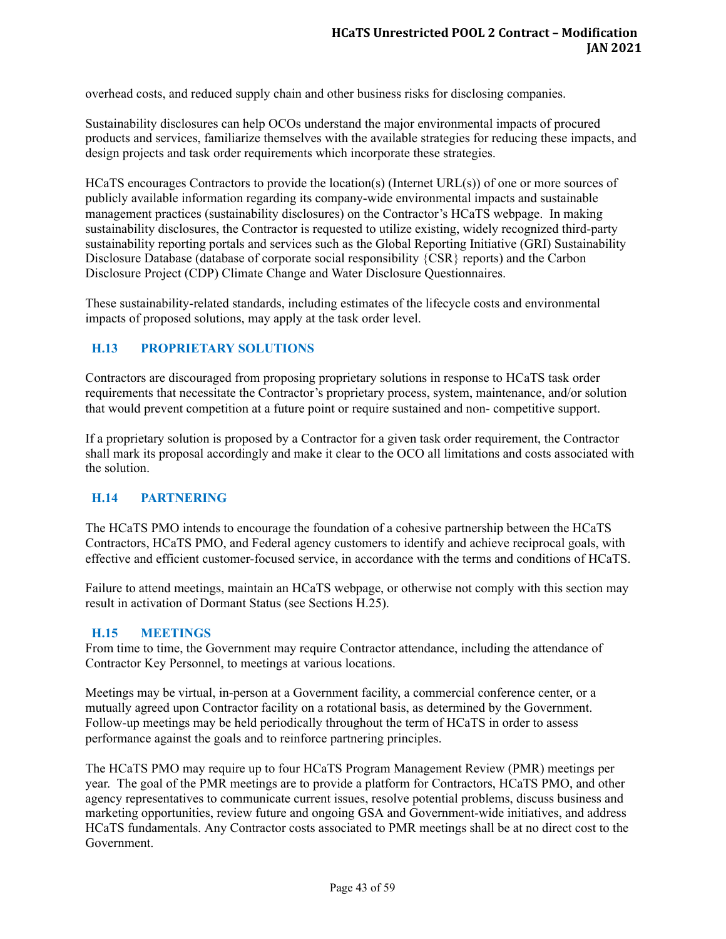overhead costs, and reduced supply chain and other business risks for disclosing companies.

Sustainability disclosures can help OCOs understand the major environmental impacts of procured products and services, familiarize themselves with the available strategies for reducing these impacts, and design projects and task order requirements which incorporate these strategies.

HCaTS encourages Contractors to provide the location(s) (Internet URL(s)) of one or more sources of publicly available information regarding its company-wide environmental impacts and sustainable management practices (sustainability disclosures) on the Contractor's HCaTS webpage. In making sustainability disclosures, the Contractor is requested to utilize existing, widely recognized third-party sustainability reporting portals and services such as the Global Reporting Initiative (GRI) Sustainability Disclosure Database (database of corporate social responsibility {CSR} reports) and the Carbon Disclosure Project (CDP) Climate Change and Water Disclosure Questionnaires.

These sustainability-related standards, including estimates of the lifecycle costs and environmental impacts of proposed solutions, may apply at the task order level.

## <span id="page-47-0"></span>**H.13 PROPRIETARY SOLUTIONS**

Contractors are discouraged from proposing proprietary solutions in response to HCaTS task order requirements that necessitate the Contractor's proprietary process, system, maintenance, and/or solution that would prevent competition at a future point or require sustained and non- competitive support.

If a proprietary solution is proposed by a Contractor for a given task order requirement, the Contractor shall mark its proposal accordingly and make it clear to the OCO all limitations and costs associated with the solution.

#### <span id="page-47-1"></span>**H.14 PARTNERING**

The HCaTS PMO intends to encourage the foundation of a cohesive partnership between the HCaTS Contractors, HCaTS PMO, and Federal agency customers to identify and achieve reciprocal goals, with effective and efficient customer-focused service, in accordance with the terms and conditions of HCaTS.

Failure to attend meetings, maintain an HCaTS webpage, or otherwise not comply with this section may result in activation of Dormant Status (see Sections H.25).

#### <span id="page-47-2"></span>**H.15 MEETINGS**

From time to time, the Government may require Contractor attendance, including the attendance of Contractor Key Personnel, to meetings at various locations.

Meetings may be virtual, in-person at a Government facility, a commercial conference center, or a mutually agreed upon Contractor facility on a rotational basis, as determined by the Government. Follow-up meetings may be held periodically throughout the term of HCaTS in order to assess performance against the goals and to reinforce partnering principles.

The HCaTS PMO may require up to four HCaTS Program Management Review (PMR) meetings per year. The goal of the PMR meetings are to provide a platform for Contractors, HCaTS PMO, and other agency representatives to communicate current issues, resolve potential problems, discuss business and marketing opportunities, review future and ongoing GSA and Government-wide initiatives, and address HCaTS fundamentals. Any Contractor costs associated to PMR meetings shall be at no direct cost to the Government.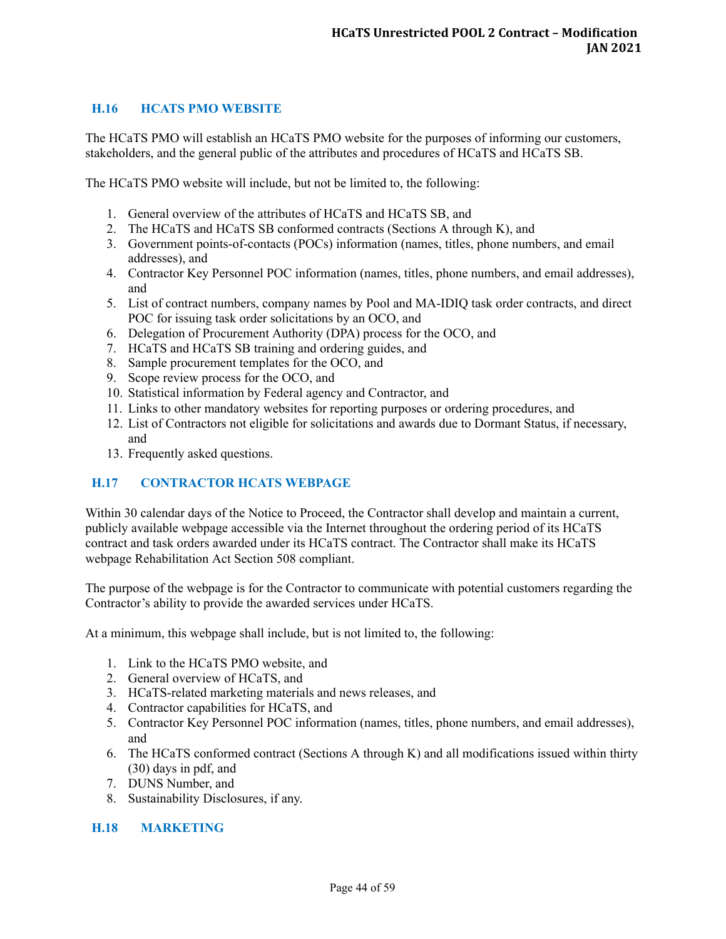## <span id="page-48-0"></span>**H.16 HCATS PMO WEBSITE**

The HCaTS PMO will establish an HCaTS PMO website for the purposes of informing our customers, stakeholders, and the general public of the attributes and procedures of HCaTS and HCaTS SB.

The HCaTS PMO website will include, but not be limited to, the following:

- 1. General overview of the attributes of HCaTS and HCaTS SB, and
- 2. The HCaTS and HCaTS SB conformed contracts (Sections A through K), and
- 3. Government points-of-contacts (POCs) information (names, titles, phone numbers, and email addresses), and
- 4. Contractor Key Personnel POC information (names, titles, phone numbers, and email addresses), and
- 5. List of contract numbers, company names by Pool and MA-IDIQ task order contracts, and direct POC for issuing task order solicitations by an OCO, and
- 6. Delegation of Procurement Authority (DPA) process for the OCO, and
- 7. HCaTS and HCaTS SB training and ordering guides, and
- 8. Sample procurement templates for the OCO, and
- 9. Scope review process for the OCO, and
- 10. Statistical information by Federal agency and Contractor, and
- 11. Links to other mandatory websites for reporting purposes or ordering procedures, and
- 12. List of Contractors not eligible for solicitations and awards due to Dormant Status, if necessary, and
- 13. Frequently asked questions.

## <span id="page-48-1"></span>**H.17 CONTRACTOR HCATS WEBPAGE**

Within 30 calendar days of the Notice to Proceed, the Contractor shall develop and maintain a current, publicly available webpage accessible via the Internet throughout the ordering period of its HCaTS contract and task orders awarded under its HCaTS contract. The Contractor shall make its HCaTS webpage Rehabilitation Act Section 508 compliant.

The purpose of the webpage is for the Contractor to communicate with potential customers regarding the Contractor's ability to provide the awarded services under HCaTS.

At a minimum, this webpage shall include, but is not limited to, the following:

- 1. Link to the HCaTS PMO website, and
- 2. General overview of HCaTS, and
- 3. HCaTS-related marketing materials and news releases, and
- 4. Contractor capabilities for HCaTS, and
- 5. Contractor Key Personnel POC information (names, titles, phone numbers, and email addresses), and
- 6. The HCaTS conformed contract (Sections A through K) and all modifications issued within thirty (30) days in pdf, and
- 7. DUNS Number, and
- 8. Sustainability Disclosures, if any.

### <span id="page-48-2"></span>**H.18 MARKETING**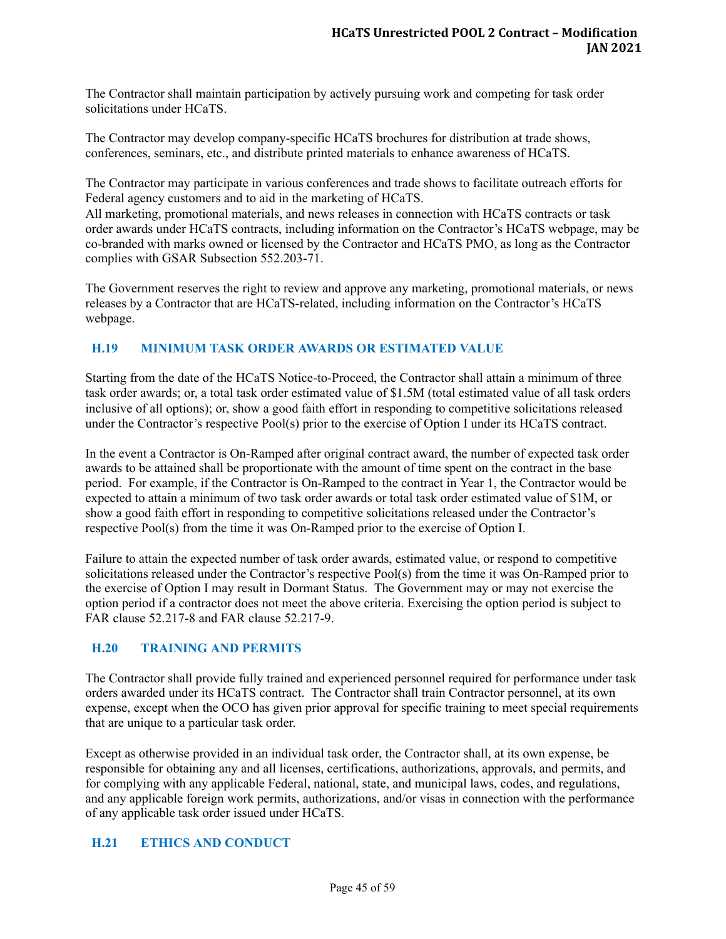The Contractor shall maintain participation by actively pursuing work and competing for task order solicitations under HCaTS.

The Contractor may develop company-specific HCaTS brochures for distribution at trade shows, conferences, seminars, etc., and distribute printed materials to enhance awareness of HCaTS.

The Contractor may participate in various conferences and trade shows to facilitate outreach efforts for Federal agency customers and to aid in the marketing of HCaTS.

All marketing, promotional materials, and news releases in connection with HCaTS contracts or task order awards under HCaTS contracts, including information on the Contractor's HCaTS webpage, may be co-branded with marks owned or licensed by the Contractor and HCaTS PMO, as long as the Contractor complies with GSAR Subsection 552.203-71.

The Government reserves the right to review and approve any marketing, promotional materials, or news releases by a Contractor that are HCaTS-related, including information on the Contractor's HCaTS webpage.

# <span id="page-49-0"></span>**H.19 MINIMUM TASK ORDER AWARDS OR ESTIMATED VALUE**

Starting from the date of the HCaTS Notice-to-Proceed, the Contractor shall attain a minimum of three task order awards; or, a total task order estimated value of \$1.5M (total estimated value of all task orders inclusive of all options); or, show a good faith effort in responding to competitive solicitations released under the Contractor's respective Pool(s) prior to the exercise of Option I under its HCaTS contract.

In the event a Contractor is On-Ramped after original contract award, the number of expected task order awards to be attained shall be proportionate with the amount of time spent on the contract in the base period. For example, if the Contractor is On-Ramped to the contract in Year 1, the Contractor would be expected to attain a minimum of two task order awards or total task order estimated value of \$1M, or show a good faith effort in responding to competitive solicitations released under the Contractor's respective Pool(s) from the time it was On-Ramped prior to the exercise of Option I.

Failure to attain the expected number of task order awards, estimated value, or respond to competitive solicitations released under the Contractor's respective Pool(s) from the time it was On-Ramped prior to the exercise of Option I may result in Dormant Status. The Government may or may not exercise the option period if a contractor does not meet the above criteria. Exercising the option period is subject to FAR clause 52.217-8 and FAR clause 52.217-9.

## <span id="page-49-1"></span>**H.20 TRAINING AND PERMITS**

The Contractor shall provide fully trained and experienced personnel required for performance under task orders awarded under its HCaTS contract. The Contractor shall train Contractor personnel, at its own expense, except when the OCO has given prior approval for specific training to meet special requirements that are unique to a particular task order.

Except as otherwise provided in an individual task order, the Contractor shall, at its own expense, be responsible for obtaining any and all licenses, certifications, authorizations, approvals, and permits, and for complying with any applicable Federal, national, state, and municipal laws, codes, and regulations, and any applicable foreign work permits, authorizations, and/or visas in connection with the performance of any applicable task order issued under HCaTS.

#### <span id="page-49-2"></span>**H.21 ETHICS AND CONDUCT**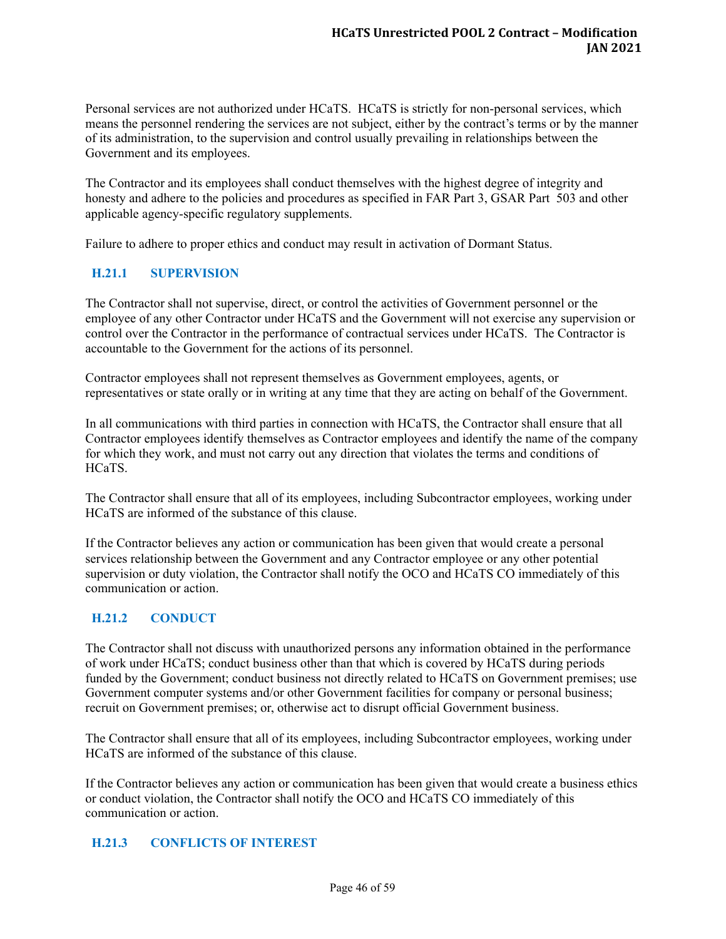Personal services are not authorized under HCaTS. HCaTS is strictly for non-personal services, which means the personnel rendering the services are not subject, either by the contract's terms or by the manner of its administration, to the supervision and control usually prevailing in relationships between the Government and its employees.

The Contractor and its employees shall conduct themselves with the highest degree of integrity and honesty and adhere to the policies and procedures as specified in FAR Part 3, GSAR Part 503 and other applicable agency-specific regulatory supplements.

Failure to adhere to proper ethics and conduct may result in activation of Dormant Status.

## <span id="page-50-0"></span>**H.21.1 SUPERVISION**

The Contractor shall not supervise, direct, or control the activities of Government personnel or the employee of any other Contractor under HCaTS and the Government will not exercise any supervision or control over the Contractor in the performance of contractual services under HCaTS. The Contractor is accountable to the Government for the actions of its personnel.

Contractor employees shall not represent themselves as Government employees, agents, or representatives or state orally or in writing at any time that they are acting on behalf of the Government.

In all communications with third parties in connection with HCaTS, the Contractor shall ensure that all Contractor employees identify themselves as Contractor employees and identify the name of the company for which they work, and must not carry out any direction that violates the terms and conditions of HCaTS.

The Contractor shall ensure that all of its employees, including Subcontractor employees, working under HCaTS are informed of the substance of this clause.

If the Contractor believes any action or communication has been given that would create a personal services relationship between the Government and any Contractor employee or any other potential supervision or duty violation, the Contractor shall notify the OCO and HCaTS CO immediately of this communication or action.

#### <span id="page-50-1"></span>**H.21.2 CONDUCT**

The Contractor shall not discuss with unauthorized persons any information obtained in the performance of work under HCaTS; conduct business other than that which is covered by HCaTS during periods funded by the Government; conduct business not directly related to HCaTS on Government premises; use Government computer systems and/or other Government facilities for company or personal business; recruit on Government premises; or, otherwise act to disrupt official Government business.

The Contractor shall ensure that all of its employees, including Subcontractor employees, working under HCaTS are informed of the substance of this clause.

If the Contractor believes any action or communication has been given that would create a business ethics or conduct violation, the Contractor shall notify the OCO and HCaTS CO immediately of this communication or action.

#### <span id="page-50-2"></span>**H.21.3 CONFLICTS OF INTEREST**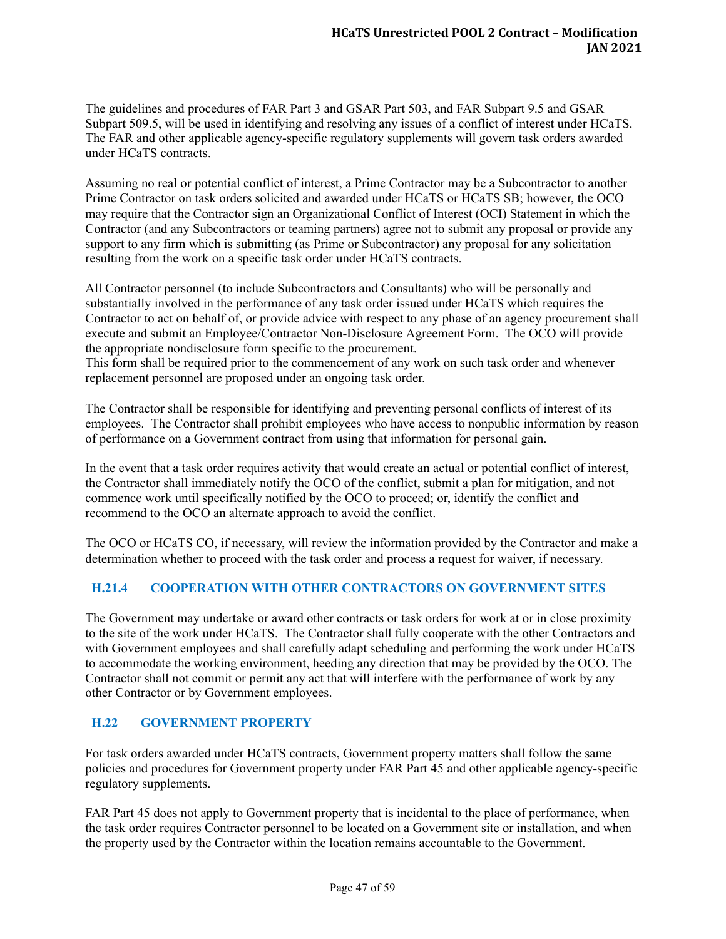The guidelines and procedures of FAR Part 3 and GSAR Part 503, and FAR Subpart 9.5 and GSAR Subpart 509.5, will be used in identifying and resolving any issues of a conflict of interest under HCaTS. The FAR and other applicable agency-specific regulatory supplements will govern task orders awarded under HCaTS contracts.

Assuming no real or potential conflict of interest, a Prime Contractor may be a Subcontractor to another Prime Contractor on task orders solicited and awarded under HCaTS or HCaTS SB; however, the OCO may require that the Contractor sign an Organizational Conflict of Interest (OCI) Statement in which the Contractor (and any Subcontractors or teaming partners) agree not to submit any proposal or provide any support to any firm which is submitting (as Prime or Subcontractor) any proposal for any solicitation resulting from the work on a specific task order under HCaTS contracts.

All Contractor personnel (to include Subcontractors and Consultants) who will be personally and substantially involved in the performance of any task order issued under HCaTS which requires the Contractor to act on behalf of, or provide advice with respect to any phase of an agency procurement shall execute and submit an Employee/Contractor Non-Disclosure Agreement Form. The OCO will provide the appropriate nondisclosure form specific to the procurement.

This form shall be required prior to the commencement of any work on such task order and whenever replacement personnel are proposed under an ongoing task order.

The Contractor shall be responsible for identifying and preventing personal conflicts of interest of its employees. The Contractor shall prohibit employees who have access to nonpublic information by reason of performance on a Government contract from using that information for personal gain.

In the event that a task order requires activity that would create an actual or potential conflict of interest, the Contractor shall immediately notify the OCO of the conflict, submit a plan for mitigation, and not commence work until specifically notified by the OCO to proceed; or, identify the conflict and recommend to the OCO an alternate approach to avoid the conflict.

The OCO or HCaTS CO, if necessary, will review the information provided by the Contractor and make a determination whether to proceed with the task order and process a request for waiver, if necessary.

# <span id="page-51-0"></span>**H.21.4 COOPERATION WITH OTHER CONTRACTORS ON GOVERNMENT SITES**

The Government may undertake or award other contracts or task orders for work at or in close proximity to the site of the work under HCaTS. The Contractor shall fully cooperate with the other Contractors and with Government employees and shall carefully adapt scheduling and performing the work under HCaTS to accommodate the working environment, heeding any direction that may be provided by the OCO. The Contractor shall not commit or permit any act that will interfere with the performance of work by any other Contractor or by Government employees.

## <span id="page-51-1"></span>**H.22 GOVERNMENT PROPERTY**

For task orders awarded under HCaTS contracts, Government property matters shall follow the same policies and procedures for Government property under FAR Part 45 and other applicable agency-specific regulatory supplements.

FAR Part 45 does not apply to Government property that is incidental to the place of performance, when the task order requires Contractor personnel to be located on a Government site or installation, and when the property used by the Contractor within the location remains accountable to the Government.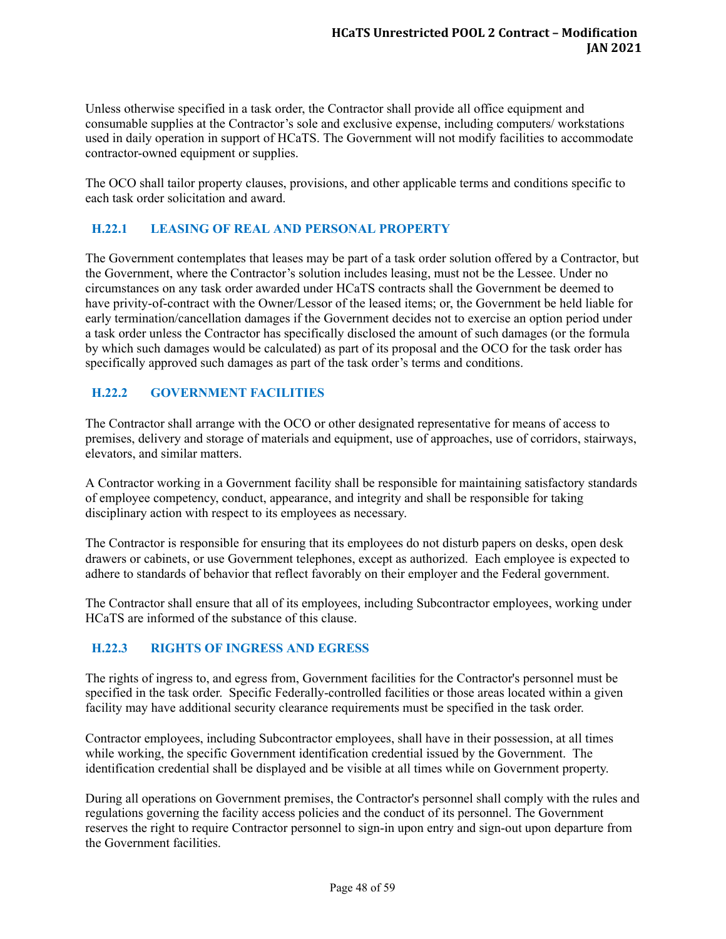Unless otherwise specified in a task order, the Contractor shall provide all office equipment and consumable supplies at the Contractor's sole and exclusive expense, including computers/ workstations used in daily operation in support of HCaTS. The Government will not modify facilities to accommodate contractor-owned equipment or supplies.

The OCO shall tailor property clauses, provisions, and other applicable terms and conditions specific to each task order solicitation and award.

# <span id="page-52-0"></span>**H.22.1 LEASING OF REAL AND PERSONAL PROPERTY**

The Government contemplates that leases may be part of a task order solution offered by a Contractor, but the Government, where the Contractor's solution includes leasing, must not be the Lessee. Under no circumstances on any task order awarded under HCaTS contracts shall the Government be deemed to have privity-of-contract with the Owner/Lessor of the leased items; or, the Government be held liable for early termination/cancellation damages if the Government decides not to exercise an option period under a task order unless the Contractor has specifically disclosed the amount of such damages (or the formula by which such damages would be calculated) as part of its proposal and the OCO for the task order has specifically approved such damages as part of the task order's terms and conditions.

## <span id="page-52-1"></span>**H.22.2 GOVERNMENT FACILITIES**

The Contractor shall arrange with the OCO or other designated representative for means of access to premises, delivery and storage of materials and equipment, use of approaches, use of corridors, stairways, elevators, and similar matters.

A Contractor working in a Government facility shall be responsible for maintaining satisfactory standards of employee competency, conduct, appearance, and integrity and shall be responsible for taking disciplinary action with respect to its employees as necessary.

The Contractor is responsible for ensuring that its employees do not disturb papers on desks, open desk drawers or cabinets, or use Government telephones, except as authorized. Each employee is expected to adhere to standards of behavior that reflect favorably on their employer and the Federal government.

The Contractor shall ensure that all of its employees, including Subcontractor employees, working under HCaTS are informed of the substance of this clause.

## <span id="page-52-2"></span>**H.22.3 RIGHTS OF INGRESS AND EGRESS**

The rights of ingress to, and egress from, Government facilities for the Contractor's personnel must be specified in the task order. Specific Federally-controlled facilities or those areas located within a given facility may have additional security clearance requirements must be specified in the task order.

Contractor employees, including Subcontractor employees, shall have in their possession, at all times while working, the specific Government identification credential issued by the Government. The identification credential shall be displayed and be visible at all times while on Government property.

During all operations on Government premises, the Contractor's personnel shall comply with the rules and regulations governing the facility access policies and the conduct of its personnel. The Government reserves the right to require Contractor personnel to sign-in upon entry and sign-out upon departure from the Government facilities.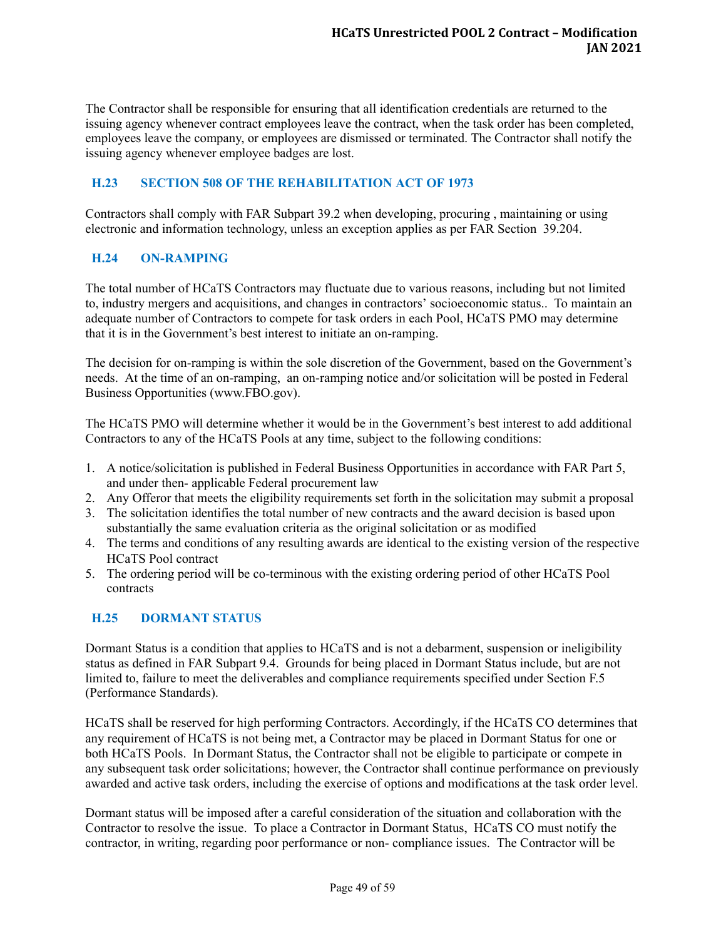The Contractor shall be responsible for ensuring that all identification credentials are returned to the issuing agency whenever contract employees leave the contract, when the task order has been completed, employees leave the company, or employees are dismissed or terminated. The Contractor shall notify the issuing agency whenever employee badges are lost.

## <span id="page-53-0"></span>**H.23 SECTION 508 OF THE REHABILITATION ACT OF 1973**

Contractors shall comply with FAR Subpart 39.2 when developing, procuring , maintaining or using electronic and information technology, unless an exception applies as per FAR Section 39.204.

# <span id="page-53-1"></span>**H.24 ON-RAMPING**

The total number of HCaTS Contractors may fluctuate due to various reasons, including but not limited to, industry mergers and acquisitions, and changes in contractors' socioeconomic status.. To maintain an adequate number of Contractors to compete for task orders in each Pool, HCaTS PMO may determine that it is in the Government's best interest to initiate an on-ramping.

The decision for on-ramping is within the sole discretion of the Government, based on the Government's needs. At the time of an on-ramping, an on-ramping notice and/or solicitation will be posted in Federal Business Opportunities (www.FBO.gov).

The HCaTS PMO will determine whether it would be in the Government's best interest to add additional Contractors to any of the HCaTS Pools at any time, subject to the following conditions:

- 1. A notice/solicitation is published in Federal Business Opportunities in accordance with FAR Part 5, and under then- applicable Federal procurement law
- 2. Any Offeror that meets the eligibility requirements set forth in the solicitation may submit a proposal
- 3. The solicitation identifies the total number of new contracts and the award decision is based upon substantially the same evaluation criteria as the original solicitation or as modified
- 4. The terms and conditions of any resulting awards are identical to the existing version of the respective HCaTS Pool contract
- 5. The ordering period will be co-terminous with the existing ordering period of other HCaTS Pool contracts

## <span id="page-53-2"></span>**H.25 DORMANT STATUS**

Dormant Status is a condition that applies to HCaTS and is not a debarment, suspension or ineligibility status as defined in FAR Subpart 9.4. Grounds for being placed in Dormant Status include, but are not limited to, failure to meet the deliverables and compliance requirements specified under Section F.5 (Performance Standards).

HCaTS shall be reserved for high performing Contractors. Accordingly, if the HCaTS CO determines that any requirement of HCaTS is not being met, a Contractor may be placed in Dormant Status for one or both HCaTS Pools. In Dormant Status, the Contractor shall not be eligible to participate or compete in any subsequent task order solicitations; however, the Contractor shall continue performance on previously awarded and active task orders, including the exercise of options and modifications at the task order level.

Dormant status will be imposed after a careful consideration of the situation and collaboration with the Contractor to resolve the issue. To place a Contractor in Dormant Status, HCaTS CO must notify the contractor, in writing, regarding poor performance or non- compliance issues. The Contractor will be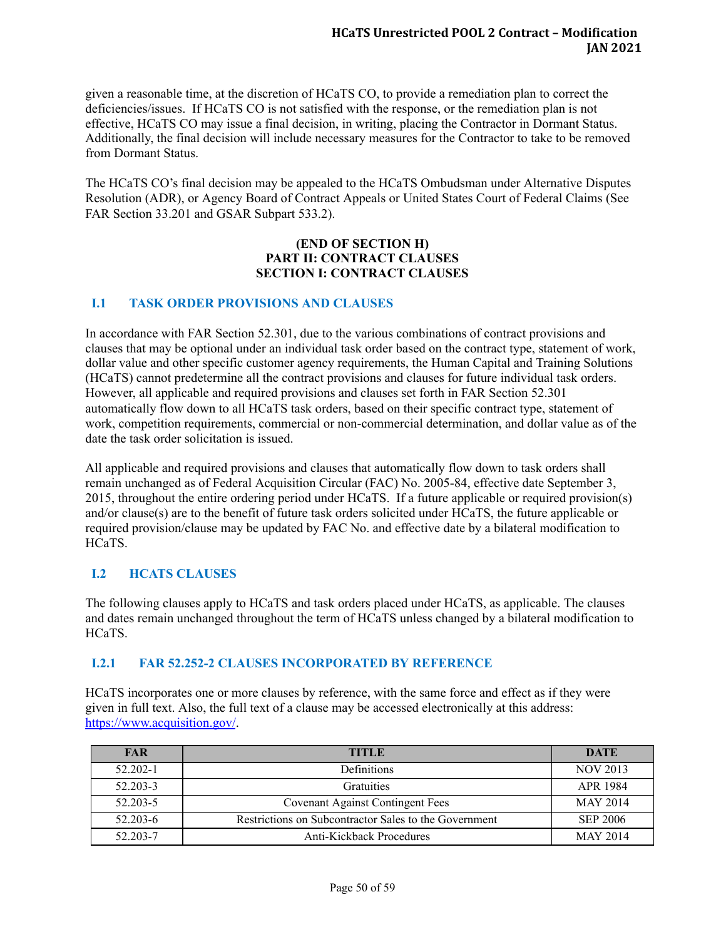given a reasonable time, at the discretion of HCaTS CO, to provide a remediation plan to correct the deficiencies/issues. If HCaTS CO is not satisfied with the response, or the remediation plan is not effective, HCaTS CO may issue a final decision, in writing, placing the Contractor in Dormant Status. Additionally, the final decision will include necessary measures for the Contractor to take to be removed from Dormant Status.

The HCaTS CO's final decision may be appealed to the HCaTS Ombudsman under Alternative Disputes Resolution (ADR), or Agency Board of Contract Appeals or United States Court of Federal Claims (See FAR Section 33.201 and GSAR Subpart 533.2).

#### **(END OF SECTION H) PART II: CONTRACT CLAUSES SECTION I: CONTRACT CLAUSES**

## <span id="page-54-0"></span>**I.1 TASK ORDER PROVISIONS AND CLAUSES**

In accordance with FAR Section 52.301, due to the various combinations of contract provisions and clauses that may be optional under an individual task order based on the contract type, statement of work, dollar value and other specific customer agency requirements, the Human Capital and Training Solutions (HCaTS) cannot predetermine all the contract provisions and clauses for future individual task orders. However, all applicable and required provisions and clauses set forth in FAR Section 52.301 automatically flow down to all HCaTS task orders, based on their specific contract type, statement of work, competition requirements, commercial or non-commercial determination, and dollar value as of the date the task order solicitation is issued.

All applicable and required provisions and clauses that automatically flow down to task orders shall remain unchanged as of Federal Acquisition Circular (FAC) No. 2005-84, effective date September 3, 2015, throughout the entire ordering period under HCaTS. If a future applicable or required provision(s) and/or clause(s) are to the benefit of future task orders solicited under HCaTS, the future applicable or required provision/clause may be updated by FAC No. and effective date by a bilateral modification to HCaTS.

## <span id="page-54-1"></span>**I.2 HCATS CLAUSES**

The following clauses apply to HCaTS and task orders placed under HCaTS, as applicable. The clauses and dates remain unchanged throughout the term of HCaTS unless changed by a bilateral modification to HCaTS.

## <span id="page-54-2"></span>**I.2.1 FAR 52.252-2 CLAUSES INCORPORATED BY REFERENCE**

HCaTS incorporates one or more clauses by reference, with the same force and effect as if they were given in full text. Also, the full text of a clause may be accessed electronically at this address: [https://www.acquisition.gov/.](https://www.acquisition.gov/)

| <b>FAR</b> | <b>TITLE</b>                                          | <b>DATE</b>     |
|------------|-------------------------------------------------------|-----------------|
| 52.202-1   | Definitions                                           | <b>NOV 2013</b> |
| 52.203-3   | <b>Gratuities</b>                                     | APR 1984        |
| 52.203-5   | <b>Covenant Against Contingent Fees</b>               | <b>MAY 2014</b> |
| 52.203-6   | Restrictions on Subcontractor Sales to the Government | SEP 2006        |
| 52.203-7   | Anti-Kickback Procedures                              | <b>MAY 2014</b> |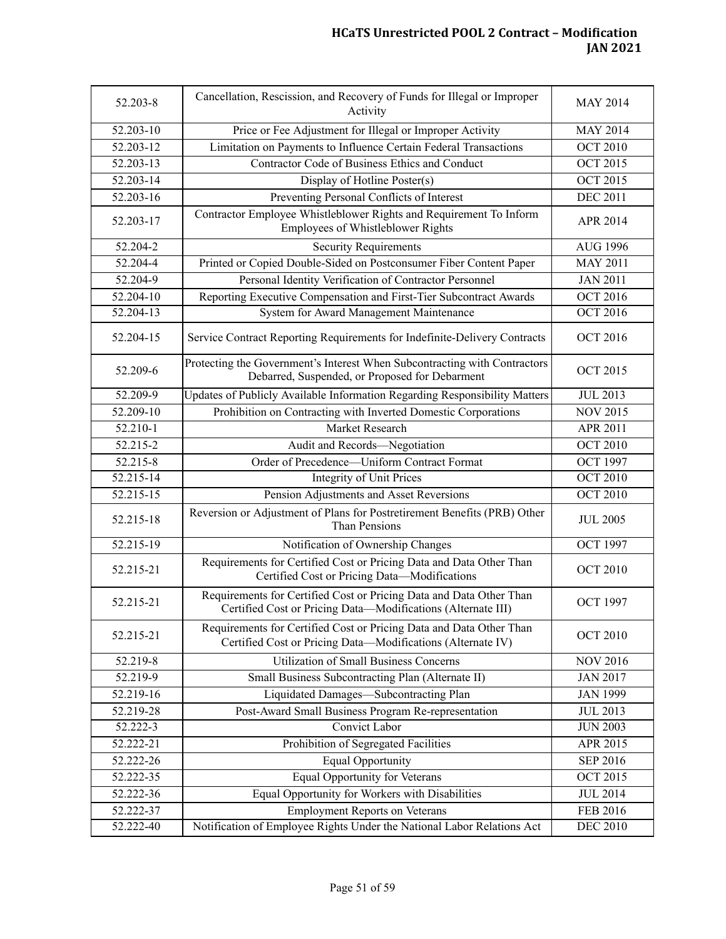| 52.203-8      | Cancellation, Rescission, and Recovery of Funds for Illegal or Improper<br>Activity                                                 | <b>MAY 2014</b> |
|---------------|-------------------------------------------------------------------------------------------------------------------------------------|-----------------|
| $52.203 - 10$ | Price or Fee Adjustment for Illegal or Improper Activity                                                                            | <b>MAY 2014</b> |
| 52.203-12     | Limitation on Payments to Influence Certain Federal Transactions                                                                    | <b>OCT 2010</b> |
| 52.203-13     | Contractor Code of Business Ethics and Conduct                                                                                      | <b>OCT 2015</b> |
| 52.203-14     | Display of Hotline Poster(s)                                                                                                        | <b>OCT 2015</b> |
| 52.203-16     | Preventing Personal Conflicts of Interest                                                                                           | <b>DEC 2011</b> |
| 52.203-17     | Contractor Employee Whistleblower Rights and Requirement To Inform<br>Employees of Whistleblower Rights                             | APR 2014        |
| 52.204-2      | <b>Security Requirements</b>                                                                                                        | <b>AUG 1996</b> |
| $52.204 - 4$  | Printed or Copied Double-Sided on Postconsumer Fiber Content Paper                                                                  | <b>MAY 2011</b> |
| 52.204-9      | Personal Identity Verification of Contractor Personnel                                                                              | <b>JAN 2011</b> |
| 52.204-10     | Reporting Executive Compensation and First-Tier Subcontract Awards                                                                  | <b>OCT 2016</b> |
| 52.204-13     | System for Award Management Maintenance                                                                                             | <b>OCT 2016</b> |
| 52.204-15     | Service Contract Reporting Requirements for Indefinite-Delivery Contracts                                                           | <b>OCT 2016</b> |
| 52.209-6      | Protecting the Government's Interest When Subcontracting with Contractors<br>Debarred, Suspended, or Proposed for Debarment         | <b>OCT 2015</b> |
| 52.209-9      | Updates of Publicly Available Information Regarding Responsibility Matters                                                          | <b>JUL 2013</b> |
| 52.209-10     | Prohibition on Contracting with Inverted Domestic Corporations                                                                      | <b>NOV 2015</b> |
| 52.210-1      | Market Research                                                                                                                     | <b>APR 2011</b> |
| 52.215-2      | Audit and Records-Negotiation                                                                                                       | <b>OCT 2010</b> |
| 52.215-8      | Order of Precedence-Uniform Contract Format                                                                                         | <b>OCT 1997</b> |
| 52.215-14     | <b>Integrity of Unit Prices</b>                                                                                                     | <b>OCT 2010</b> |
| 52.215-15     | Pension Adjustments and Asset Reversions                                                                                            | <b>OCT 2010</b> |
| 52.215-18     | Reversion or Adjustment of Plans for Postretirement Benefits (PRB) Other<br>Than Pensions                                           | <b>JUL 2005</b> |
| 52.215-19     | Notification of Ownership Changes                                                                                                   | <b>OCT 1997</b> |
| 52.215-21     | Requirements for Certified Cost or Pricing Data and Data Other Than<br>Certified Cost or Pricing Data-Modifications                 | <b>OCT 2010</b> |
| 52.215-21     | Requirements for Certified Cost or Pricing Data and Data Other Than<br>Certified Cost or Pricing Data-Modifications (Alternate III) | <b>OCT 1997</b> |
| 52.215-21     | Requirements for Certified Cost or Pricing Data and Data Other Than<br>Certified Cost or Pricing Data-Modifications (Alternate IV)  | <b>OCT 2010</b> |
| 52.219-8      | <b>Utilization of Small Business Concerns</b>                                                                                       | <b>NOV 2016</b> |
| 52.219-9      | Small Business Subcontracting Plan (Alternate II)                                                                                   | <b>JAN 2017</b> |
| 52.219-16     | Liquidated Damages-Subcontracting Plan                                                                                              | <b>JAN 1999</b> |
| 52.219-28     | Post-Award Small Business Program Re-representation                                                                                 | <b>JUL 2013</b> |
| 52.222-3      | Convict Labor                                                                                                                       | <b>JUN 2003</b> |
| 52.222-21     | Prohibition of Segregated Facilities                                                                                                | APR 2015        |
| 52.222-26     | <b>Equal Opportunity</b>                                                                                                            | <b>SEP 2016</b> |
| 52.222-35     | Equal Opportunity for Veterans                                                                                                      | OCT 2015        |
| 52.222-36     | Equal Opportunity for Workers with Disabilities                                                                                     | <b>JUL 2014</b> |
| 52.222-37     | <b>Employment Reports on Veterans</b>                                                                                               | FEB 2016        |
| 52.222-40     | Notification of Employee Rights Under the National Labor Relations Act                                                              | <b>DEC 2010</b> |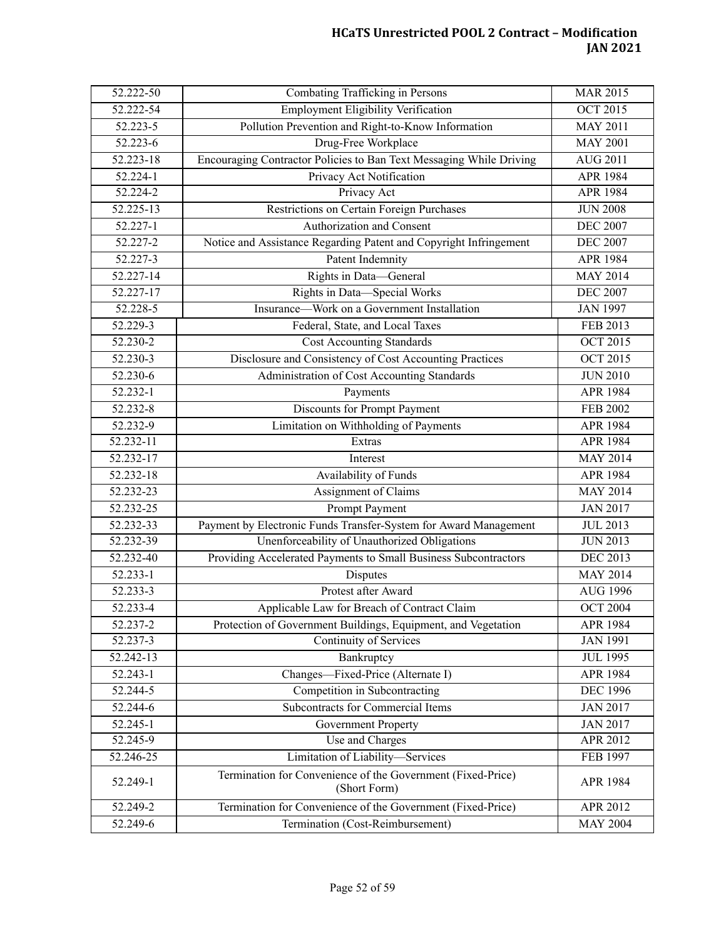| 52.222-50               | Combating Trafficking in Persons                                            | <b>MAR 2015</b> |
|-------------------------|-----------------------------------------------------------------------------|-----------------|
| 52.222-54               | <b>Employment Eligibility Verification</b>                                  | <b>OCT 2015</b> |
| 52.223-5                | Pollution Prevention and Right-to-Know Information                          | <b>MAY 2011</b> |
| 52.223-6                | Drug-Free Workplace                                                         | <b>MAY 2001</b> |
| 52.223-18               | Encouraging Contractor Policies to Ban Text Messaging While Driving         | <b>AUG 2011</b> |
| 52.224-1                | Privacy Act Notification                                                    | <b>APR 1984</b> |
| 52.224-2                | Privacy Act                                                                 | APR 1984        |
| $52.225 - 13$           | Restrictions on Certain Foreign Purchases                                   | <b>JUN 2008</b> |
| 52.227-1                | Authorization and Consent                                                   | <b>DEC 2007</b> |
| 52.227-2                | Notice and Assistance Regarding Patent and Copyright Infringement           | <b>DEC 2007</b> |
| 52.227-3                | Patent Indemnity                                                            | APR 1984        |
| 52.227-14               | Rights in Data-General                                                      | <b>MAY 2014</b> |
| 52.227-17               | Rights in Data-Special Works                                                | <b>DEC 2007</b> |
| 52.228-5                | Insurance—Work on a Government Installation                                 | <b>JAN 1997</b> |
| 52.229-3                | Federal, State, and Local Taxes                                             | <b>FEB 2013</b> |
| 52.230-2                | <b>Cost Accounting Standards</b>                                            | <b>OCT 2015</b> |
| 52.230-3                | Disclosure and Consistency of Cost Accounting Practices                     | <b>OCT 2015</b> |
| $52.230 - 6$            | Administration of Cost Accounting Standards                                 | <b>JUN 2010</b> |
| 52.232-1                | Payments                                                                    | APR 1984        |
| 52.232-8                | Discounts for Prompt Payment                                                | <b>FEB 2002</b> |
| 52.232-9                | Limitation on Withholding of Payments                                       | APR 1984        |
| 52.232-11               | Extras                                                                      | APR 1984        |
| 52.232-17               | Interest                                                                    | <b>MAY 2014</b> |
| 52.232-18               | Availability of Funds                                                       | APR 1984        |
| $\overline{52.232}$ -23 | Assignment of Claims                                                        | <b>MAY 2014</b> |
| 52.232-25               | Prompt Payment                                                              | <b>JAN 2017</b> |
| 52.232-33               | Payment by Electronic Funds Transfer-System for Award Management            | <b>JUL 2013</b> |
| 52.232-39               | Unenforceability of Unauthorized Obligations                                | <b>JUN 2013</b> |
| 52.232-40               | Providing Accelerated Payments to Small Business Subcontractors             | <b>DEC 2013</b> |
| 52.233-1                | Disputes                                                                    | <b>MAY 2014</b> |
| 52.233-3                | Protest after Award                                                         | <b>AUG 1996</b> |
| 52.233-4                | Applicable Law for Breach of Contract Claim                                 | <b>OCT 2004</b> |
| 52.237-2                | Protection of Government Buildings, Equipment, and Vegetation               | APR 1984        |
| 52.237-3                | Continuity of Services                                                      | <b>JAN 1991</b> |
| 52.242-13               | Bankruptcy                                                                  | <b>JUL 1995</b> |
| 52.243-1                | Changes-Fixed-Price (Alternate I)                                           | APR 1984        |
| 52.244-5                | Competition in Subcontracting                                               | <b>DEC 1996</b> |
| 52.244-6                | Subcontracts for Commercial Items                                           | <b>JAN 2017</b> |
| 52.245-1                | <b>Government Property</b>                                                  | <b>JAN 2017</b> |
| 52.245-9                | Use and Charges                                                             | APR 2012        |
| 52.246-25               | Limitation of Liability-Services                                            | FEB 1997        |
| 52.249-1                | Termination for Convenience of the Government (Fixed-Price)<br>(Short Form) | APR 1984        |
| 52.249-2                | Termination for Convenience of the Government (Fixed-Price)                 | APR 2012        |
| 52.249-6                | Termination (Cost-Reimbursement)                                            | <b>MAY 2004</b> |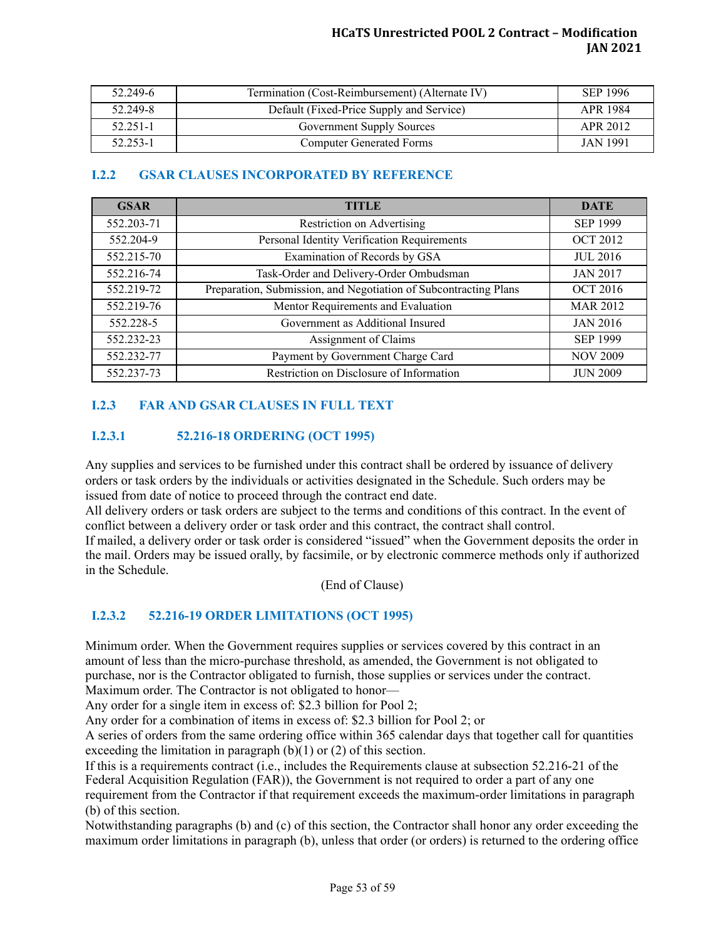| 52.249-6 | Termination (Cost-Reimbursement) (Alternate IV) | SEP 1996        |
|----------|-------------------------------------------------|-----------------|
| 52.249-8 | Default (Fixed-Price Supply and Service)        | APR 1984        |
| 52.251-1 | <b>Government Supply Sources</b>                | APR 2012        |
| 52.253-1 | <b>Computer Generated Forms</b>                 | <b>JAN 1991</b> |

# <span id="page-57-0"></span>**I.2.2 GSAR CLAUSES INCORPORATED BY REFERENCE**

| <b>GSAR</b> | <b>TITLE</b>                                                     | <b>DATE</b>     |
|-------------|------------------------------------------------------------------|-----------------|
| 552.203-71  | Restriction on Advertising                                       | <b>SEP 1999</b> |
| 552.204-9   | Personal Identity Verification Requirements                      | <b>OCT 2012</b> |
| 552.215-70  | Examination of Records by GSA                                    | <b>JUL 2016</b> |
| 552.216-74  | Task-Order and Delivery-Order Ombudsman                          | <b>JAN 2017</b> |
| 552.219-72  | Preparation, Submission, and Negotiation of Subcontracting Plans | <b>OCT 2016</b> |
| 552.219-76  | Mentor Requirements and Evaluation                               | <b>MAR 2012</b> |
| 552.228-5   | Government as Additional Insured                                 | <b>JAN 2016</b> |
| 552.232-23  | Assignment of Claims                                             | <b>SEP 1999</b> |
| 552.232-77  | Payment by Government Charge Card                                | <b>NOV 2009</b> |
| 552.237-73  | Restriction on Disclosure of Information                         | <b>JUN 2009</b> |

## <span id="page-57-1"></span>**I.2.3 FAR AND GSAR CLAUSES IN FULL TEXT**

## <span id="page-57-2"></span>**I.2.3.1 52.216-18 ORDERING (OCT 1995)**

Any supplies and services to be furnished under this contract shall be ordered by issuance of delivery orders or task orders by the individuals or activities designated in the Schedule. Such orders may be issued from date of notice to proceed through the contract end date.

All delivery orders or task orders are subject to the terms and conditions of this contract. In the event of conflict between a delivery order or task order and this contract, the contract shall control.

If mailed, a delivery order or task order is considered "issued" when the Government deposits the order in the mail. Orders may be issued orally, by facsimile, or by electronic commerce methods only if authorized in the Schedule.

(End of Clause)

## <span id="page-57-3"></span>**I.2.3.2 52.216-19 ORDER LIMITATIONS (OCT 1995)**

Minimum order. When the Government requires supplies or services covered by this contract in an amount of less than the micro-purchase threshold, as amended, the Government is not obligated to purchase, nor is the Contractor obligated to furnish, those supplies or services under the contract. Maximum order. The Contractor is not obligated to honor—

Any order for a single item in excess of: \$2.3 billion for Pool 2;

Any order for a combination of items in excess of: \$2.3 billion for Pool 2; or

A series of orders from the same ordering office within 365 calendar days that together call for quantities exceeding the limitation in paragraph  $(b)(1)$  or  $(2)$  of this section.

If this is a requirements contract (i.e., includes the Requirements clause at subsection 52.216-21 of the Federal Acquisition Regulation (FAR)), the Government is not required to order a part of any one requirement from the Contractor if that requirement exceeds the maximum-order limitations in paragraph (b) of this section.

Notwithstanding paragraphs (b) and (c) of this section, the Contractor shall honor any order exceeding the maximum order limitations in paragraph (b), unless that order (or orders) is returned to the ordering office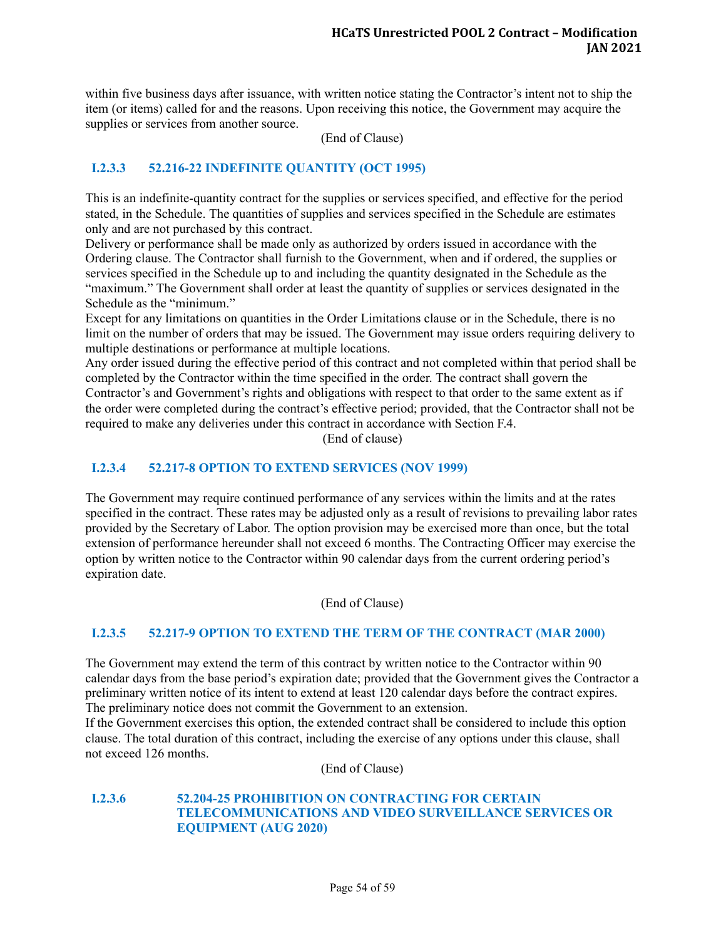within five business days after issuance, with written notice stating the Contractor's intent not to ship the item (or items) called for and the reasons. Upon receiving this notice, the Government may acquire the supplies or services from another source.

(End of Clause)

# <span id="page-58-0"></span>**I.2.3.3 52.216-22 INDEFINITE QUANTITY (OCT 1995)**

This is an indefinite-quantity contract for the supplies or services specified, and effective for the period stated, in the Schedule. The quantities of supplies and services specified in the Schedule are estimates only and are not purchased by this contract.

Delivery or performance shall be made only as authorized by orders issued in accordance with the Ordering clause. The Contractor shall furnish to the Government, when and if ordered, the supplies or services specified in the Schedule up to and including the quantity designated in the Schedule as the "maximum." The Government shall order at least the quantity of supplies or services designated in the Schedule as the "minimum."

Except for any limitations on quantities in the Order Limitations clause or in the Schedule, there is no limit on the number of orders that may be issued. The Government may issue orders requiring delivery to multiple destinations or performance at multiple locations.

Any order issued during the effective period of this contract and not completed within that period shall be completed by the Contractor within the time specified in the order. The contract shall govern the Contractor's and Government's rights and obligations with respect to that order to the same extent as if the order were completed during the contract's effective period; provided, that the Contractor shall not be required to make any deliveries under this contract in accordance with Section F.4.

(End of clause)

### <span id="page-58-1"></span>**I.2.3.4 52.217-8 OPTION TO EXTEND SERVICES (NOV 1999)**

The Government may require continued performance of any services within the limits and at the rates specified in the contract. These rates may be adjusted only as a result of revisions to prevailing labor rates provided by the Secretary of Labor. The option provision may be exercised more than once, but the total extension of performance hereunder shall not exceed 6 months. The Contracting Officer may exercise the option by written notice to the Contractor within 90 calendar days from the current ordering period's expiration date.

(End of Clause)

#### <span id="page-58-2"></span>**I.2.3.5 52.217-9 OPTION TO EXTEND THE TERM OF THE CONTRACT (MAR 2000)**

The Government may extend the term of this contract by written notice to the Contractor within 90 calendar days from the base period's expiration date; provided that the Government gives the Contractor a preliminary written notice of its intent to extend at least 120 calendar days before the contract expires. The preliminary notice does not commit the Government to an extension.

If the Government exercises this option, the extended contract shall be considered to include this option clause. The total duration of this contract, including the exercise of any options under this clause, shall not exceed 126 months.

(End of Clause)

#### <span id="page-58-3"></span>**I.2.3.6 52.204-25 PROHIBITION ON CONTRACTING FOR CERTAIN TELECOMMUNICATIONS AND VIDEO SURVEILLANCE SERVICES OR EQUIPMENT (AUG 2020)**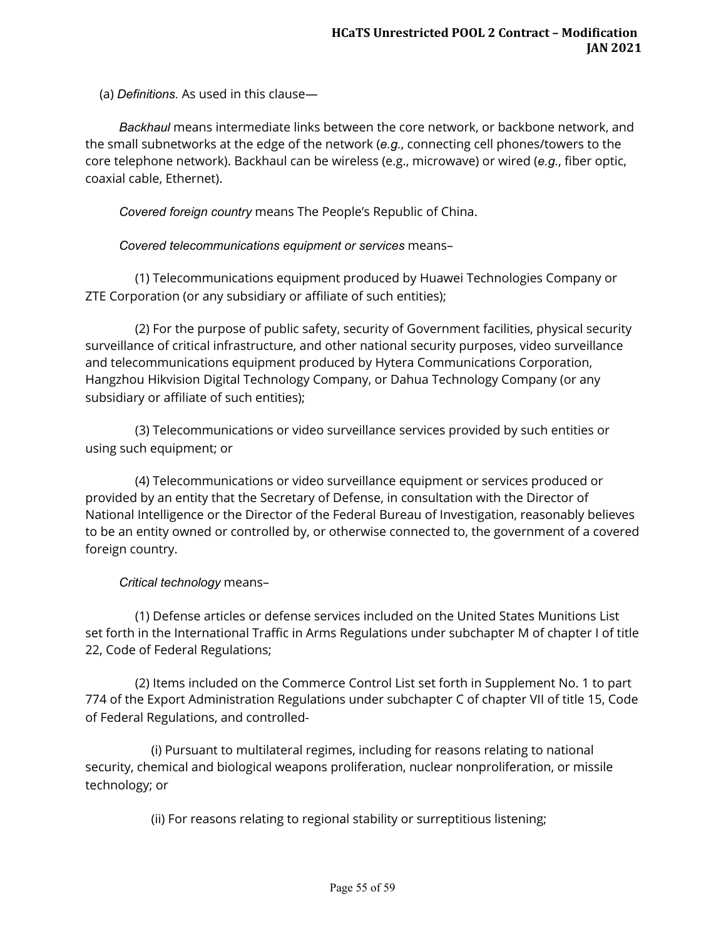(a) *Definitions.*  As used in this clause—

 *Backhaul*  means intermediate links between the core network, or backbone network, and the small subnetworks at the edge of the network ( *e.g.* , connecting cell phones/towers to the core telephone network). Backhaul can be wireless (e.g., microwave) or wired ( *e.g.* , fiber optic, coaxial cable, Ethernet).

*Covered foreign country*  means The People's Republic of China.

*Covered telecommunications equipment or services*  means–

 (1) Telecommunications equipment produced by Huawei Technologies Company or ZTE Corporation (or any subsidiary or affiliate of such entities);

 (2) For the purpose of public safety, security of Government facilities, physical security surveillance of critical infrastructure, and other national security purposes, video surveillance and telecommunications equipment produced by Hytera Communications Corporation, Hangzhou Hikvision Digital Technology Company, or Dahua Technology Company (or any subsidiary or affiliate of such entities);

 (3) Telecommunications or video surveillance services provided by such entities or using such equipment; or

 (4) Telecommunications or video surveillance equipment or services produced or provided by an entity that the Secretary of Defense, in consultation with the Director of National Intelligence or the Director of the Federal Bureau of Investigation, reasonably believes to be an entity owned or controlled by, or otherwise connected to, the government of a covered foreign country.

## *Critical technology*  means–

 (1) Defense articles or defense services included on the United States Munitions List set forth in the International Traffic in Arms Regulations under subchapter M of chapter I of title 22, Code of Federal Regulations;

 (2) Items included on the Commerce Control List set forth in Supplement No. 1 to part 774 of the Export Administration Regulations under subchapter C of chapter VII of title 15, Code of Federal Regulations, and controlled-

 (i) Pursuant to multilateral regimes, including for reasons relating to national security, chemical and biological weapons proliferation, nuclear nonproliferation, or missile technology; or

(ii) For reasons relating to regional stability or surreptitious listening;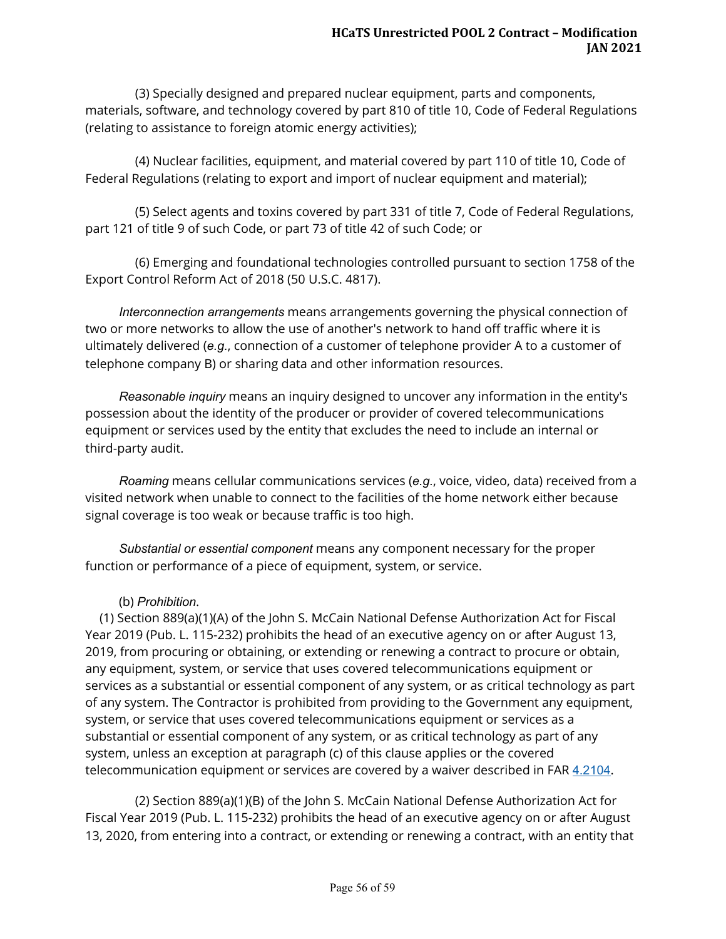(3) Specially designed and prepared nuclear equipment, parts and components, materials, software, and technology covered by part 810 of title 10, Code of Federal Regulations (relating to assistance to foreign atomic energy activities);

 (4) Nuclear facilities, equipment, and material covered by part 110 of title 10, Code of Federal Regulations (relating to export and import of nuclear equipment and material);

 (5) Select agents and toxins covered by part 331 of title 7, Code of Federal Regulations, part 121 of title 9 of such Code, or part 73 of title 42 of such Code; or

 (6) Emerging and foundational technologies controlled pursuant to section 1758 of the Export Control Reform Act of 2018 (50 U.S.C. 4817).

 *Interconnection arrangements*  means arrangements governing the physical connection of two or more networks to allow the use of another's network to hand off traffic where it is ultimately delivered (e.g., connection of a customer of telephone provider A to a customer of telephone company B) or sharing data and other information resources.

 *Reasonable inquiry*  means an inquiry designed to uncover any information in the entity's possession about the identity of the producer or provider of covered telecommunications equipment or services used by the entity that excludes the need to include an internal or third-party audit.

 *Roaming*  means cellular communications services ( *e.g.* , voice, video, data) received from a visited network when unable to connect to the facilities of the home network either because signal coverage is too weak or because traffic is too high.

 *Substantial or essential component*  means any component necessary for the proper function or performance of a piece of equipment, system, or service.

## (b) *Prohibition* .

(1) Section 889(a)(1)(A) of the John S. McCain National Defense Authorization Act for Fiscal Year 2019 (Pub. L. 115-232) prohibits the head of an executive agency on or after August 13, 2019, from procuring or obtaining, or extending or renewing a contract to procure or obtain, any equipment, system, or service that uses covered telecommunications equipment or services as a substantial or essential component of any system, or as critical technology as part of any system. The Contractor is prohibited from providing to the Government any equipment, system, or service that uses covered telecommunications equipment or services as a substantial or essential component of any system, or as critical technology as part of any system, unless an exception at paragraph (c) of this clause applies or the covered telecommunication equipment or services are covered by a waiver described in FAR [4.2104](https://www.acquisition.gov/far/4.2104#FAR_4_2104) .

 (2) Section 889(a)(1)(B) of the John S. McCain National Defense Authorization Act for Fiscal Year 2019 (Pub. L. 115-232) prohibits the head of an executive agency on or after August 13, 2020, from entering into a contract, or extending or renewing a contract, with an entity that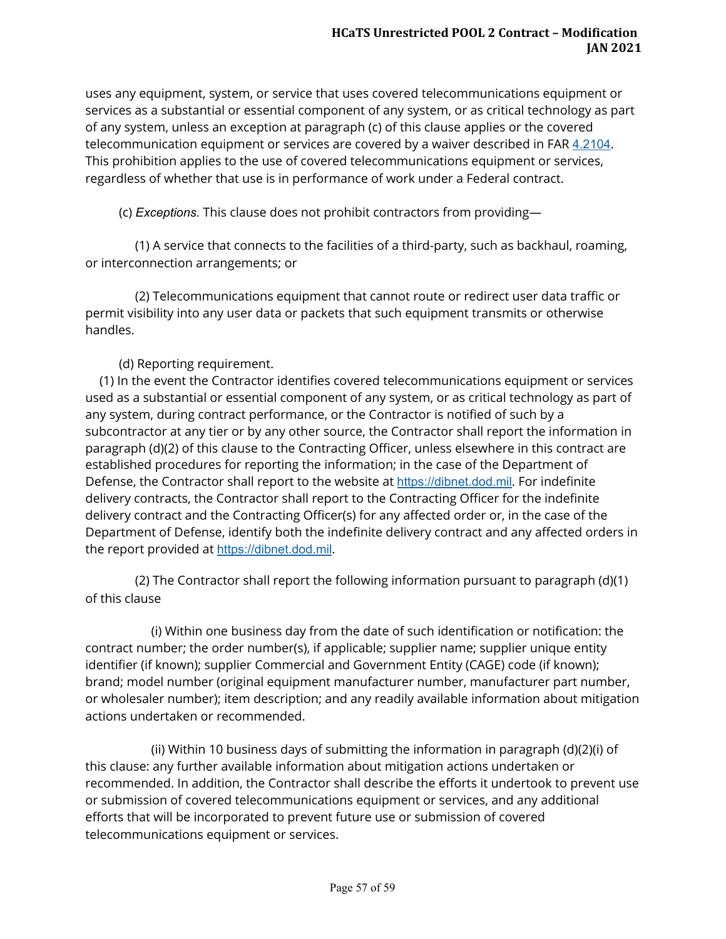uses any equipment, system, or service that uses covered telecommunications equipment or services as a substantial or essential component of any system, or as critical technology as part of any system, unless an exception at paragraph (c) of this clause applies or the covered telecommunication equipment or services are covered by a waiver described in FAR [4.2104](https://www.acquisition.gov/far/4.2104#FAR_4_2104) . This prohibition applies to the use of covered telecommunications equipment or services, regardless of whether that use is in performance of work under a Federal contract.

(c) *Exceptions.*  This clause does not prohibit contractors from providing—

 (1) A service that connects to the facilities of a third-party, such as backhaul, roaming, or interconnection arrangements; or

 (2) Telecommunications equipment that cannot route or redirect user data traffic or permit visibility into any user data or packets that such equipment transmits or otherwise handles.

(d) Reporting requirement.

(1) In the event the Contractor identifies covered telecommunications equipment or services used as a substantial or essential component of any system, or as critical technology as part of any system, during contract performance, or the Contractor is notified of such by a subcontractor at any tier or by any other source, the Contractor shall report the information in paragraph (d)(2) of this clause to the Contracting Officer, unless elsewhere in this contract are established procedures for reporting the information; in the case of the Department of Defense, the Contractor shall report to the website at https://dibnet.dod.mil. For indefinite delivery contracts, the Contractor shall report to the Contracting Officer for the indefinite delivery contract and the Contracting Officer(s) for any affected order or, in the case of the Department of Defense, identify both the indefinite delivery contract and any affected orders in the report provided at https://dibnet.dod.mil.

 (2) The Contractor shall report the following information pursuant to paragraph (d)(1) of this clause

 (i) Within one business day from the date of such identification or notification: the contract number; the order number(s), if applicable; supplier name; supplier unique entity identifier (if known); supplier Commercial and Government Entity (CAGE) code (if known); brand; model number (original equipment manufacturer number, manufacturer part number, or wholesaler number); item description; and any readily available information about mitigation actions undertaken or recommended.

 (ii) Within 10 business days of submitting the information in paragraph (d)(2)(i) of this clause: any further available information about mitigation actions undertaken or recommended. In addition, the Contractor shall describe the efforts it undertook to prevent use or submission of covered telecommunications equipment or services, and any additional efforts that will be incorporated to prevent future use or submission of covered telecommunications equipment or services.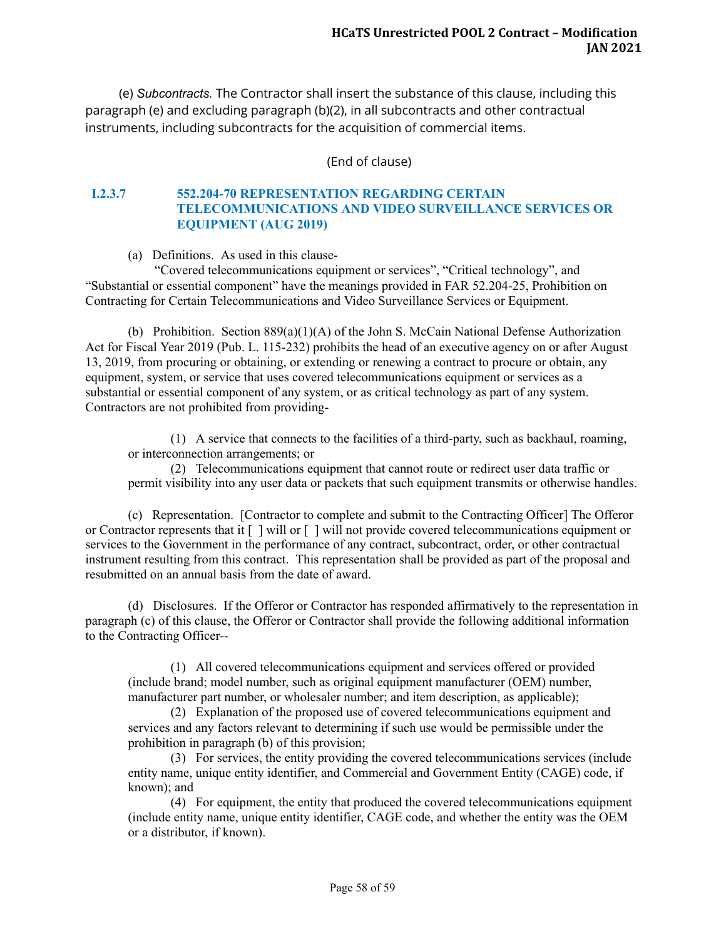(e) *Subcontracts.*  The Contractor shall insert the substance of this clause, including this paragraph (e) and excluding paragraph (b)(2), in all subcontracts and other contractual instruments, including subcontracts for the acquisition of commercial items.

(End of clause)

## <span id="page-62-0"></span>**I.2.3.7 552.204-70 REPRESENTATION REGARDING CERTAIN TELECOMMUNICATIONS AND VIDEO SURVEILLANCE SERVICES OR EQUIPMENT (AUG 2019)**

(a) Definitions. As used in this clause-

"Covered telecommunications equipment or services", "Critical technology", and "Substantial or essential component" have the meanings provided in FAR 52.204-25, Prohibition on Contracting for Certain Telecommunications and Video Surveillance Services or Equipment.

(b) Prohibition. Section 889(a)(1)(A) of the John S. McCain National Defense Authorization Act for Fiscal Year 2019 (Pub. L. 115-232) prohibits the head of an executive agency on or after August 13, 2019, from procuring or obtaining, or extending or renewing a contract to procure or obtain, any equipment, system, or service that uses covered telecommunications equipment or services as a substantial or essential component of any system, or as critical technology as part of any system. Contractors are not prohibited from providing-

(1) A service that connects to the facilities of a third-party, such as backhaul, roaming, or interconnection arrangements; or

(2) Telecommunications equipment that cannot route or redirect user data traffic or permit visibility into any user data or packets that such equipment transmits or otherwise handles.

(c) Representation. [Contractor to complete and submit to the Contracting Officer] The Offeror or Contractor represents that it [ ] will or [ ] will not provide covered telecommunications equipment or services to the Government in the performance of any contract, subcontract, order, or other contractual instrument resulting from this contract. This representation shall be provided as part of the proposal and resubmitted on an annual basis from the date of award.

(d) Disclosures. If the Offeror or Contractor has responded affirmatively to the representation in paragraph (c) of this clause, the Offeror or Contractor shall provide the following additional information to the Contracting Officer--

(1) All covered telecommunications equipment and services offered or provided (include brand; model number, such as original equipment manufacturer (OEM) number, manufacturer part number, or wholesaler number; and item description, as applicable);

(2) Explanation of the proposed use of covered telecommunications equipment and services and any factors relevant to determining if such use would be permissible under the prohibition in paragraph (b) of this provision;

(3) For services, the entity providing the covered telecommunications services (include entity name, unique entity identifier, and Commercial and Government Entity (CAGE) code, if known); and

(4) For equipment, the entity that produced the covered telecommunications equipment (include entity name, unique entity identifier, CAGE code, and whether the entity was the OEM or a distributor, if known).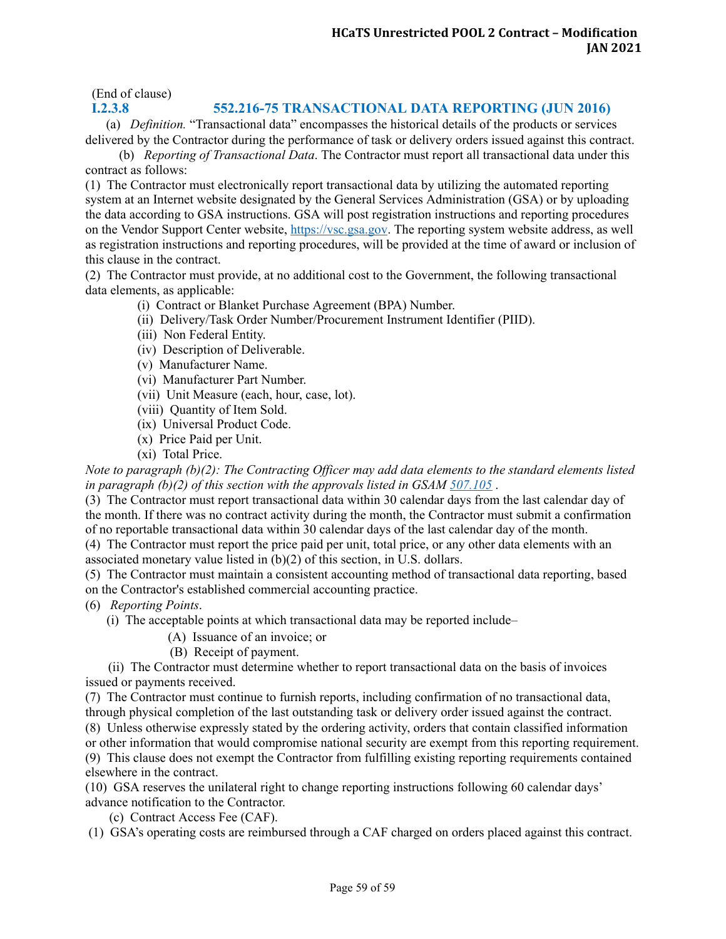(End of clause)

### <span id="page-63-0"></span>**I.2.3. 8 552.216-75 TRANSACTIONAL DATA REPORTING (JUN 2016)**

(a) *Definition.* "Transactional data" encompasses the historical details of the products or services delivered by the Contractor during the performance of task or delivery orders issued against this contract.

(b) *Reporting of Transactional Data*. The Contractor must report all transactional data under this contract as follows:

(1) The Contractor must electronically report transactional data by utilizing the automated reporting system at an Internet website designated by the General Services Administration (GSA) or by uploading the data according to GSA instructions. GSA will post registration instructions and reporting procedures on the Vendor Support Center website, [https://vsc.gsa.gov.](https://vsc.gsa.gov/) The reporting system website address, as well as registration instructions and reporting procedures, will be provided at the time of award or inclusion of this clause in the contract.

(2) The Contractor must provide, at no additional cost to the Government, the following transactional data elements, as applicable:

- (i) Contract or Blanket Purchase Agreement (BPA) Number.
	- (ii) Delivery/Task Order Number/Procurement Instrument Identifier (PIID).
	- (iii) Non Federal Entity.
	- (iv) Description of Deliverable.
	- (v) Manufacturer Name.
	- (vi) Manufacturer Part Number.
- (vii) Unit Measure (each, hour, case, lot).
- (viii) Quantity of Item Sold.
- (ix) Universal Product Code.
- (x) Price Paid per Unit.
- (xi) Total Price.

*Note to paragraph (b)(2): The Contracting Of icer may add data elements to the standard elements listed in paragraph (b)(2) of this section with the approvals listed in GSAM [507.105](https://www.acquisition.gov/content/507.105-contents-written-acquisition-plans.#ARLDTDPM__d142e256)* .

(3) The Contractor must report transactional data within 30 calendar days from the last calendar day of the month. If there was no contract activity during the month, the Contractor must submit a confirmation of no reportable transactional data within 30 calendar days of the last calendar day of the month.

(4) The Contractor must report the price paid per unit, total price, or any other data elements with an associated monetary value listed in (b)(2) of this section, in U.S. dollars.

(5) The Contractor must maintain a consistent accounting method of transactional data reporting, based on the Contractor's established commercial accounting practice.

(6) *Reporting Points*.

(i) The acceptable points at which transactional data may be reported include–

(A) Issuance of an invoice; or

(B) Receipt of payment.

(ii) The Contractor must determine whether to report transactional data on the basis of invoices issued or payments received.

(7) The Contractor must continue to furnish reports, including confirmation of no transactional data, through physical completion of the last outstanding task or delivery order issued against the contract. (8) Unless otherwise expressly stated by the ordering activity, orders that contain classified information or other information that would compromise national security are exempt from this reporting requirement. (9) This clause does not exempt the Contractor from fulfilling existing reporting requirements contained elsewhere in the contract.

(10) GSA reserves the unilateral right to change reporting instructions following 60 calendar days' advance notification to the Contractor.

(c) Contract Access Fee (CAF).

(1) GSA's operating costs are reimbursed through a CAF charged on orders placed against this contract.